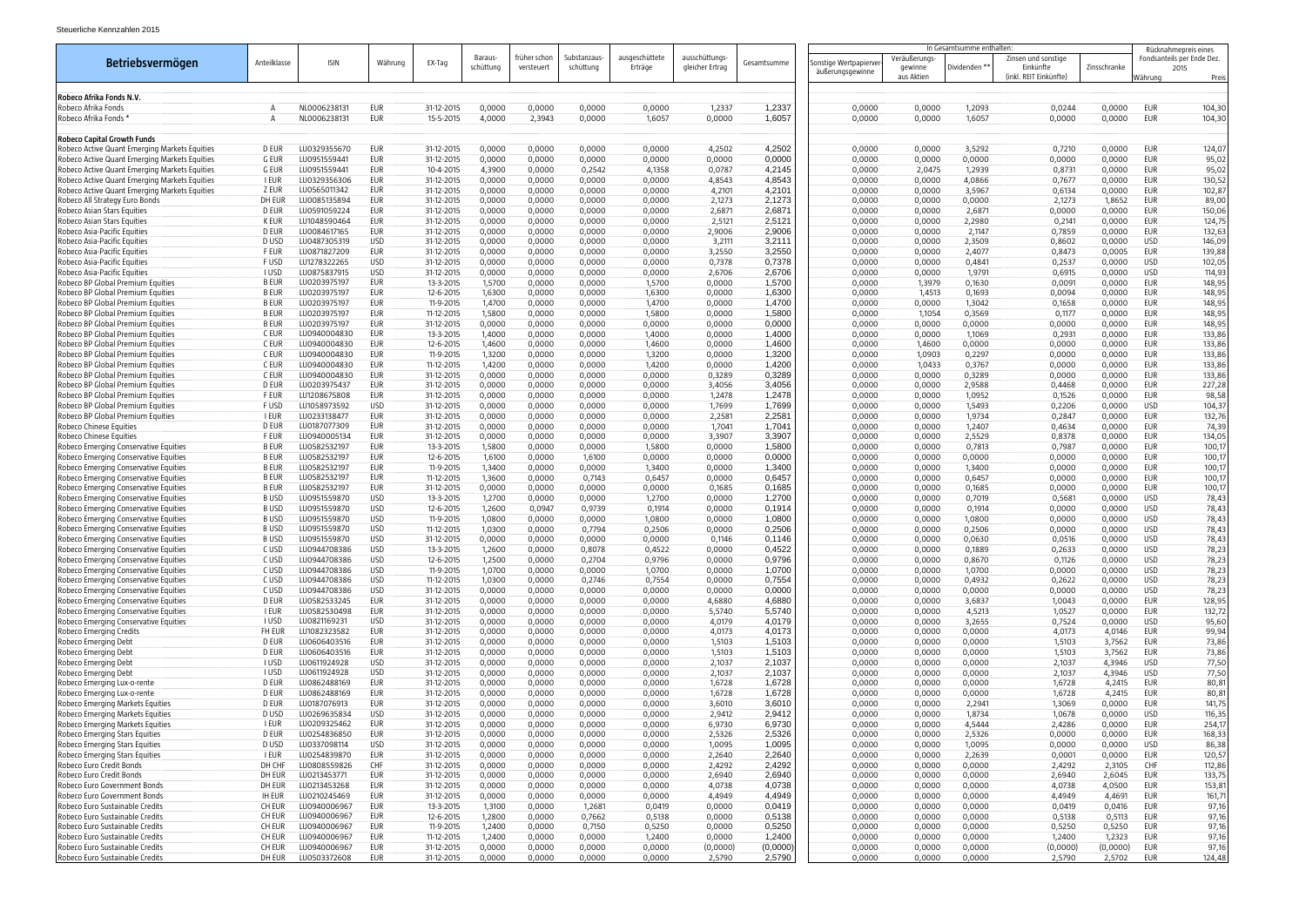|                                                                                |                             |                              |                          |                          |                      |                            |                          |                           |                                   |                  | In Gesamtsumme enthalten:                  |                                        |                  | Rücknahmepreis eines                                       |                  |                          |                                             |
|--------------------------------------------------------------------------------|-----------------------------|------------------------------|--------------------------|--------------------------|----------------------|----------------------------|--------------------------|---------------------------|-----------------------------------|------------------|--------------------------------------------|----------------------------------------|------------------|------------------------------------------------------------|------------------|--------------------------|---------------------------------------------|
| Betriebsvermögen                                                               | Anteilklasse                | <b>ISIN</b>                  | Währung                  | EX-Tag                   | Baraus-<br>schüttung | früher schon<br>versteuert | Substanzaus<br>schüttung | ausgeschüttete<br>Erträge | ausschüttungs-<br>gleicher Ertrag | Gesamtsumme      | Sonstige Wertpapierver<br>äußerungsgewinne | Veräußerungs-<br>gewinne<br>aus Aktien | Dividenden **    | Zinsen und sonstige<br>Einkünfte<br>(inkl. REIT Einkünfte) | Zinsschranke     | Währung                  | Fondsanteils per Ende Dez.<br>2015<br>Preis |
| Robeco Afrika Fonds N.V.                                                       |                             |                              |                          |                          |                      |                            |                          |                           |                                   |                  |                                            |                                        |                  |                                                            |                  |                          |                                             |
| Robeco Afrika Fonds                                                            |                             | NL0006238131                 | EUR                      | 31-12-2015               | 0,0000               | 0,0000                     | 0,0000                   | 0,0000                    | 1,2337                            | 1,2337           | 0,0000                                     | 0,0000                                 | 1,2093           | 0,0244                                                     | 0,0000           | EUR                      | 104,30                                      |
| Robeco Afrika Fonds '                                                          |                             | NL0006238131                 | <b>EUR</b>               | 15-5-2015                | 4,0000               | 2,3943                     | 0,0000                   | 1,6057                    | 0,0000                            | 1,6057           | 0,0000                                     | 0,0000                                 | 1,6057           | 0,0000                                                     | 0,0000           | <b>EUR</b>               | 104,30                                      |
| <b>Robeco Capital Growth Funds</b>                                             |                             |                              |                          |                          |                      |                            |                          |                           |                                   |                  |                                            |                                        |                  |                                                            |                  |                          |                                             |
| Robeco Active Quant Emerging Markets Equities                                  | D EUR                       | LU0329355670                 | <b>EUR</b>               | 31-12-2015               | 0,0000               | 0,0000                     | 0,0000                   | 0,0000                    | 4,2502                            | 4,2502           | 0,0000                                     | 0,0000                                 | 3,5292           | 0,7210                                                     | 0,0000           | EUR                      | 124,07                                      |
| Robeco Active Quant Emerging Markets Equities                                  | G EUR                       | LU0951559441                 | EUR                      | 31-12-2015               | 0,0000               | 0,0000                     | 0,0000                   | 0,0000                    | 0,0000                            | 0,0000           | 0,0000                                     | 0,0000                                 | 0,0000           | 0,0000                                                     | 0,0000           | EUR                      | 95,02                                       |
| Robeco Active Quant Emerging Markets Equities                                  | G EUR                       | LU0951559441                 | EUR                      | 10-4-2015                | 4,3900               | 0,0000                     | 0,2542                   | 4,1358                    | 0,0787                            | 4,2145           | 0,0000                                     | 2,0475                                 | 1,2939           | 0,8731                                                     | 0,0000           | EUR                      | 95,02                                       |
| Robeco Active Quant Emerging Markets Equities                                  | I EUR                       | LU0329356306                 | EUR                      | 31-12-2015               | 0,0000               | 0,0000                     | 0,0000                   | 0,0000                    | 4,8543                            | 4,8543           | 0,0000                                     | 0,0000                                 | 4,0866           | 0,7677                                                     | 0,0000           | EUR                      | 130,52                                      |
| Robeco Active Quant Emerging Markets Equities                                  | Z EUR                       | LU0565011342                 | EUR                      | 31-12-2015               | 0,0000               | 0,0000                     | 0,0000                   | 0,0000                    | 4,2101                            | 4,2101           | 0,0000                                     | 0,0000                                 | 3,5967           | 0,6134                                                     | 0,0000           | <b>EUR</b>               | 102,87                                      |
| Robeco All Strategy Euro Bonds                                                 | DH EUR                      | LU0085135894                 | EUR                      | 31-12-2015               | 0,0000               | 0,0000                     | 0,0000                   | 0,0000                    | 2,1273                            | 2,1273           | 0,0000                                     | 0,0000                                 | 0,0000           | 2,1273                                                     | 1,8652           | EUR                      | 89,00                                       |
| Robeco Asian Stars Equities<br>Robeco Asian Stars Equities                     | D EUR<br>K EUR              | LU0591059224<br>LU1048590464 | EUR<br><b>EUR</b>        | 31-12-2015<br>31-12-2015 | 0,0000<br>0,0000     | 0,0000<br>0,0000           | 0,0000<br>0,0000         | 0,0000<br>0,0000          | 2,6871<br>2,5121                  | 2,6871<br>2,5121 | 0,0000<br>0,0000                           | 0,0000<br>0,0000                       | 2,6871<br>2,2980 | 0,0000<br>0,2141                                           | 0,0000<br>0,0000 | EUR<br>EUR               | 150,06<br>124,75                            |
| Robeco Asia-Pacific Equities                                                   | D EUR                       | LU0084617165                 | EUR                      | 31-12-2015               | 0,0000               | 0,0000                     | 0,0000                   | 0,0000                    | 2,9006                            | 2,9006           | 0,0000                                     | 0,0000                                 | 2,1147           | 0,7859                                                     | 0,0000           | EUR                      | 132,63                                      |
| Robeco Asia-Pacific Equities                                                   | D USD                       | LU0487305319                 | <b>USD</b>               | 31-12-2015               | 0,0000               | 0,0000                     | 0,0000                   | 0,0000                    | 3,2111                            | 3,2111           | 0,0000                                     | 0,0000                                 | 2,3509           | 0,8602                                                     | 0,0000           | <b>USD</b>               | 146,09                                      |
| Robeco Asia-Pacific Equities                                                   | F EUR                       | LU0871827209                 | EUR                      | 31-12-2015               | 0,0000               | 0,0000                     | 0,0000                   | 0,0000                    | 3,2550                            | 3,2550           | 0,0000                                     | 0,0000                                 | 2,4077           | 0,8473                                                     | 0,0005           | EUR                      | 139,88                                      |
| Robeco Asia-Pacific Equities                                                   | F USD                       | LU1278322265                 | <b>USD</b>               | 31-12-2015               | 0,0000               | 0,0000                     | 0,0000                   | 0,0000                    | 0,7378                            | 0,7378           | 0,0000                                     | 0,0000                                 | 0,4841           | 0,2537                                                     | 0,0000           | <b>USD</b>               | 102,05                                      |
| Robeco Asia-Pacific Equities                                                   | <b>I USD</b>                | LU0875837915                 | USD                      | 31-12-2015               | 0,0000               | 0,0000                     | 0,0000                   | 0,0000                    | 2,6706                            | 2,6706           | 0,0000                                     | 0,0000                                 | 1,9791           | 0,6915                                                     | 0,0000           | <b>USD</b>               | 114,93                                      |
| Robeco BP Global Premium Equities                                              | <b>B EUR</b>                | LU0203975197                 | <b>EUR</b>               | 13-3-2015                | 1,5700               | 0,0000                     | 0,0000                   | 1,5700                    | 0,0000                            | 1,5700           | 0,0000                                     | 1,3979                                 | 0,1630           | 0,0091                                                     | 0,0000           | EUR                      | 148,95                                      |
| Robeco BP Global Premium Equities                                              | <b>B EUR</b>                | LU0203975197                 | <b>EUR</b>               | 12-6-2015                | 1,6300               | 0,0000                     | 0,0000                   | 1,6300                    | 0,0000                            | 1,6300           | 0,0000                                     | 1,4513                                 | 0,1693           | 0,0094                                                     | 0,0000           | EUR                      | 148,95                                      |
| Robeco BP Global Premium Equities<br>Robeco BP Global Premium Equities         | <b>BEUR</b><br><b>B EUR</b> | LU0203975197<br>LU0203975197 | EUR<br>EUR               | 11-9-2015<br>11-12-2015  | 1,4700<br>1,5800     | 0,0000<br>0,0000           | 0,0000<br>0,0000         | 1,4700<br>1,5800          | 0,0000<br>0,0000                  | 1,4700<br>1,5800 | 0,0000<br>0,0000                           | 0,0000<br>1,1054                       | 1,3042<br>0,3569 | 0,1658<br>0,1177                                           | 0,0000<br>0,0000 | EUR<br>EUR               | 148,95<br>148,95                            |
| Robeco BP Global Premium Equities                                              | B EUR                       | LU0203975197                 | EUR                      | 31-12-2015               | 0,0000               | 0,0000                     | 0,0000                   | 0,0000                    | 0,0000                            | 0,0000           | 0,0000                                     | 0,0000                                 | 0,0000           | 0,0000                                                     | 0,0000           | EUR                      | 148,95                                      |
| Robeco BP Global Premium Equities                                              | C EUR                       | LU0940004830                 | EUR                      | 13-3-2015                | 1,4000               | 0,0000                     | 0,0000                   | 1,4000                    | 0,0000                            | 1,4000           | 0,0000                                     | 0,0000                                 | 1,1069           | 0,2931                                                     | 0,0000           | EUR                      | 133,86                                      |
| Robeco BP Global Premium Equities                                              | C EUR                       | LU0940004830                 | EUR                      | 12-6-2015                | 1,4600               | 0,0000                     | 0,0000                   | 1,4600                    | 0,0000                            | 1,4600           | 0,0000                                     | 1,4600                                 | 0,0000           | 0,0000                                                     | 0,0000           | EUR                      | 133,86                                      |
| Robeco BP Global Premium Equities                                              | C EUR                       | LU0940004830                 | EUR                      | 11-9-2015                | 1,3200               | 0,0000                     | 0,0000                   | 1,3200                    | 0,0000                            | 1,3200           | 0,0000                                     | 1,0903                                 | 0,2297           | 0,0000                                                     | 0,0000           | EUR                      | 133,86                                      |
| Robeco BP Global Premium Equities                                              | C EUR                       | LU0940004830                 | EUR                      | 11-12-2015               | 1,4200               | 0,0000                     | 0,0000                   | 1,4200                    | 0,0000                            | 1,4200           | 0,0000                                     | 1,0433                                 | 0,3767           | 0,0000                                                     | 0,0000           | EUR                      | 133,86                                      |
| Robeco BP Global Premium Equities                                              | C EUR                       | LU0940004830                 | EUR                      | 31-12-2015               | 0,0000               | 0,0000                     | 0,0000                   | 0,0000                    | 0,3289                            | 0,3289           | 0,0000                                     | 0,0000                                 | 0,3289           | 0,0000                                                     | 0,0000           | EUR                      | 133,86                                      |
| Robeco BP Global Premium Equities                                              | D EUR                       | LU0203975437                 | EUR                      | 31-12-2015               | 0,0000               | 0,0000                     | 0,0000                   | 0,0000                    | 3,4056                            | 3,4056           | 0,0000                                     | 0,0000                                 | 2,9588           | 0,4468                                                     | 0,0000           | EUR                      | 227,28                                      |
| Robeco BP Global Premium Equities                                              | F EUR                       | LU1208675808                 | EUR                      | 31-12-2015               | 0,0000               | 0,0000                     | 0,0000                   | 0,0000                    | 1,2478                            | 1,2478           | 0,0000                                     | 0,0000                                 | 1,0952           | 0,1526                                                     | 0,0000           | EUR                      | 98,58                                       |
| Robeco BP Global Premium Equities<br>Robeco BP Global Premium Equities         | F USD<br>I EUR              | LU1058973592<br>LU0233138477 | <b>USD</b><br>EUR        | 31-12-2015<br>31-12-2015 | 0,0000<br>0,0000     | 0,0000<br>0,0000           | 0,0000<br>0,0000         | 0,0000<br>0,0000          | 1,7699<br>2,2581                  | 1,7699<br>2,2581 | 0,0000<br>0,0000                           | 0,0000<br>0,0000                       | 1,5493<br>1,9734 | 0,2206<br>0,2847                                           | 0,0000<br>0,0000 | <b>USD</b><br>EUR        | 104,37                                      |
| Robeco Chinese Equities                                                        | D EUR                       | LU0187077309                 | EUR                      | 31-12-2015               | 0,0000               | 0,0000                     | 0,0000                   | 0,0000                    | 1,7041                            | 1,7041           | 0,0000                                     | 0,0000                                 | 1,2407           | 0,4634                                                     | 0,0000           | EUR                      | 132,76<br>74,39                             |
| Robeco Chinese Equities                                                        | F EUR                       | LU0940005134                 | <b>EUR</b>               | 31-12-2015               | 0,0000               | 0,0000                     | 0,0000                   | 0,0000                    | 3,3907                            | 3,3907           | 0,0000                                     | 0,0000                                 | 2,5529           | 0,8378                                                     | 0,0000           | <b>EUR</b>               | 134,05                                      |
| Robeco Emerging Conservative Equities                                          | <b>BEUR</b>                 | LU0582532197                 | EUR                      | 13-3-2015                | 1,5800               | 0,0000                     | 0,0000                   | 1,5800                    | 0,0000                            | 1,5800           | 0,0000                                     | 0,0000                                 | 0,7813           | 0,7987                                                     | 0,0000           | EUR                      | 100,17                                      |
| Robeco Emerging Conservative Equities                                          | <b>BEUR</b>                 | LU0582532197                 | EUR                      | 12-6-2015                | 1,6100               | 0,0000                     | 1,6100                   | 0,0000                    | 0,0000                            | 0,0000           | 0,0000                                     | 0,0000                                 | 0,0000           | 0,0000                                                     | 0,0000           | EUR                      | 100,17                                      |
| Robeco Emerging Conservative Equities                                          | <b>BEUR</b>                 | LU0582532197                 | EUR                      | 11-9-2015                | 1,3400               | 0,0000                     | 0,0000                   | 1,3400                    | 0,0000                            | 1,3400           | 0,0000                                     | 0,0000                                 | 1,3400           | 0,0000                                                     | 0,0000           | EUR                      | 100,17                                      |
| Robeco Emerging Conservative Equities                                          | <b>BEUR</b>                 | LU0582532197                 | <b>EUR</b>               | 11-12-2015               | 1,3600               | 0,0000                     | 0,7143                   | 0,6457                    | 0,0000                            | 0,6457           | 0,0000                                     | 0,0000                                 | 0,6457           | 0,0000                                                     | 0,0000           | EUR                      | 100,17                                      |
| Robeco Emerging Conservative Equities                                          | <b>BEUR</b>                 | LU0582532197                 | EUR                      | 31-12-2015               | 0,0000               | 0,0000                     | 0,0000                   | 0,0000                    | 0,1685                            | 0,1685           | 0,0000                                     | 0,0000                                 | 0,1685           | 0,0000                                                     | 0,0000           | EUR                      | 100,17                                      |
| Robeco Emerging Conservative Equities<br>Robeco Emerging Conservative Equities | <b>BUSD</b><br><b>BUSD</b>  | LU0951559870<br>LU0951559870 | <b>USD</b><br><b>USD</b> | 13-3-2015<br>12-6-2015   | 1,2700<br>1,2600     | 0,0000<br>0,0947           | 0,0000<br>0,9739         | 1,2700<br>0,1914          | 0,0000<br>0,0000                  | 1,2700<br>0,1914 | 0,0000<br>0,0000                           | 0,0000<br>0,0000                       | 0,7019<br>0,1914 | 0,5681<br>0,0000                                           | 0,0000<br>0,0000 | <b>USD</b><br><b>USD</b> | 78,43<br>78,43                              |
| Robeco Emerging Conservative Equities                                          | <b>BUSD</b>                 | LU0951559870                 | <b>USD</b>               | 11-9-2015                | 1,0800               | 0,0000                     | 0,0000                   | 1,0800                    | 0,0000                            | 1,0800           | 0,0000                                     | 0,0000                                 | 1,0800           | 0,0000                                                     | 0,0000           | <b>USD</b>               | 78,43                                       |
| Robeco Emerging Conservative Equities                                          | <b>BUSD</b>                 | LU0951559870                 | <b>USD</b>               | 11-12-2015               | 1,0300               | 0,0000                     | 0,7794                   | 0,2506                    | 0,0000                            | 0,2506           | 0,0000                                     | 0,0000                                 | 0,2506           | 0,0000                                                     | 0,0000           | <b>USD</b>               | 78,43                                       |
| Robeco Emerging Conservative Equities                                          | <b>BUSD</b>                 | LU0951559870                 | <b>USD</b>               | 31-12-2015               | 0,0000               | 0,0000                     | 0,0000                   | 0,0000                    | 0,1146                            | 0,1146           | 0,0000                                     | 0,0000                                 | 0,0630           | 0,0516                                                     | 0,0000           | <b>USD</b>               | 78,43                                       |
| Robeco Emerging Conservative Equities                                          | C USD                       | LU0944708386                 | USD                      | 13-3-2015                | 1,2600               | 0,0000                     | 0,8078                   | 0,4522                    | 0,0000                            | 0,4522           | 0,0000                                     | 0,0000                                 | 0,1889           | 0,2633                                                     | 0,0000           | USD                      | 78,23                                       |
| Robeco Emerging Conservative Equities                                          | C USD                       | LU0944708386                 | USD                      | 12-6-2015                | 1,2500               | 0,0000                     | 0,2704                   | 0,9796                    | 0,0000                            | 0,9796           | 0,0000                                     | 0,0000                                 | 0,8670           | 0,1126                                                     | 0,0000           | USD                      | 78,23                                       |
| Robeco Emerging Conservative Equities                                          | C USD                       | LU0944708386                 | USD                      | 11-9-2015                | 1,0700               | 0,0000                     | 0,0000                   | 1,0700                    | 0,0000                            | 1,0700           | 0,0000                                     | 0,0000                                 | 1,0700           | 0,0000                                                     | 0,0000           | USD                      | 78,23                                       |
| Robeco Emerging Conservative Equities<br>Robeco Emerging Conservative Equities | C USD<br>C USD              | LU0944708386<br>LU0944708386 | USD<br>USD               | 11-12-2015<br>31-12-2015 | 1,0300<br>0,0000     | 0,0000<br>0,0000           | 0,2746<br>0,0000         | 0,7554<br>0,0000          | 0,0000<br>0,0000                  | 0,7554<br>0,0000 | 0,0000<br>0,0000                           | 0,0000<br>0,0000                       | 0,4932<br>0,0000 | 0,2622<br>0,0000                                           | 0,0000<br>0,0000 | USD<br>USD               | 78,23<br>78,23                              |
| Robeco Emerging Conservative Equities                                          | D EUR                       | LU0582533245                 | EUR                      | 31-12-2015               | 0,0000               | 0,0000                     | 0,0000                   | 0,0000                    | 4,6880                            | 4,6880           | 0,0000                                     | 0,0000                                 | 3,6837           | 1,0043                                                     | 0,0000           | EUR                      | 128,95                                      |
| Robeco Emerging Conservative Equities                                          | <b>I EUR</b>                | LU0582530498                 | EUR                      | 31-12-2015               | 0,0000               | 0,0000                     | 0,0000                   | 0,0000                    | 5,5740                            | 5,5740           | 0,0000                                     | 0,0000                                 | 4,5213           | 1,0527                                                     | 0,0000           | EUR                      | 132,72                                      |
| Robeco Emerging Conservative Equities                                          | I USD                       | LU0821169231                 | USD                      | 31-12-2015               | 0,0000               | 0,0000                     | 0,0000                   | 0,0000                    | 4,0179                            | 4,0179           | 0,0000                                     | 0,0000                                 | 3,2655           | 0,7524                                                     | 0,0000           | USD                      | 95,60                                       |
| Robeco Emerging Credits                                                        | FH EUR                      | LU1082323582                 | EUR                      | 31-12-2015               | 0,0000               | 0,0000                     | 0,0000                   | 0,0000                    | 4,0173                            | 4,0173           | 0,0000                                     | 0,0000                                 | 0,0000           | 4,0173                                                     | 4,0146           | EUR                      | 99,94                                       |
| Robeco Emerging Debt                                                           | D EUR                       | LU0606403516                 | <b>EUR</b>               | 31-12-2015               | 0,0000               | 0,0000                     | 0,0000                   | 0,0000                    | 1,5103                            | 1,5103           | 0,0000                                     | 0,0000                                 | 0,0000           | 1,5103                                                     | 3,7562           | EUR                      | 73,86                                       |
| Robeco Emerging Debt                                                           | D EUR                       | LU0606403516                 | EUR                      | 31-12-2015               | 0,0000               | 0,0000                     | 0,0000                   | 0,0000                    | 1,5103                            | 1,5103           | 0,0000                                     | 0,0000                                 | 0,0000           | 1,5103                                                     | 3,7562           | EUR                      | 73,86                                       |
| Robeco Emerging Debt                                                           | I USD<br>I USD              | LU0611924928<br>LU0611924928 | USD<br>USD               | 31-12-2015               | 0,0000               | 0,0000                     | 0,0000                   | 0,0000                    | 2,1037                            | 2,1037<br>2,1037 | 0,0000                                     | 0,0000                                 | 0,0000           | 2,1037                                                     | 4,3946<br>4,3946 | USD                      | 77,50                                       |
| Robeco Emerging Debt<br>Robeco Emerging Lux-o-rente                            | D EUR                       | LU0862488169                 | EUR                      | 31-12-2015<br>31-12-2015 | 0,0000<br>0,0000     | 0,0000<br>0,0000           | 0,0000<br>0,0000         | 0,0000<br>0,0000          | 2,1037<br>1,6728                  | 1,6728           | 0,0000<br>0,0000                           | 0,0000<br>0,0000                       | 0,0000<br>0,0000 | 2,1037<br>1,6728                                           | 4,2415           | USD<br>EUR               | 77,50<br>80,81                              |
| Robeco Emerging Lux-o-rente                                                    | <b>D EUR</b>                | LU0862488169                 | EUR                      | 31-12-2015               | 0,0000               | 0,0000                     | 0,0000                   | 0,0000                    | 1,6728                            | 1,6728           | 0,0000                                     | 0,0000                                 | 0,0000           | 1,6728                                                     | 4,2415           | EUR                      | 80,81                                       |
| Robeco Emerging Markets Equities                                               | D EUR                       | LU0187076913                 | EUR                      | 31-12-2015               | 0,0000               | 0,0000                     | 0,0000                   | 0,0000                    | 3,6010                            | 3,6010           | 0,0000                                     | 0,0000                                 | 2,2941           | 1,3069                                                     | 0,0000           | EUR                      | 141,75                                      |
| Robeco Emerging Markets Equities                                               | D USD                       | LU0269635834                 | USD                      | 31-12-2015               | 0,0000               | 0,0000                     | 0,0000                   | 0,0000                    | 2,9412                            | 2,9412           | 0,0000                                     | 0,0000                                 | 1,8734           | 1,0678                                                     | 0,0000           | USD                      | 116,35                                      |
| Robeco Emerging Markets Equities                                               | <b>I EUR</b>                | LU0209325462                 | EUR                      | 31-12-2015               | 0,0000               | 0,0000                     | 0,0000                   | 0,0000                    | 6,9730                            | 6,9730           | 0,0000                                     | 0,0000                                 | 4,5444           | 2,4286                                                     | 0,0000           | <b>EUR</b>               | 254,17                                      |
| Robeco Emerging Stars Equities                                                 | <b>D EUR</b>                | LU0254836850                 | EUR                      | 31-12-2015               | 0,0000               | 0,0000                     | 0,0000                   | 0,0000                    | 2,5326                            | 2,5326           | 0,0000                                     | 0,0000                                 | 2,5326           | 0,0000                                                     | 0,0000           | EUR                      | 168,33                                      |
| Robeco Emerging Stars Equities                                                 | D USD                       | LU0337098114                 | USD                      | 31-12-2015               | 0,0000               | 0,0000                     | 0,0000                   | 0,0000                    | 1,0095                            | 1,0095           | 0,0000                                     | 0,0000                                 | 1,0095           | 0,0000                                                     | 0,0000           | USD                      | 86,38                                       |
| Robeco Emerging Stars Equities                                                 | I EUR                       | LU0254839870                 | EUR                      | 31-12-2015               | 0,0000               | 0,0000                     | 0,0000                   | 0,0000                    | 2,2640                            | 2,2640           | 0,0000                                     | 0,0000                                 | 2,2639           | 0,0001                                                     | 0,0000           | EUR                      | 120,57                                      |
| Robeco Euro Credit Bonds<br>Robeco Euro Credit Bonds                           | DH CHF<br>DH EUR            | LU0808559826<br>LU0213453771 | <b>CHF</b><br>EUR        | 31-12-2015<br>31-12-2015 | 0,0000<br>0,0000     | 0,0000<br>0,0000           | 0,0000<br>0,0000         | 0,0000<br>0,0000          | 2,4292<br>2,6940                  | 2,4292<br>2,6940 | 0,0000<br>0,0000                           | 0,0000<br>0,0000                       | 0,0000<br>0,0000 | 2,4292<br>2,6940                                           | 2,3105<br>2,6045 | CHF<br>EUR               | 112,86<br>133,75                            |
| Robeco Euro Government Bonds                                                   | DH EUR                      | LU0213453268                 | <b>EUR</b>               | 31-12-2015               | 0,0000               | 0,0000                     | 0,0000                   | 0,0000                    | 4,0738                            | 4,0738           | 0,0000                                     | 0,0000                                 | 0,0000           | 4,0738                                                     | 4,0500           | <b>EUR</b>               | 153,81                                      |
| Robeco Euro Government Bonds                                                   | ih Eur                      | LU0210245469                 | EUR                      | 31-12-2015               | 0,0000               | 0,0000                     | 0,0000                   | 0,0000                    | 4,4949                            | 4,4949           | 0,0000                                     | 0,0000                                 | 0,0000           | 4,4949                                                     | 4,4691           | EUR                      | 161,71                                      |
| Robeco Euro Sustainable Credits                                                | CH EUR                      | LU0940006967                 | <b>EUR</b>               | 13-3-2015                | 1,3100               | 0,0000                     | 1,2681                   | 0,0419                    | 0,0000                            | 0,0419           | 0,0000                                     | 0,0000                                 | 0,0000           | 0,0419                                                     | 0,0416           | <b>EUR</b>               | 97,16                                       |
| Robeco Euro Sustainable Credits                                                | CH EUR                      | LU0940006967                 | EUR                      | 12-6-2015                | 1,2800               | 0,0000                     | 0,7662                   | 0,5138                    | 0,0000                            | 0,5138           | 0,0000                                     | 0,0000                                 | 0,0000           | 0,5138                                                     | 0,5113           | <b>EUR</b>               | 97,16                                       |
| Robeco Euro Sustainable Credits                                                | CH EUR                      | LU0940006967                 | EUR                      | 11-9-2015                | 1,2400               | 0,0000                     | 0,7150                   | 0,5250                    | 0,0000                            | 0,5250           | 0,0000                                     | 0,0000                                 | 0,0000           | 0,5250                                                     | 0,5250           | eur                      | 97,16                                       |
| Robeco Euro Sustainable Credits                                                | CH EUR                      | LU0940006967                 | EUR                      | 11-12-2015               | 1,2400               | 0,0000                     | 0,0000                   | 1,2400                    | 0,0000                            | 1,2400           | 0,0000                                     | 0,0000                                 | 0,0000           | 1,2400                                                     | 1,2323           | EUR                      | 97,16                                       |
| Robeco Euro Sustainable Credits                                                | CH EUR                      | LU0940006967                 | EUR                      | 31-12-2015               | 0,0000               | 0,0000                     | 0,0000                   | 0,0000                    | (0,0000)                          | (0,0000)         | 0,0000                                     | 0,0000                                 | 0,0000           | (0,0000)                                                   | (0,0000)         | eur                      | 97,16                                       |
| Robeco Euro Sustainable Credits                                                | DH EUR                      | LU0503372608                 | EUR                      | 31-12-2015               | 0,0000               | 0,0000                     | 0,0000                   | 0,0000                    | 2,5790                            | 2,5790           | 0,0000                                     | 0,0000                                 | 0,0000           | 2,5790                                                     | 2,5702           | EUR                      | 124,48                                      |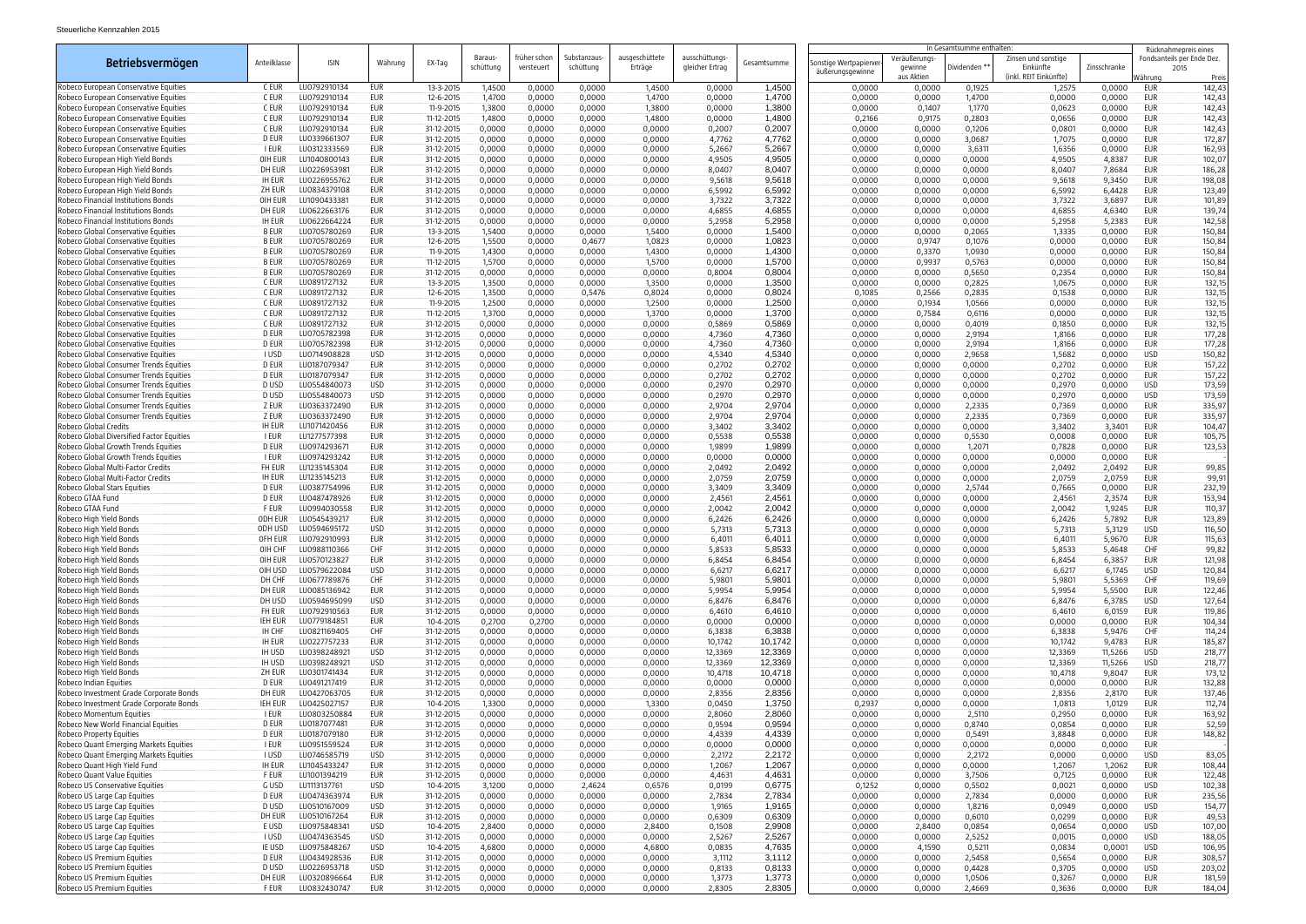|                                                                                    |                               |                              |                          |                          |                            |                            |                          |                           |                                   |                  | In Gesamtsumme enthalten:                 |                         |                  |                                                            | Rücknahmepreis eines |                   |                                    |
|------------------------------------------------------------------------------------|-------------------------------|------------------------------|--------------------------|--------------------------|----------------------------|----------------------------|--------------------------|---------------------------|-----------------------------------|------------------|-------------------------------------------|-------------------------|------------------|------------------------------------------------------------|----------------------|-------------------|------------------------------------|
| Betriebsvermögen                                                                   | Anteilklasse                  | <b>ISIN</b>                  | Währung                  | EX-Tag                   | <b>Baraus</b><br>schüttung | früher schon<br>versteuert | Substanzaus<br>schüttung | ausgeschüttete<br>Erträge | ausschüttungs-<br>gleicher Ertrag | Gesamtsumme      | Sonstige Wertpapierve<br>äußerungsgewinne | Veräußerungs<br>gewinne | Dividenden **    | Zinsen und sonstige<br>Einkünfte<br>(inkl. REIT Einkünfte) | Zinsschranke         |                   | Fondsanteils per Ende Dez.<br>2015 |
| Robeco European Conservative Equities                                              | C EUR                         | LU0792910134                 | EUR                      | 13-3-2015                | 1,4500                     | 0,0000                     | 0,0000                   | 1,4500                    | 0,0000                            | 1,4500           | 0,0000                                    | aus Aktien<br>0,0000    | 0,1925           | 1,2575                                                     | 0,0000               | Währunc<br>EUR    | Preis<br>142,43                    |
| Robeco European Conservative Equities                                              | C EUR                         | LU0792910134                 | EUR                      | 12-6-2015                | 1,4700                     | 0,0000                     | 0,0000                   | 1,4700                    | 0,0000                            | 1,4700           | 0,0000                                    | 0,0000                  | 1,4700           | 0,0000                                                     | 0,0000               | EUR               | 142,43                             |
| Robeco European Conservative Equities                                              | C EUR                         | LU0792910134                 | EUR                      | 11-9-2015                | 1,3800                     | 0,0000                     | 0,0000                   | 1,3800                    | 0,0000                            | 1,3800           | 0,0000                                    | 0,1407                  | 1,1770           | 0,0623                                                     | 0,0000               | EUR               | 142,43                             |
| Robeco European Conservative Equities                                              | C EUR                         | LU0792910134                 | EUR                      | 11-12-2015               | 1,4800                     | 0,0000                     | 0,0000                   | 1,4800                    | 0,0000                            | 1,4800           | 0,2166                                    | 0,9175                  | 0,2803           | 0,0656                                                     | 0,0000               | EUR               | 142,43                             |
| Robeco European Conservative Equities                                              | C EUR                         | LU0792910134                 | <b>EUR</b>               | 31-12-2015               | 0,0000                     | 0,0000                     | 0,0000                   | 0,0000                    | 0,2007                            | 0,2007           | 0,0000                                    | 0,0000                  | 0,1206           | 0,0801                                                     | 0,0000               | <b>EUR</b>        | 142,43                             |
| Robeco European Conservative Equities                                              | D EUR                         | LU0339661307                 | EUR                      | 31-12-2015               | 0,0000                     | 0,0000                     | 0,0000                   | 0,0000                    | 4,7762                            | 4,7762           | 0,0000                                    | 0,0000                  | 3,0687           | 1,7075                                                     | 0,0000               | EUR               | 172,87                             |
| Robeco European Conservative Equities<br>Robeco European High Yield Bonds          | I EUR<br>OIH EUR              | LU0312333569<br>LU1040800143 | EUR<br>EUR               | 31-12-2015<br>31-12-2015 | 0,0000<br>0,0000           | 0,0000<br>0,0000           | 0,0000<br>0,0000         | 0,0000<br>0,0000          | 5,2667<br>4,9505                  | 5,2667<br>4,9505 | 0,0000<br>0,0000                          | 0,0000<br>0,0000        | 3,6311<br>0,0000 | 1,6356<br>4,9505                                           | 0,0000<br>4,8387     | EUR<br>EUR        | 162,93<br>102,07                   |
| Robeco European High Yield Bonds                                                   | DH EUR                        | LU0226953981                 | EUR                      | 31-12-2015               | 0,0000                     | 0,0000                     | 0,0000                   | 0,0000                    | 8,0407                            | 8,0407           | 0,0000                                    | 0,0000                  | 0,0000           | 8,0407                                                     | 7,8684               | EUR               | 186,28                             |
| Robeco European High Yield Bonds                                                   | <b>IH EUR</b>                 | LU0226955762                 | EUR                      | 31-12-2015               | 0,0000                     | 0,0000                     | 0,0000                   | 0,0000                    | 9,5618                            | 9,5618           | 0,0000                                    | 0,0000                  | 0,0000           | 9,5618                                                     | 9,3450               | EUR               | 198,08                             |
| Robeco European High Yield Bonds                                                   | ZH EUR                        | LU0834379108                 | EUR                      | 31-12-2015               | 0,0000                     | 0,0000                     | 0,0000                   | 0,0000                    | 6,5992                            | 6,5992           | 0,0000                                    | 0,0000                  | 0,0000           | 6,5992                                                     | 6,4428               | EUR               | 123,49                             |
| Robeco Financial Institutions Bonds                                                | OIH EUR                       | LU1090433381                 | EUR                      | 31-12-2015               | 0,0000                     | 0,0000                     | 0,0000                   | 0,0000                    | 3,7322                            | 3,7322           | 0,0000                                    | 0,0000                  | 0,0000           | 3,7322                                                     | 3,6897               | EUR               | 101,89                             |
| Robeco Financial Institutions Bonds                                                | DH EUR                        | LU0622663176                 | EUR                      | 31-12-2015               | 0,0000                     | 0,0000                     | 0,0000                   | 0,0000                    | 4,6855                            | 4,6855           | 0,0000                                    | 0,0000                  | 0,0000           | 4,6855                                                     | 4,6340               | EUR               | 139,74                             |
| Robeco Financial Institutions Bonds<br>Robeco Global Conservative Equities         | <b>IH EUR</b><br><b>B EUR</b> | LU0622664224<br>LU0705780269 | <b>EUR</b><br>EUR        | 31-12-2015<br>13-3-2015  | 0,0000<br>1,5400           | 0,0000<br>0,0000           | 0,0000<br>0,0000         | 0,0000<br>1,5400          | 5,2958<br>0,0000                  | 5,2958<br>1,5400 | 0,0000<br>0,0000                          | 0,0000<br>0,0000        | 0,0000<br>0,2065 | 5,2958<br>1,3335                                           | 5,2383<br>0,0000     | EUR<br>EUR        | 142,58<br>150,84                   |
| Robeco Global Conservative Equities                                                | <b>B EUR</b>                  | LU0705780269                 | EUR                      | 12-6-2015                | 1,5500                     | 0,0000                     | 0,4677                   | 1,0823                    | 0,0000                            | 1,0823           | 0,0000                                    | 0,9747                  | 0,1076           | 0,0000                                                     | 0,0000               | EUR               | 150,84                             |
| Robeco Global Conservative Equities                                                | <b>B EUR</b>                  | LU0705780269                 | <b>EUR</b>               | 11-9-2015                | 1,4300                     | 0,0000                     | 0,0000                   | 1,4300                    | 0,0000                            | 1,4300           | 0,0000                                    | 0,3370                  | 1,0930           | 0,0000                                                     | 0,0000               | <b>EUR</b>        | 150,84                             |
| Robeco Global Conservative Equities                                                | <b>B EUR</b>                  | LU0705780269                 | EUR                      | 11-12-2015               | 1,5700                     | 0,0000                     | 0,0000                   | 1,5700                    | 0,0000                            | 1,5700           | 0,0000                                    | 0,9937                  | 0,5763           | 0,0000                                                     | 0,0000               | EUR               | 150,84                             |
| Robeco Global Conservative Equities                                                | <b>B EUR</b>                  | LU0705780269                 | <b>EUR</b>               | 31-12-2015               | 0,0000                     | 0,0000                     | 0,0000                   | 0,0000                    | 0,8004                            | 0,8004           | 0,0000                                    | 0,0000                  | 0,5650           | 0,2354                                                     | 0,0000               | EUR               | 150,84                             |
| Robeco Global Conservative Equities                                                | C EUR                         | LU0891727132                 | EUR                      | 13-3-2015                | 1,3500                     | 0,0000                     | 0,0000                   | 1,3500                    | 0,0000                            | 1,3500           | 0,0000                                    | 0,0000                  | 0,2825           | 1,0675                                                     | 0,0000               | EUR               | 132,15                             |
| Robeco Global Conservative Equities<br>Robeco Global Conservative Equities         | C EUR<br>C EUR                | LU0891727132<br>LU0891727132 | EUR                      | 12-6-2015<br>11-9-2015   | 1,3500                     | 0,0000<br>0,0000           | 0,5476                   | 0,8024                    | 0,0000                            | 0,8024           | 0,1085<br>0,0000                          | 0,2566                  | 0,2835           | 0,1538                                                     | 0,0000<br>0,0000     | <b>EUR</b><br>EUR | 132,15                             |
| Robeco Global Conservative Equities                                                | C EUR                         | LU0891727132                 | EUR<br>EUR               | 11-12-2015               | 1,2500<br>1,3700           | 0,0000                     | 0,0000<br>0,0000         | 1,2500<br>1,3700          | 0,0000<br>0,0000                  | 1,2500<br>1,3700 | 0,0000                                    | 0,1934<br>0,7584        | 1,0566<br>0,6116 | 0,0000<br>0,0000                                           | 0,0000               | EUR               | 132,15<br>132,15                   |
| Robeco Global Conservative Equities                                                | C EUR                         | LU0891727132                 | EUR                      | 31-12-2015               | 0,0000                     | 0,0000                     | 0,0000                   | 0,0000                    | 0,5869                            | 0,5869           | 0,0000                                    | 0,0000                  | 0,4019           | 0,1850                                                     | 0,0000               | EUR               | 132,15                             |
| Robeco Global Conservative Equities                                                | D EUR                         | LU0705782398                 | EUR                      | 31-12-2015               | 0,0000                     | 0,0000                     | 0,0000                   | 0,0000                    | 4,7360                            | 4,7360           | 0,0000                                    | 0,0000                  | 2,9194           | 1,8166                                                     | 0,0000               | <b>EUR</b>        | 177,28                             |
| Robeco Global Conservative Equities                                                | D EUR                         | LU0705782398                 | EUR                      | 31-12-2015               | 0,0000                     | 0,0000                     | 0,0000                   | 0,0000                    | 4,7360                            | 4,7360           | 0,0000                                    | 0,0000                  | 2,9194           | 1,8166                                                     | 0,0000               | EUR               | 177,28                             |
| Robeco Global Conservative Equities                                                | I USD                         | LU0714908828                 | <b>USD</b>               | 31-12-2015               | 0,0000                     | 0,0000                     | 0,0000                   | 0,0000                    | 4,5340                            | 4,5340           | 0,0000                                    | 0,0000                  | 2,9658           | 1,5682                                                     | 0,0000               | <b>USD</b>        | 150,82                             |
| Robeco Global Consumer Trends Equities                                             | D EUR                         | LU0187079347                 | EUR                      | 31-12-2015               | 0,0000                     | 0,0000                     | 0,0000                   | 0,0000                    | 0,2702                            | 0,2702           | 0,0000                                    | 0,0000                  | 0,0000           | 0,2702                                                     | 0,0000               | EUR               | 157,22                             |
| Robeco Global Consumer Trends Equities<br>Robeco Global Consumer Trends Equities   | D EUR<br>D USD                | LU0187079347<br>LU0554840073 | EUR<br><b>USD</b>        | 31-12-2015<br>31-12-2015 | 0,0000                     | 0,0000<br>0,0000           | 0,0000                   | 0,0000                    | 0,2702                            | 0,2702<br>0,2970 | 0,0000                                    | 0,0000<br>0,0000        | 0,0000<br>0,0000 | 0,2702                                                     | 0,0000<br>0,0000     | EUR<br><b>USD</b> | 157,22                             |
| Robeco Global Consumer Trends Equities                                             | D USD                         | LU0554840073                 | USD                      | 31-12-2015               | 0,0000<br>0,0000           | 0,0000                     | 0,0000<br>0,0000         | 0,0000<br>0,0000          | 0,2970<br>0,2970                  | 0,2970           | 0,0000<br>0,0000                          | 0,0000                  | 0,0000           | 0,2970<br>0,2970                                           | 0,0000               | <b>USD</b>        | 173,59<br>173,59                   |
| Robeco Global Consumer Trends Equities                                             | z eur                         | LU0363372490                 | EUR                      | 31-12-2015               | 0,0000                     | 0,0000                     | 0,0000                   | 0,0000                    | 2,9704                            | 2,9704           | 0,0000                                    | 0,0000                  | 2,2335           | 0,7369                                                     | 0,0000               | EUR               | 335,97                             |
| Robeco Global Consumer Trends Equities                                             | z eur                         | LU0363372490                 | EUR                      | 31-12-2015               | 0,0000                     | 0,0000                     | 0,0000                   | 0,0000                    | 2,9704                            | 2,9704           | 0,0000                                    | 0,0000                  | 2,2335           | 0,7369                                                     | 0,0000               | <b>EUR</b>        | 335,97                             |
| Robeco Global Credits                                                              | <b>IH EUR</b>                 | LU1071420456                 | EUR                      | 31-12-2015               | 0,0000                     | 0,0000                     | 0,0000                   | 0,0000                    | 3,3402                            | 3,3402           | 0,0000                                    | 0,0000                  | 0,0000           | 3,3402                                                     | 3,3401               | EUR               | 104,47                             |
| Robeco Global Diversified Factor Equities                                          | i Eur                         | LU1277577398                 | EUR                      | 31-12-2015               | 0,0000                     | 0,0000                     | 0,0000                   | 0,0000                    | 0,5538                            | 0,5538           | 0,0000                                    | 0,0000                  | 0,5530           | 0,0008                                                     | 0,0000               | EUR               | 105,75                             |
| Robeco Global Growth Trends Equities                                               | D EUR                         | LU0974293671                 | EUR                      | 31-12-2015               | 0,0000                     | 0,0000                     | 0,0000                   | 0,0000                    | 1,9899                            | 1,9899           | 0,0000                                    | 0,0000                  | 1,2071           | 0,7828                                                     | 0,0000               | EUR               | 123,53                             |
| Robeco Global Growth Trends Equities<br>Robeco Global Multi-Factor Credits         | I EUR<br>FH EUR               | LU0974293242<br>LU1235145304 | EUR<br>EUR               | 31-12-2015<br>31-12-2015 | 0,0000<br>0,0000           | 0,0000                     | 0,0000                   | 0,0000<br>0,0000          | 0,0000                            | 0,0000<br>2,0492 | 0,0000                                    | 0,0000<br>0,0000        | 0,0000           | 0,0000<br>2,0492                                           | 0,0000<br>2,0492     | EUR<br>EUR        | 99,85                              |
| Robeco Global Multi-Factor Credits                                                 | ih Eur                        | LU1235145213                 | EUR                      | 31-12-2015               | 0,0000                     | 0,0000<br>0,0000           | 0,0000<br>0,0000         | 0,0000                    | 2,0492<br>2,0759                  | 2,0759           | 0,0000<br>0,0000                          | 0,0000                  | 0,0000<br>0,0000 | 2,0759                                                     | 2,0759               | EUR               | 99,91                              |
| Robeco Global Stars Equities                                                       | D EUR                         | LU0387754996                 | EUR                      | 31-12-2015               | 0,0000                     | 0,0000                     | 0,0000                   | 0,0000                    | 3,3409                            | 3,3409           | 0,0000                                    | 0,0000                  | 2,5744           | 0,7665                                                     | 0,0000               | EUR               | 232,19                             |
| Robeco GTAA Fund                                                                   | D EUR                         | LU0487478926                 | EUR                      | 31-12-2015               | 0,0000                     | 0,0000                     | 0,0000                   | 0,0000                    | 2,4561                            | 2,4561           | 0,0000                                    | 0,0000                  | 0,0000           | 2,4561                                                     | 2,3574               | EUR               | 153,94                             |
| Robeco GTAA Fund                                                                   | F EUR                         | LU0994030558                 | <b>EUR</b>               | 31-12-2015               | 0,0000                     | 0,0000                     | 0,0000                   | 0,0000                    | 2,0042                            | 2,0042           | 0,0000                                    | 0,0000                  | 0,0000           | 2,0042                                                     | 1,9245               | <b>EUR</b>        | 110,37                             |
| Robeco High Yield Bonds                                                            | ODH EUR                       | LU0545439217                 | EUR                      | 31-12-2015               | 0,0000                     | 0,0000                     | 0,0000                   | 0,0000                    | 6,2426                            | 6,2426           | 0,0000                                    | 0,0000                  | 0,0000           | 6,2426                                                     | 5,7892               | EUR               | 123,89                             |
| Robeco High Yield Bonds<br>Robeco High Yield Bonds                                 | ODH USD                       | LU0594695172<br>LU0792910993 | <b>USD</b>               | 31-12-2015<br>31-12-2015 | 0,0000<br>0,0000           | 0,0000                     | 0,0000<br>0,0000         | 0,0000<br>0,0000          | 5,7313                            | 5,7313<br>6,4011 | 0,0000                                    | 0,0000<br>0,0000        | 0,0000           | 5,7313                                                     | 5,3129               | <b>USD</b>        | 116,50                             |
| Robeco High Yield Bonds                                                            | OFH EUR<br>OIH CHF            | LU0988110366                 | EUR<br>CHF               | 31-12-2015               | 0,0000                     | 0,0000<br>0,0000           | 0,0000                   | 0,0000                    | 6,4011<br>5,8533                  | 5,8533           | 0,0000<br>0,0000                          | 0,0000                  | 0,0000<br>0,0000 | 6,4011<br>5,8533                                           | 5,9670<br>5,4648     | EUR<br>CHF        | 115,63<br>99,82                    |
| Robeco High Yield Bonds                                                            | OIH EUR                       | LU0570123827                 | EUR                      | 31-12-2015               | 0,0000                     | 0,0000                     | 0,0000                   | 0,0000                    | 6,8454                            | 6,8454           | 0,0000                                    | 0,0000                  | 0,0000           | 6,8454                                                     | 6,3857               | EUR               | 121,98                             |
| Robeco High Yield Bonds                                                            | OIH USD                       | LU0579622084                 | <b>USD</b>               | 31-12-2015               | 0,0000                     | 0,0000                     | 0,0000                   | 0,0000                    | 6,6217                            | 6,6217           | 0,0000                                    | 0,0000                  | 0,0000           | 6,6217                                                     | 6,1745               | USD               | 120,84                             |
| Robeco High Yield Bonds                                                            | DH CHF                        | LU0677789876                 | CHF                      | 31-12-2015               | 0,0000                     | 0,0000                     | 0,0000                   | 0,0000                    | 5,9801                            | 5,9801           | 0,0000                                    | 0,0000                  | 0,0000           | 5,9801                                                     | 5,5369               | CHF               | 119,69                             |
| Robeco High Yield Bonds                                                            | DH EUR                        | LU0085136942                 | <b>EUR</b>               | 31-12-2015               | 0,0000                     | 0,0000                     | 0,0000                   | 0,0000                    | 5,9954                            | 5,9954           | 0,0000                                    | 0,0000                  | 0,0000           | 5,9954                                                     | 5,5500               | <b>EUR</b>        | 122,46                             |
| Robeco High Yield Bonds                                                            | DH USD                        | LU0594695099                 | <b>USD</b>               | 31-12-2015               | 0,0000                     | 0,0000                     | 0,0000                   | 0,0000                    | 6,8476                            | 6,8476           | 0,0000                                    | 0,0000                  | 0,0000           | 6,8476                                                     | 6,3785               | <b>USD</b>        | 127,64                             |
| Robeco High Yield Bonds<br>Robeco High Yield Bonds                                 | FH EUR<br>IEH EUR             | LU0792910563<br>LU0779184851 | <b>EUR</b><br><b>EUR</b> | 31-12-2015<br>10-4-2015  | 0,0000<br>0,2700           | 0,0000<br>0,2700           | 0,0000<br>0,0000         | 0,0000<br>0,0000          | 6,4610<br>0,0000                  | 6,4610<br>0,0000 | 0,0000<br>0,0000                          | 0,0000<br>0,0000        | 0,0000<br>0,0000 | 6,4610<br>0,0000                                           | 6,0159<br>0,0000     | EUR<br>EUR        | 119,86<br>104,34                   |
| Robeco High Yield Bonds                                                            | IH CHF                        | LU0821169405                 | CHF                      | 31-12-2015               | 0,0000                     | 0,0000                     | 0,0000                   | 0,0000                    | 6,3838                            | 6,3838           | 0,0000                                    | 0,0000                  | 0,0000           | 6,3838                                                     | 5,9476               | CHF               | 114,24                             |
| Robeco High Yield Bonds                                                            | <b>IH EUR</b>                 | LU0227757233                 | <b>EUR</b>               | 31-12-2015               | 0,0000                     | 0,0000                     | 0,0000                   | 0,0000                    | 10,1742                           | 10,1742          | 0,0000                                    | 0,0000                  | 0,0000           | 10,1742                                                    | 9,4783               | EUR               | 185,87                             |
| Robeco High Yield Bonds                                                            | <b>IH USD</b>                 | LU0398248921                 | <b>USD</b>               | 31-12-2015               | 0,0000                     | 0,0000                     | 0,0000                   | 0,0000                    | 12,3369                           | 12,3369          | 0,0000                                    | 0,0000                  | 0,0000           | 12,3369                                                    | 11,5266              | <b>USD</b>        | 218,77                             |
| Robeco High Yield Bonds                                                            | IH USD                        | LU0398248921                 | <b>USD</b>               | 31-12-2015               | 0,0000                     | 0,0000                     | 0,0000                   | 0,0000                    | 12,3369                           | 12,3369          | 0,0000                                    | 0,0000                  | 0,0000           | 12,3369                                                    | 11,5266              | <b>USD</b>        | 218,77                             |
| Robeco High Yield Bonds                                                            | ZH EUR                        | LU0301741434                 | <b>EUR</b>               | 31-12-2015               | 0,0000                     | 0,0000                     | 0,0000                   | 0,0000                    | 10,4718                           | 10,4718          | 0,0000                                    | 0,0000                  | 0,0000           | 10,4718                                                    | 9,8047               | <b>EUR</b>        | 173,12                             |
| Robeco Indian Equities                                                             | D EUR                         | LU0491217419<br>LU0427063705 | <b>EUR</b><br>EUR        | 31-12-2015               | 0,0000                     | 0,0000                     | 0,0000                   | 0,0000                    | 0,0000                            | 0,0000           | 0,0000                                    | 0,0000                  | 0,0000           | 0,0000                                                     | 0,0000               | EUR               | 132,88                             |
| Robeco Investment Grade Corporate Bonds<br>Robeco Investment Grade Corporate Bonds | DH EUR<br>IEH EUR             | LU0425027157                 | EUR                      | 31-12-2015<br>10-4-2015  | 0,0000<br>1,3300           | 0,0000<br>0,0000           | 0,0000<br>0,0000         | 0,0000<br>1,3300          | 2,8356<br>0,0450                  | 2,8356<br>1,3750 | 0,0000<br>0,2937                          | 0,0000<br>0,0000        | 0,0000<br>0,0000 | 2,8356<br>1,0813                                           | 2,8170<br>1,0129     | EUR<br>EUR        | 137,46<br>112,74                   |
| Robeco Momentum Equities                                                           | I EUR                         | LU0803250884                 | <b>EUR</b>               | 31-12-2015               | 0,0000                     | 0,0000                     | 0,0000                   | 0,0000                    | 2,8060                            | 2,8060           | 0,0000                                    | 0,0000                  | 2,5110           | 0,2950                                                     | 0,0000               | <b>EUR</b>        | 163,92                             |
| Robeco New World Financial Equities                                                | D EUR                         | LU0187077481                 | EUR                      | 31-12-2015               | 0,0000                     | 0,0000                     | 0,0000                   | 0,0000                    | 0,9594                            | 0,9594           | 0,0000                                    | 0,0000                  | 0,8740           | 0,0854                                                     | 0,0000               | EUR               | 52,59                              |
| Robeco Property Equities                                                           | D EUR                         | LU0187079180                 | EUR                      | 31-12-2015               | 0,0000                     | 0,0000                     | 0,0000                   | 0,0000                    | 4,4339                            | 4,4339           | 0,0000                                    | 0,0000                  | 0,5491           | 3,8848                                                     | 0,0000               | EUR               | 148,82                             |
| Robeco Quant Emerging Markets Equities                                             | I EUR                         | LU0951559524                 | EUR                      | 31-12-2015               | 0,0000                     | 0,0000                     | 0,0000                   | 0,0000                    | 0,0000                            | 0,0000           | 0,0000                                    | 0,0000                  | 0,0000           | 0,0000                                                     | 0,0000               | <b>EUR</b>        |                                    |
| Robeco Quant Emerging Markets Equities                                             | I USD                         | LU0746585719                 | <b>USD</b>               | 31-12-2015               | 0,0000                     | 0,0000                     | 0,0000                   | 0,0000                    | 2,2172                            | 2,2172           | 0,0000                                    | 0,0000                  | 2,2172           | 0,0000                                                     | 0,0000               | <b>USD</b>        | 83,05                              |
| Robeco Quant High Yield Fund                                                       | <b>IH EUR</b>                 | LU1045433247                 | <b>EUR</b>               | 31-12-2015               | 0,0000                     | 0,0000                     | 0,0000                   | 0,0000                    | 1,2067                            | 1,2067           | 0,0000                                    | 0,0000                  | 0,0000           | 1,2067                                                     | 1,2062               | <b>EUR</b><br>EUR | 108,44                             |
| Robeco Quant Value Equities<br>Robeco US Conservative Equities                     | F EUR<br>G USD                | LU1001394219<br>LU1113137761 | EUR<br><b>USD</b>        | 31-12-2015<br>10-4-2015  | 0,0000<br>3,1200           | 0,0000<br>0,0000           | 0,0000<br>2,4624         | 0,0000<br>0,6576          | 4,4631<br>0,0199                  | 4,4631<br>0,6775 | 0,0000<br>0,1252                          | 0,0000<br>0,0000        | 3,7506<br>0,5502 | 0,7125<br>0,0021                                           | 0,0000<br>0,0000     | USD               | 122,48<br>102,38                   |
| Robeco US Large Cap Equities                                                       | D EUR                         | LU0474363974                 | EUR                      | 31-12-2015               | 0,0000                     | 0,0000                     | 0,0000                   | 0,0000                    | 2,7834                            | 2,7834           | 0,0000                                    | 0,0000                  | 2,7834           | 0,0000                                                     | 0,0000               | EUR               | 235,56                             |
| Robeco US Large Cap Equities                                                       | D USD                         | LU0510167009                 | <b>USD</b>               | 31-12-2015               | 0,0000                     | 0,0000                     | 0,0000                   | 0,0000                    | 1,9165                            | 1,9165           | 0,0000                                    | 0,0000                  | 1,8216           | 0,0949                                                     | 0,0000               | USD               | 154,77                             |
| Robeco US Large Cap Equities                                                       | DH EUR                        | LU0510167264                 | EUR                      | 31-12-2015               | 0,0000                     | 0,0000                     | 0,0000                   | 0,0000                    | 0,6309                            | 0,6309           | 0,0000                                    | 0,0000                  | 0,6010           | 0,0299                                                     | 0,0000               | EUR               | 49,53                              |
| Robeco US Large Cap Equities                                                       | E USD                         | LU0975848341                 | USD                      | 10-4-2015                | 2,8400                     | 0,0000                     | 0,0000                   | 2,8400                    | 0,1508                            | 2,9908           | 0,0000                                    | 2,8400                  | 0,0854           | 0,0654                                                     | 0,0000               | USD               | 107,00                             |
| Robeco US Large Cap Equities                                                       | I USD                         | LU0474363545                 | <b>USD</b>               | 31-12-2015               | 0,0000                     | 0,0000                     | 0,0000                   | 0,0000                    | 2,5267                            | 2,5267           | 0,0000                                    | 0,0000                  | 2,5252           | 0,0015                                                     | 0,0000               | USD               | 188,05                             |
| Robeco US Large Cap Equities                                                       | IE USD                        | LU0975848267                 | <b>USD</b><br>EUR        | 10-4-2015                | 4,6800                     | 0,0000                     | 0,0000                   | 4,6800                    | 0,0835                            | 4,7635<br>3,1112 | 0,0000                                    | 4,1590                  | 0,5211           | 0,0834                                                     | 0,0001               | USD<br>EUR        | 106,95<br>308,57                   |
| Robeco US Premium Equities<br>Robeco US Premium Equities                           | D EUR<br>D USD                | LU0434928536<br>LU0226953718 | <b>USD</b>               | 31-12-2015<br>31-12-2015 | 0,0000<br>0,0000           | 0,0000<br>0,0000           | 0,0000<br>0,0000         | 0,0000<br>0,0000          | 3,1112<br>0,8133                  | 0,8133           | 0,0000<br>0,0000                          | 0,0000<br>0,0000        | 2,5458<br>0,4428 | 0,5654<br>0,3705                                           | 0,0000<br>0,0000     | USD               | 203,02                             |
| Robeco US Premium Equities                                                         | DH EUR                        | LU0320896664                 | <b>EUR</b>               | 31-12-2015               | 0,0000                     | 0,0000                     | 0,0000                   | 0,0000                    | 1,3773                            | 1,3773           | 0,0000                                    | 0,0000                  | 1,0506           | 0,3267                                                     | 0,0000               | EUR               | 181,59                             |
| Robeco US Premium Equities                                                         | F EUR                         | LU0832430747                 | <b>EUR</b>               | 31-12-2015               | 0,0000                     | 0,0000                     | 0,0000                   | 0,0000                    | 2,8305                            | 2,8305           | 0,0000                                    | 0,0000                  | 2,4669           | 0,3636                                                     | 0,0000               | EUR               | 184,04                             |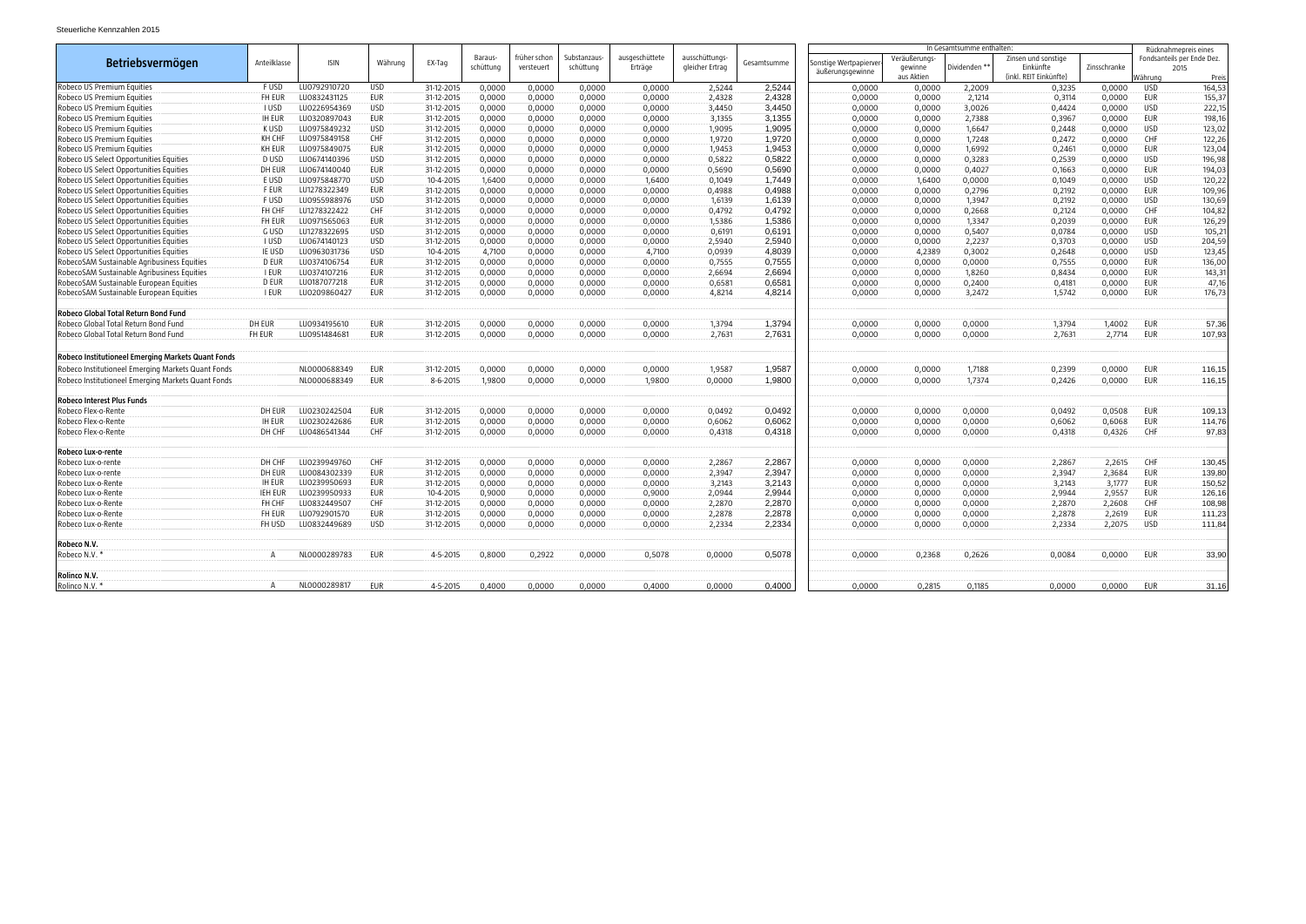|                                                    |                |              |            |            |           |              |             |                |                 |             |                                          |              | In Gesamtsumme enthalten |                        |              | Rücknahmepreis eines |                            |  |
|----------------------------------------------------|----------------|--------------|------------|------------|-----------|--------------|-------------|----------------|-----------------|-------------|------------------------------------------|--------------|--------------------------|------------------------|--------------|----------------------|----------------------------|--|
|                                                    | Anteilklasse   | <b>ISIN</b>  | Währung    |            | Baraus-   | früher schon | Substanzaus | ausgeschüttete | ausschüttungs-  |             |                                          | Veräußerungs |                          | Zinsen und sonstige    |              |                      | Fondsanteils per Ende Dez. |  |
| <b>Betriebsvermögen</b>                            |                |              |            | EX-Tag     | schüttung | versteuert   | schüttung   | Erträge        | gleicher Ertrag | Gesamtsumme | Sonstige Wertpapierv<br>äußerungsgewinne | aewinne      | Dividenden <sup>*</sup>  | Einkünfte              | Zinsschranke |                      | 2015                       |  |
|                                                    |                |              |            |            |           |              |             |                |                 |             |                                          | aus Aktien   |                          | (inkl. REIT Einkünfte) |              | Nährunc              | Preis                      |  |
| Robeco US Premium Equities                         | <b>FUSD</b>    | LU0792910720 | <b>USD</b> | 31-12-2015 | 0,0000    | 0,0000       | 0,0000      | 0,0000         | 2,5244          | 2,5244      | 0,0000                                   | 0,0000       | 2,2009                   | 0,3235                 | 0,0000       | USD                  | 164,53                     |  |
| Robeco US Premium Equities                         | FH EUR         | LU0832431125 | <b>EUR</b> | 31-12-2015 | 0,0000    | 0,0000       | 0,0000      | 0,0000         | 2,4328          | 2,4328      | 0,0000                                   | 0,0000       | 2,1214                   | 0,3114                 | 0,0000       | EUR                  | 155,37                     |  |
| Robeco US Premium Equities                         | <b>I USD</b>   | LU0226954369 | <b>USD</b> | 31-12-2015 | 0,0000    | 0,0000       | 0,0000      | 0,0000         | 3,4450          | 3,4450      | 0,0000                                   | 0,0000       | 3,0026                   | 0,4424                 | 0,0000       | <b>USD</b>           | 222,15                     |  |
| Robeco US Premium Equities                         | <b>IH EUR</b>  | LU0320897043 | EUR        | 31-12-2015 | 0,0000    | 0,0000       | 0,0000      | 0,0000         | 3,1355          | 3,1355      | 0,0000                                   | 0,0000       | 2,7388                   | 0,3967                 | 0,0000       | EUR                  | 198,16                     |  |
| Robeco US Premium Equities                         | K USD          | LU0975849232 | <b>USD</b> | 31-12-2015 | 0,0000    | 0,0000       | 0,0000      | 0,0000         | 1,9095          | 1,9095      | 0,0000                                   | 0,0000       | 1,6647                   | 0,2448                 | 0,0000       | USD                  | 123,02                     |  |
| Robeco US Premium Equities                         | KH CHF         | LU0975849158 | <b>CHF</b> | 31-12-2015 | 0,0000    | 0,0000       | 0,0000      | 0,0000         | 1,9720          | 1,9720      | 0,0000                                   | 0,0000       | 1,7248                   | 0,2472                 | 0,0000       | CHF                  | 122,26                     |  |
| Robeco US Premium Equities                         | <b>KH EUR</b>  | LU0975849075 | EUR        | 31-12-2015 | 0,0000    | 0,0000       | 0,0000      | 0,0000         | 1,9453          | 1,9453      | 0,0000                                   | 0,0000       | 1,6992                   | 0,2461                 | 0,0000       | EUR                  | 123,04                     |  |
| Robeco US Select Opportunities Equities            | D USD          | LU0674140396 | <b>USD</b> | 31-12-2015 | 0,0000    | 0,0000       | 0,0000      | 0.0000         | 0,5822          | 0.5822      | 0,0000                                   | 0,0000       | 0,3283                   | 0,2539                 | 0,0000       | USD                  | 196,98                     |  |
| Robeco US Select Opportunities Equities            | DH EUR         | LU0674140040 | EUR        | 31-12-2015 | 0,0000    | 0,0000       | 0,0000      | 0,0000         | 0,5690          | 0,5690      | 0,0000                                   | 0,0000       | 0,4027                   | 0,1663                 | 0,0000       | EUR                  | 194,03                     |  |
| Robeco US Select Opportunities Equities            | E USD          | LU097584877C | <b>USD</b> | 10-4-2015  | 1,6400    | 0,0000       | 0,0000      | 1,6400         | 0,1049          | 1.7449      | 0,0000                                   | 1,6400       | 0,0000                   | 0,1049                 | 0,0000       | USD                  | 120,22                     |  |
| Robeco US Select Opportunities Equities            | <b>FEUR</b>    | LU1278322349 | EUR        | 31-12-2015 | 0,0000    | 0,0000       | 0,0000      | 0,0000         | 0,4988          | 0,4988      | 0,0000                                   | 0,0000       | 0,2796                   | 0,2192                 | 0,0000       | EUR                  | 109,96                     |  |
| Robeco US Select Opportunities Equities            | F USD          | LU0955988976 | <b>USD</b> | 31-12-2015 | 0,0000    | 0,0000       | 0,0000      | 0,0000         | 1,6139          | 1,6139      | 0,0000                                   | 0,0000       | 1,3947                   | 0,2192                 | 0,0000       | <b>USD</b>           | 130,69                     |  |
| Robeco US Select Opportunities Equities            | FH CHF         | LU1278322422 | <b>CHF</b> | 31-12-2015 | 0,0000    | 0,0000       | 0,0000      | 0,0000         | 0,4792          | 0,4792      | 0,0000                                   | 0,0000       | 0,2668                   | 0,2124                 | 0,0000       | <b>CHF</b>           | 104,82                     |  |
| Robeco US Select Opportunities Equities            | FH EUR         | LU0971565063 | <b>EUR</b> | 31-12-2015 | 0,0000    | 0,0000       | 0,0000      | 0,0000         | 1,5386          | 1,5386      | 0,0000                                   | 0,0000       | 1,3347                   | 0,2039                 | 0,0000       | EUR                  | 126,29                     |  |
| Robeco US Select Opportunities Equities            | G USD          | LU1278322695 | <b>USD</b> | 31-12-2015 | 0,0000    | 0,0000       | 0,0000      | 0,0000         | 0,6191          | 0,6191      | 0,0000                                   | 0,0000       | 0,5407                   | 0,0784                 | 0,0000       | USD                  | $105,2^{\circ}$            |  |
| Robeco US Select Opportunities Equities            | <b>I</b> USD   | LU0674140123 | <b>USD</b> | 31-12-2015 | 0,0000    | 0,0000       | 0,0000      | 0,0000         | 2,5940          | 2,5940      | 0,0000                                   | 0,0000       | 2,2237                   | 0,3703                 | 0,0000       | USD                  | 204,59                     |  |
| Robeco US Select Opportunities Equities            | IE USD         | LU0963031736 | <b>USD</b> | 10-4-2015  | 4,7100    | 0,0000       | 0,0000      | 4,7100         | 0,0939          | 4,8039      | 0,0000                                   | 4,2389       | 0,3002                   | 0,2648                 | 0,0000       | USD                  | 123,45                     |  |
| RobecoSAM Sustainable Agribusiness Equities        | D EUR          | LU0374106754 | EUR        | 31-12-2015 | 0,0000    | 0,0000       | 0,0000      | 0,0000         | 0,7555          | 0.7555      | 0,0000                                   | 0,0000       | 0,0000                   | 0,7555                 | 0,0000       | EUR                  | 136,00                     |  |
| RobecoSAM Sustainable Agribusiness Equities        | <b>I EUR</b>   | LU0374107216 | <b>EUR</b> | 31-12-2015 | 0,0000    | 0.0000       | 0,0000      | 0.0000         | 2.6694          | 2.6694      | 0,0000                                   | 0.0000       | 1,8260                   | 0,8434                 | 0.0000       | EUR                  | 143,31                     |  |
| RobecoSAM Sustainable European Equities            | D EUR          | LU0187077218 | <b>EUR</b> | 31-12-2015 | 0,0000    | 0,0000       | 0,0000      | 0,0000         | 0,6581          | 0,6581      | 0,0000                                   | 0,0000       | 0,2400                   | 0,4181                 | 0,0000       | EUR                  | 47,16                      |  |
| RobecoSAM Sustainable European Equities            | <b>I EUR</b>   | LU0209860427 | <b>EUR</b> | 31-12-2015 | 0,0000    | 0,0000       | 0,0000      | 0,0000         | 4,8214          | 4,8214      | 0,0000                                   | 0,0000       | 3,2472                   | 1,5742                 | 0,0000       | EUR                  | 176,73                     |  |
|                                                    |                |              |            |            |           |              |             |                |                 |             |                                          |              |                          |                        |              |                      |                            |  |
| Robeco Global Total Return Bond Fund               |                |              |            |            |           |              |             |                |                 |             |                                          |              |                          |                        |              |                      |                            |  |
| Robeco Global Total Return Bond Fund               | DH EUR         | LU0934195610 | <b>EUR</b> | 31-12-2015 | 0,0000    | 0,0000       | 0,0000      | 0,0000         | 1,3794          | 1,3794      | 0,0000                                   | 0,0000       | 0,0000                   | 1,3794                 | 1,4002       | EUR                  | 57,36                      |  |
| Robeco Global Total Return Bond Fund               | FH EUR         | LU0951484681 | <b>EUR</b> | 31-12-2015 | 0,0000    | 0,0000       | 0,0000      | 0,0000         | 2,7631          | 2,7631      | 0,0000                                   | 0,0000       | 0,0000                   | 2,7631                 | 2,7714       | EUR                  | 107,93                     |  |
|                                                    |                |              |            |            |           |              |             |                |                 |             |                                          |              |                          |                        |              |                      |                            |  |
| Robeco Institutioneel Emerging Markets Quant Fonds |                |              |            |            |           |              |             |                |                 |             |                                          |              |                          |                        |              |                      |                            |  |
| Robeco Institutioneel Emerging Markets Quant Fonds |                | NL0000688349 | <b>EUR</b> | 31-12-2015 | 0,0000    | 0,0000       | 0,0000      | 0,0000         | 1,9587          | 1,9587      | 0,0000                                   | 0.0000       | 1,7188                   | 0,2399                 | 0,0000       | EUR                  | 116,15                     |  |
| Robeco Institutioneel Emerging Markets Quant Fonds |                | NL0000688349 | <b>EUR</b> | 8-6-2015   | 1,9800    | 0,0000       | 0,0000      | 1,9800         | 0,0000          | 1,9800      | 0,0000                                   | 0,0000       | 1,7374                   | 0,2426                 | 0,0000       | EUR                  | 116,15                     |  |
| Robeco Interest Plus Funds                         |                |              |            |            |           |              |             |                |                 |             |                                          |              |                          |                        |              |                      |                            |  |
| Robeco Flex-o-Rente                                | DH EUR         | U0230242504  | <b>EUR</b> | 31-12-2015 | 0,0000    | 0,0000       | 0,0000      | 0,0000         | 0,0492          | 0,0492      | 0,0000                                   | 0,0000       | 0,0000                   | 0,0492                 | 0,0508       | <b>EUR</b>           | 109,13                     |  |
| Robeco Flex-o-Rente                                | <b>IH EUR</b>  | LU0230242686 | <b>EUR</b> | 31-12-2015 | 0,0000    | 0,0000       | 0,0000      | 0,0000         | 0,6062          | 0,6062      | 0,0000                                   | 0,0000       | 0,0000                   | 0,6062                 | 0,6068       | <b>EUR</b>           | 114,76                     |  |
| Robeco Flex-o-Rente                                | DH CHF         | LU0486541344 | CHF        | 31-12-2015 | 0.0000    | 0.0000       | 0.0000      | 0.0000         | 0.4318          | 0,4318      | 0,0000                                   | 0,0000       | 0,0000                   | 0.4318                 | 0,4326       | <b>CHF</b>           | 97,83                      |  |
|                                                    |                |              |            |            |           |              |             |                |                 |             |                                          |              |                          |                        |              |                      |                            |  |
| Robeco Lux-o-rente                                 |                |              |            |            |           |              |             |                |                 |             |                                          |              |                          |                        |              |                      |                            |  |
| Robeco Lux-o-rente                                 | DH CHF         | LU0239949760 | CHF        | 31-12-2015 | 0,0000    | 0,0000       | 0,0000      | 0,0000         | 2,2867          | 2,2867      | 0,0000                                   | 0,0000       | 0,0000                   | 2,2867                 | 2,2615       | CHF                  | 130,45                     |  |
| Robeco Lux-o-rente                                 | DH EUR         | LU0084302339 | <b>EUR</b> | 31-12-2015 | 0,0000    | 0,0000       | 0,0000      | 0,0000         | 2,3947          | 2,3947      | 0,0000                                   | 0,0000       | 0,0000                   | 2,3947                 | 2,3684       | EUR                  | 139,80                     |  |
| Robeco Lux-o-Rente                                 | <b>IH EUR</b>  | LU0239950693 | EUR        | 31-12-2015 | 0,0000    | 0.0000       | 0,0000      | 0,0000         | 3.2143          | 3.2143      | 0,0000                                   | 0,0000       | 0,0000                   | 3,2143                 | 3,1777       | EUR                  | 150,52                     |  |
| Robeco Lux-o-Rente                                 | <b>IEH EUR</b> | LU0239950933 | <b>EUR</b> | 10-4-2015  | 0,9000    | 0,0000       | 0,0000      | 0,9000         | 2,0944          | 2,9944      | 0,0000                                   | 0,0000       | 0,0000                   | 2,9944                 | 2,9557       | EUR                  | 126,16                     |  |
| Robeco Lux-o-Rente                                 | FH CHF         | LU0832449507 | CHF        | 31-12-2015 | 0,0000    | 0,0000       | 0,0000      | 0,0000         | 2,2870          | 2,2870      | 0,0000                                   | 0,0000       | 0,0000                   | 2,2870                 | 2,2608       | CHF                  | 108,98                     |  |
| Robeco Lux-o-Rente                                 | FH EUR         | LU0792901570 | <b>EUR</b> | 31-12-2015 | 0,0000    | 0,0000       | 0,0000      | 0,0000         | 2,2878          | 2,2878      | 0,0000                                   | 0,0000       | 0,0000                   | 2,2878                 | 2,2619       | EUR                  | 111,23                     |  |
| Robeco Lux-o-Rente                                 | FH USD         | LU0832449689 | <b>USD</b> | 31-12-2015 | 0,0000    | 0,0000       | 0,0000      | 0,0000         | 2,2334          | 2,2334      | 0,0000                                   | 0,0000       | 0,0000                   | 2,2334                 | 2,2075       | USD                  | 111,84                     |  |
| Robeco N.V.                                        |                |              |            |            |           |              |             |                |                 |             |                                          |              |                          |                        |              |                      |                            |  |
| Robeco N.V.                                        | A              | NL0000289783 | <b>EUR</b> | 4-5-2015   | 0,8000    | 0,2922       | 0,0000      | 0,5078         | 0,0000          | 0,5078      | 0,0000                                   | 0,2368       | 0,2626                   | 0,0084                 | 0,0000       | EUR                  | 33,90                      |  |
|                                                    |                |              |            |            |           |              |             |                |                 |             |                                          |              |                          |                        |              |                      |                            |  |
| Rolinco N.V.                                       |                |              |            |            |           |              |             |                |                 |             |                                          |              |                          |                        |              |                      |                            |  |
| Rolinco N.V.                                       |                | NL0000289817 | EUR        | 4-5-2015   | 0,4000    | 0.0000       | 0.0000      | 0.4000         | 0,0000          | 0,4000      | 0,0000                                   | 0,2815       | 0,1185                   | 0,0000                 | 0,0000       | EUR                  | 31,16                      |  |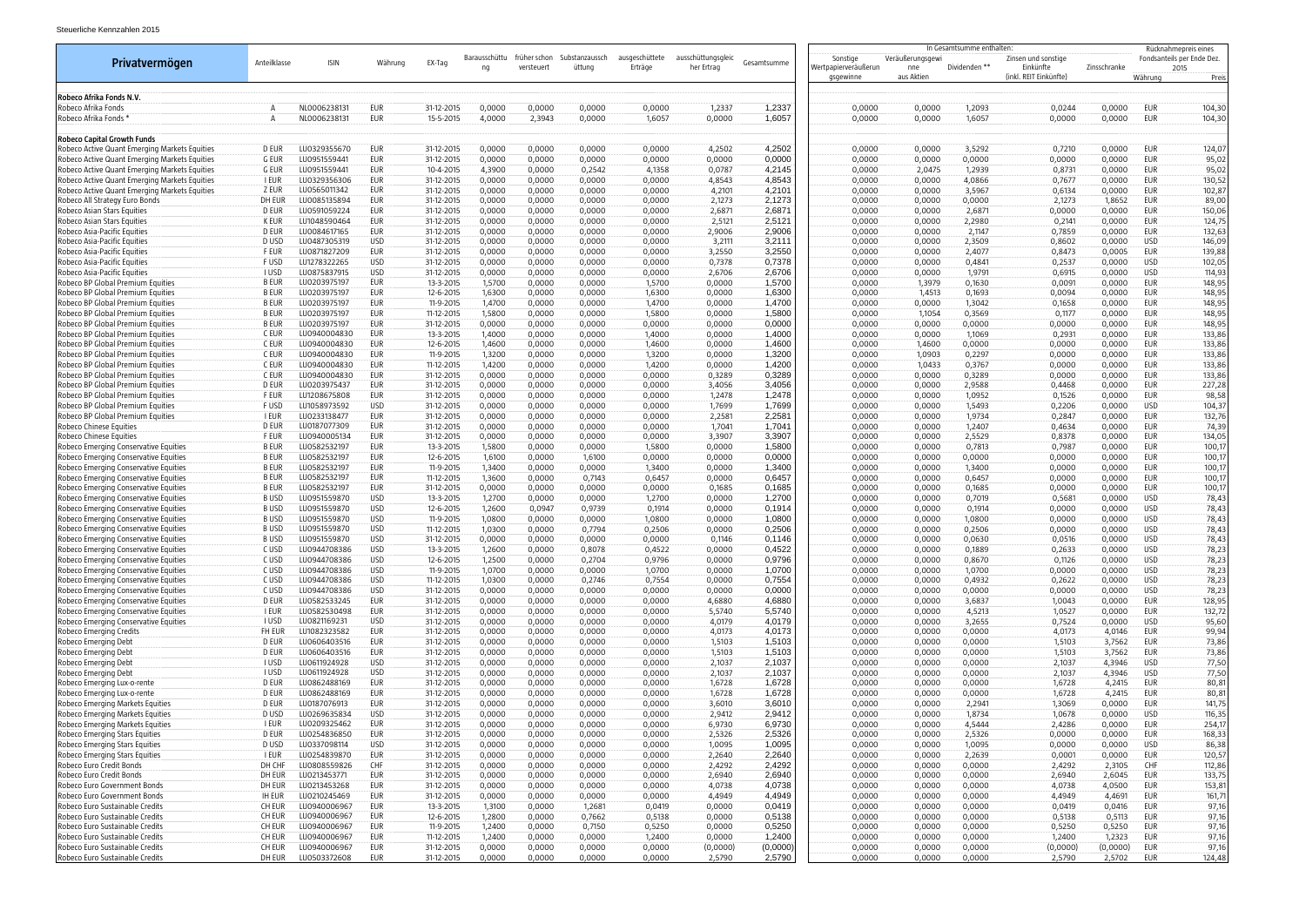|                                                                                                |                             |                              |                          |                          |                     |                            |                          |                           |                                  |                    |                                               | In Gesamtsumme enthalten              |                  |                                                            |                    |                          | Rücknahmepreis eines                        |
|------------------------------------------------------------------------------------------------|-----------------------------|------------------------------|--------------------------|--------------------------|---------------------|----------------------------|--------------------------|---------------------------|----------------------------------|--------------------|-----------------------------------------------|---------------------------------------|------------------|------------------------------------------------------------|--------------------|--------------------------|---------------------------------------------|
| Privatvermögen                                                                                 | Anteilklasse                | <b>ISIN</b>                  | Währung                  | EX-Tag                   | Barausschüttu<br>nq | früher schon<br>versteuert | Substanzaussch<br>üttung | ausgeschüttete<br>Erträge | ausschüttungsgleic<br>her Ertrag | Gesamtsumme        | Sonstige<br>Wertpapierveräußerun<br>gsgewinne | Veräußerungsgewi<br>nne<br>aus Aktien | Dividenden **    | Zinsen und sonstige<br>Einkünfte<br>(inkl. REIT Einkünfte) | Zinsschranke       | Währung                  | Fondsanteils per Ende Dez.<br>2015<br>Preis |
| Robeco Afrika Fonds N.V.                                                                       |                             |                              |                          |                          |                     |                            |                          |                           |                                  |                    |                                               |                                       |                  |                                                            |                    |                          |                                             |
| Robeco Afrika Fonds                                                                            |                             | NL0006238131                 | EUR                      | 31-12-2015               | 0,0000              | 0,0000                     | 0,0000                   | 0,0000                    | 1,2337                           | 1,2337             | 0,0000                                        | 0,0000                                | 1,2093           | 0,0244                                                     | 0,0000             | EUR                      | 104,30                                      |
| Robeco Afrika Fonds *                                                                          |                             | NL0006238131                 | <b>EUR</b>               | 15-5-2015                | 4,0000              | 2,3943                     | 0,0000                   | 1,6057                    | 0,0000                           | 1,6057             | 0,0000                                        | 0,0000                                | 1,6057           | 0,0000                                                     | 0,0000             | EUR                      | 104,30                                      |
| <b>Robeco Capital Growth Funds</b>                                                             |                             |                              |                          |                          |                     |                            |                          |                           |                                  |                    |                                               |                                       |                  |                                                            |                    |                          |                                             |
| Robeco Active Quant Emerging Markets Equities                                                  | D EUR                       | LU0329355670                 | <b>EUR</b>               | 31-12-2015               | 0,0000              | 0,0000                     | 0,0000                   | 0,0000                    | 4,2502                           | 4,2502             | 0,0000                                        | 0,0000                                | 3,5292           | 0,7210                                                     | 0,0000             | EUR                      | 124,07                                      |
| Robeco Active Quant Emerging Markets Equities                                                  | g eur                       | LU0951559441                 | EUR                      | 31-12-2015               | 0,0000              | 0,0000                     | 0,0000                   | 0,0000                    | 0,0000                           | 0,0000             | 0,0000                                        | 0,0000                                | 0,0000           | 0,0000                                                     | 0,0000             | EUR                      | 95,02                                       |
| Robeco Active Quant Emerging Markets Equities<br>Robeco Active Quant Emerging Markets Equities | G EUR<br>I EUR              | LU0951559441<br>LU0329356306 | <b>EUR</b><br>EUR        | 10-4-2015<br>31-12-2015  | 4,3900<br>0,0000    | 0,0000<br>0,0000           | 0,2542<br>0,0000         | 4,1358<br>0,0000          | 0,0787<br>4,8543                 | 4,2145<br>4,8543   | 0,0000<br>0,0000                              | 2,0475<br>0,0000                      | 1,2939<br>4,0866 | 0,8731<br>0,7677                                           | 0,0000<br>0,0000   | EUR<br>EUR               | 95,02<br>130,52                             |
| Robeco Active Quant Emerging Markets Equities                                                  | Z EUR                       | LU0565011342                 | <b>EUR</b>               | 31-12-2015               | 0,0000              | 0,0000                     | 0,0000                   | 0,0000                    | 4,2101                           | 4,2101             | 0,0000                                        | 0,0000                                | 3,5967           | 0,6134                                                     | 0,0000             | EUR                      | 102,87                                      |
| Robeco All Strategy Euro Bonds                                                                 | DH EUR                      | LU0085135894                 | <b>EUR</b>               | 31-12-2015               | 0,0000              | 0,0000                     | 0,0000                   | 0,0000                    | 2,1273                           | 2,1273             | 0,0000                                        | 0,0000                                | 0,0000           | 2,1273                                                     | 1,8652             | EUR                      | 89,00                                       |
| Robeco Asian Stars Equities                                                                    | D EUR                       | LU0591059224                 | <b>EUR</b>               | 31-12-2015               | 0,0000              | 0,0000                     | 0,0000                   | 0,0000                    | 2,6871                           | 2,6871             | 0,0000                                        | 0,0000                                | 2,6871           | 0,0000                                                     | 0,0000             | eur                      | 150,06                                      |
| Robeco Asian Stars Equities                                                                    | K EUR                       | LU1048590464                 | <b>EUR</b>               | 31-12-2015               | 0,0000              | 0,0000                     | 0,0000                   | 0,0000                    | 2,5121                           | 2,5121             | 0,0000                                        | 0,0000                                | 2,2980           | 0,2141                                                     | 0,0000             | EUR                      | 124,75                                      |
| Robeco Asia-Pacific Equities                                                                   | D EUR                       | LU0084617165                 | <b>EUR</b><br><b>USD</b> | 31-12-2015               | 0,0000              | 0,0000                     | 0,0000                   | 0,0000                    | 2,9006                           | 2,9006<br>3,2111   | 0,0000                                        | 0,0000                                | 2,1147           | 0,7859                                                     | 0,0000             | EUR<br>USD               | 132,63                                      |
| Robeco Asia-Pacific Equities<br>Robeco Asia-Pacific Equities                                   | D USD<br><b>FEUR</b>        | LU0487305319<br>LU0871827209 | EUR                      | 31-12-2015<br>31-12-2015 | 0,0000<br>0,0000    | 0,0000<br>0,0000           | 0,0000<br>0,0000         | 0,0000<br>0,0000          | 3,2111<br>3,2550                 | 3,2550             | 0,0000<br>0,0000                              | 0,0000<br>0,0000                      | 2,3509<br>2,4077 | 0,8602<br>0,8473                                           | 0,0000<br>0,0005   | EUR                      | 146,09<br>139,88                            |
| Robeco Asia-Pacific Equities                                                                   | F USD                       | LU1278322265                 | <b>USD</b>               | 31-12-2015               | 0,0000              | 0,0000                     | 0,0000                   | 0,0000                    | 0,7378                           | 0,7378             | 0,0000                                        | 0,0000                                | 0,4841           | 0,2537                                                     | 0,0000             | <b>USD</b>               | 102,05                                      |
| Robeco Asia-Pacific Equities                                                                   | <b>I</b> USD                | LU0875837915                 | <b>USD</b>               | 31-12-2015               | 0,0000              | 0,0000                     | 0,0000                   | 0,0000                    | 2,6706                           | 2,6706             | 0,0000                                        | 0,0000                                | 1,9791           | 0,6915                                                     | 0,0000             | <b>USD</b>               | 114,93                                      |
| Robeco BP Global Premium Equities                                                              | <b>BEUR</b>                 | LU0203975197                 | <b>EUR</b>               | 13-3-2015                | 1,5700              | 0,0000                     | 0,0000                   | 1,5700                    | 0,0000                           | 1,5700             | 0,0000                                        | 1,3979                                | 0,1630           | 0,0091                                                     | 0,0000             | EUR                      | 148,95                                      |
| Robeco BP Global Premium Equities                                                              | <b>B EUR</b>                | LU0203975197                 | <b>EUR</b>               | 12-6-2015                | 1,6300              | 0,0000                     | 0,0000                   | 1,6300                    | 0,0000                           | 1,6300             | 0,0000                                        | 1,4513                                | 0,1693           | 0,0094                                                     | 0,0000             | EUR                      | 148,95                                      |
| Robeco BP Global Premium Equities<br>Robeco BP Global Premium Equities                         | <b>BEUR</b><br><b>B EUR</b> | LU0203975197<br>LU0203975197 | <b>EUR</b><br><b>EUR</b> | 11-9-2015<br>11-12-2015  | 1,4700<br>1,5800    | 0,0000<br>0,0000           | 0,0000<br>0,0000         | 1,4700<br>1,5800          | 0,0000<br>0,0000                 | 1,4700<br>1,5800   | 0,0000<br>0,0000                              | 0,0000<br>1,1054                      | 1,3042<br>0,3569 | 0,1658<br>0,1177                                           | 0,0000<br>0,0000   | EUR<br>EUR               | 148,95<br>148,95                            |
| Robeco BP Global Premium Equities                                                              | <b>BEUR</b>                 | LU0203975197                 | <b>EUR</b>               | 31-12-2015               | 0,0000              | 0,0000                     | 0,0000                   | 0,0000                    | 0,0000                           | 0,0000             | 0,0000                                        | 0,0000                                | 0,0000           | 0,0000                                                     | 0,0000             | EUR                      | 148,95                                      |
| Robeco BP Global Premium Equities                                                              | C EUR                       | LU094000483C                 | EUR                      | 13-3-2015                | 1,4000              | 0,0000                     | 0,0000                   | 1,4000                    | 0,0000                           | 1,4000             | 0,0000                                        | 0,0000                                | 1,1069           | 0,2931                                                     | 0,0000             | EUR                      | 133,86                                      |
| Robeco BP Global Premium Equities                                                              | C EUR                       | LU094000483C                 | EUR                      | 12-6-2015                | 1,4600              | 0,0000                     | 0,0000                   | 1,4600                    | 0,0000                           | 1,4600             | 0,0000                                        | 1,4600                                | 0,0000           | 0,0000                                                     | 0,0000             | EUR                      | 133,86                                      |
| Robeco BP Global Premium Equities                                                              | C EUR                       | LU094000483C                 | EUR                      | 11-9-2015                | 1,3200              | 0,0000                     | 0,0000                   | 1,3200                    | 0,0000                           | 1,3200             | 0,0000                                        | 1,0903                                | 0,2297           | 0,0000                                                     | 0,0000             | EUR                      | 133,86                                      |
| Robeco BP Global Premium Equities                                                              | C EUR                       | LU094000483C                 | EUR                      | 11-12-2015               | 1,4200              | 0,0000                     | 0,0000                   | 1,4200                    | 0,0000                           | 1,4200             | 0,0000                                        | 1,0433                                | 0,3767           | 0,0000                                                     | 0,0000             | EUR                      | 133,86                                      |
| Robeco BP Global Premium Equities                                                              | C EUR<br>D EUR              | LU094000483C<br>LU0203975437 | EUR<br><b>EUR</b>        | 31-12-2015               | 0,0000              | 0,0000                     | 0,0000                   | 0,0000                    | 0,3289                           | 0,3289             | 0,0000                                        | 0,0000                                | 0,3289           | 0,0000                                                     | 0,0000             | EUR                      | 133,86                                      |
| Robeco BP Global Premium Equities<br>Robeco BP Global Premium Equities                         | <b>FEUR</b>                 | LU1208675808                 | <b>EUR</b>               | 31-12-2015<br>31-12-2015 | 0,0000<br>0,0000    | 0,0000<br>0,0000           | 0,0000<br>0,0000         | 0,0000<br>0,0000          | 3,4056<br>1,2478                 | 3,4056<br>1,2478   | 0,0000<br>0,0000                              | 0,0000<br>0,0000                      | 2,9588<br>1,0952 | 0,4468<br>0,1526                                           | 0,0000<br>0,0000   | EUR<br>EUR               | 227,28<br>98,58                             |
| Robeco BP Global Premium Equities                                                              | <b>FUSD</b>                 | LU1058973592                 | <b>USD</b>               | 31-12-2015               | 0,0000              | 0,0000                     | 0,0000                   | 0,0000                    | 1,7699                           | 1,7699             | 0,0000                                        | 0,0000                                | 1,5493           | 0,2206                                                     | 0,0000             | USD                      | 104,37                                      |
| Robeco BP Global Premium Equities                                                              | I EUR                       | LU0233138477                 | EUR                      | 31-12-2015               | 0,0000              | 0,0000                     | 0,0000                   | 0,0000                    | 2,2581                           | 2,2581             | 0,0000                                        | 0,0000                                | 1,9734           | 0,2847                                                     | 0,0000             | EUR                      | 132,76                                      |
| Robeco Chinese Equities                                                                        | D EUR                       | LU0187077309                 | <b>EUR</b>               | 31-12-2015               | 0,0000              | 0,0000                     | 0,0000                   | 0,0000                    | 1,7041                           | 1,7041             | 0,0000                                        | 0,0000                                | 1,2407           | 0,4634                                                     | 0,0000             | EUR                      | 74,39                                       |
| Robeco Chinese Equities                                                                        | <b>FEUR</b>                 | LU0940005134                 | EUR                      | 31-12-2015               | 0,0000              | 0,0000                     | 0,0000                   | 0,0000                    | 3,3907                           | 3,3907             | 0,0000                                        | 0,0000                                | 2,5529           | 0,8378                                                     | 0,0000             | EUR                      | 134,05                                      |
| Robeco Emerging Conservative Equities<br>Robeco Emerging Conservative Equities                 | <b>BEUR</b><br><b>B EUR</b> | LU0582532197<br>LU0582532197 | <b>EUR</b><br><b>EUR</b> | 13-3-2015<br>12-6-2015   | 1,5800<br>1,6100    | 0,0000<br>0,0000           | 0,0000<br>1,6100         | 1,5800<br>0,0000          | 0,0000<br>0,0000                 | 1,5800<br>0,0000   | 0,0000<br>0,0000                              | 0,0000<br>0,0000                      | 0,7813<br>0,0000 | 0,7987<br>0,0000                                           | 0,0000<br>0,0000   | EUR<br>EUR               | 100,17<br>100,17                            |
| Robeco Emerging Conservative Equities                                                          | <b>BEUR</b>                 | LU0582532197                 | <b>EUR</b>               | 11-9-2015                | 1,3400              | 0,0000                     | 0,0000                   | 1,3400                    | 0,0000                           | 1,3400             | 0,0000                                        | 0,0000                                | 1,3400           | 0,0000                                                     | 0,0000             | EUR                      | 100,17                                      |
| Robeco Emerging Conservative Equities                                                          | <b>BEUR</b>                 | LU0582532197                 | <b>EUR</b>               | 11-12-2015               | 1,3600              | 0,0000                     | 0,7143                   | 0,6457                    | 0,0000                           | 0,6457             | 0,0000                                        | 0,0000                                | 0,6457           | 0,0000                                                     | 0,0000             | EUR                      | 100,17                                      |
| Robeco Emerging Conservative Equities                                                          | <b>BEUR</b>                 | LU0582532197                 | <b>EUR</b>               | 31-12-2015               | 0,0000              | 0,0000                     | 0,0000                   | 0,0000                    | 0,1685                           | 0,1685             | 0,0000                                        | 0,0000                                | 0,1685           | 0,0000                                                     | 0,0000             | EUR                      | 100,17                                      |
| Robeco Emerging Conservative Equities<br>Robeco Emerging Conservative Equities                 | <b>BUSD</b><br><b>BUSD</b>  | LU0951559870<br>LU0951559870 | <b>USD</b><br><b>USD</b> | 13-3-2015<br>12-6-2015   | 1,2700              | 0,0000<br>0,0947           | 0,0000<br>0,9739         | 1,2700<br>0,1914          | 0,0000                           | 1,2700<br>0,1914   | 0,0000<br>0,0000                              | 0,0000                                | 0,7019           | 0,5681                                                     | 0,0000<br>0,0000   | <b>USD</b>               | 78,43                                       |
| Robeco Emerging Conservative Equities                                                          | <b>BUSD</b>                 | LU0951559870                 | <b>USD</b>               | 11-9-2015                | 1,2600<br>1,0800    | 0,0000                     | 0,0000                   | 1,0800                    | 0,0000<br>0,0000                 | 1,0800             | 0,0000                                        | 0,0000<br>0,0000                      | 0,1914<br>1,0800 | 0,0000<br>0,0000                                           | 0,0000             | <b>USD</b><br><b>USD</b> | 78,43<br>78,43                              |
| Robeco Emerging Conservative Equities                                                          | <b>BUSD</b>                 | LU0951559870                 | <b>USD</b>               | 11-12-2015               | 1,0300              | 0,0000                     | 0,7794                   | 0,2506                    | 0,0000                           | 0,2506             | 0,0000                                        | 0,0000                                | 0,2506           | 0,0000                                                     | 0,0000             | <b>USD</b>               | 78,43                                       |
| Robeco Emerging Conservative Equities                                                          | <b>BUSD</b>                 | LU0951559870                 | USD                      | 31-12-2015               | 0,0000              | 0,0000                     | 0,0000                   | 0,0000                    | 0,1146                           | 0,1146             | 0,0000                                        | 0,0000                                | 0,0630           | 0,0516                                                     | 0,0000             | <b>USD</b>               | 78,43                                       |
| Robeco Emerging Conservative Equities                                                          | C USD                       | LU0944708386                 | USD                      | 13-3-2015                | 1,2600              | 0,0000                     | 0,8078                   | 0,4522                    | 0,0000                           | 0,4522             | 0,0000                                        | 0,0000                                | 0,1889           | 0,2633                                                     | 0,0000             | USD                      | 78,23                                       |
| Robeco Emerging Conservative Equities                                                          | C USD                       | LU0944708386                 | USD                      | 12-6-2015                | 1,2500              | 0,0000                     | 0,2704                   | 0,9796                    | 0,0000                           | 0,9796             | 0,0000                                        | 0,0000                                | 0,8670           | 0,1126                                                     | 0,0000             | USD                      | 78,23                                       |
| Robeco Emerging Conservative Equities<br>Robeco Emerging Conservative Equities                 | C USD<br>C USD              | LU0944708386<br>LU0944708386 | USD<br>USD               | 11-9-2015<br>11-12-2015  | 1,0700<br>1,0300    | 0,0000<br>0,0000           | 0,0000<br>0,2746         | 1,0700<br>0,7554          | 0,0000<br>0,0000                 | 1,0700<br>0,7554   | 0,0000<br>0,0000                              | 0,0000<br>0,0000                      | 1,0700<br>0,4932 | 0,0000<br>0,2622                                           | 0,0000<br>0,0000   | USD<br>USD               | 78,23<br>78,23                              |
| Robeco Emerging Conservative Equities                                                          | C USD                       | LU0944708386                 | USD                      | 31-12-2015               | 0,0000              | 0,0000                     | 0,0000                   | 0,0000                    | 0,0000                           | 0,0000             | 0,0000                                        | 0,0000                                | 0,0000           | 0,0000                                                     | 0,0000             | USD                      | 78,23                                       |
| Robeco Emerging Conservative Equities                                                          | D EUR                       | LU0582533245                 | EUR                      | 31-12-2015               | 0,0000              | 0,0000                     | 0,0000                   | 0,0000                    | 4,6880                           | 4,6880             | 0,0000                                        | 0,0000                                | 3,6837           | 1,0043                                                     | 0,0000             | EUR                      | 128,95                                      |
| Robeco Emerging Conservative Equities                                                          | <b>I EUR</b>                | LU0582530498                 | EUR                      | 31-12-2015               | 0,0000              | 0,0000                     | 0,0000                   | 0,0000                    | 5,5740                           | 5,5740             | 0,0000                                        | 0,0000                                | 4,5213           | 1,0527                                                     | 0,0000             | EUR                      | 132,72                                      |
| Robeco Emerging Conservative Equities                                                          | I USD                       | LU0821169231                 | USD                      | 31-12-2015               | 0,0000              | 0,0000                     | 0,0000                   | 0,0000                    | 4,0179                           | 4,0179             | 0,0000                                        | 0,0000                                | 3,2655           | 0,7524                                                     | 0,0000             | USD                      | 95,60                                       |
| Robeco Emerging Credits<br>Robeco Emerging Debt                                                | FH EUR<br>D EUR             | LU1082323582<br>LU0606403516 | EUR<br><b>EUR</b>        | 31-12-2015<br>31-12-2015 | 0,0000<br>0,0000    | 0,0000<br>0,0000           | 0,0000<br>0,0000         | 0,0000<br>0,0000          | 4,0173<br>1,5103                 | 4,0173<br>1,5103   | 0,0000<br>0,0000                              | 0,0000<br>0,0000                      | 0,0000<br>0,0000 | 4,0173<br>1,5103                                           | 4,0146<br>3,7562   | EUR<br>EUR               | 99,94<br>73,86                              |
| Robeco Emerging Debt                                                                           | D EUR                       | LU0606403516                 | EUR                      | 31-12-2015               | 0,0000              | 0,0000                     | 0,0000                   | 0,0000                    | 1,5103                           | 1,5103             | 0,0000                                        | 0,0000                                | 0,0000           | 1,5103                                                     | 3,7562             | EUR                      | 73,86                                       |
| Robeco Emerging Debt                                                                           | <b>I USD</b>                | LU0611924928                 | <b>USD</b>               | 31-12-2015               | 0,0000              | 0,0000                     | 0,0000                   | 0,0000                    | 2,1037                           | 2,1037             | 0,0000                                        | 0,0000                                | 0,0000           | 2,1037                                                     | 4,3946             | USD                      | 77,50                                       |
| Robeco Emerging Debt                                                                           | I USD                       | LU0611924928                 | USD                      | 31-12-2015               | 0,0000              | 0,0000                     | 0,0000                   | 0,0000                    | 2,1037                           | 2,1037             | 0,0000                                        | 0,0000                                | 0,0000           | 2,1037                                                     | 4,3946             | USD                      | 77,50                                       |
| Robeco Emerging Lux-o-rente                                                                    | D EUR                       | LU0862488169                 | EUR                      | 31-12-2015               | 0,0000              | 0,0000                     | 0,0000                   | 0,0000                    | 1,6728                           | 1,6728             | 0,0000                                        | 0,0000                                | 0,0000           | 1,6728                                                     | 4,2415             | EUR                      | 80,81                                       |
| Robeco Emerging Lux-o-rente                                                                    | D EUR<br>D EUR              | LU0862488169<br>LU0187076913 | EUR<br>EUR               | 31-12-2015               | 0,0000              | 0,0000                     | 0,0000                   | 0,0000                    | 1,6728                           | 1,6728<br>3,6010   | 0,0000                                        | 0,0000                                | 0,0000           | 1,6728                                                     | 4,2415<br>0,0000   | EUR<br>EUR               | 80,81                                       |
| Robeco Emerging Markets Equities<br>Robeco Emerging Markets Equities                           | D USD                       | LU0269635834                 | USD                      | 31-12-2015<br>31-12-2015 | 0,0000<br>0,0000    | 0,0000<br>0,0000           | 0,0000<br>0,0000         | 0,0000<br>0,0000          | 3,6010<br>2,9412                 | 2,9412             | 0,0000<br>0,0000                              | 0,0000<br>0,0000                      | 2,2941<br>1,8734 | 1,3069<br>1,0678                                           | 0,0000             | USD                      | 141,75<br>116,35                            |
| Robeco Emerging Markets Equities                                                               | I EUR                       | LU0209325462                 | EUR                      | 31-12-2015               | 0,0000              | 0,0000                     | 0,0000                   | 0,0000                    | 6,9730                           | 6,9730             | 0,0000                                        | 0,0000                                | 4,5444           | 2,4286                                                     | 0,0000             | EUR                      | 254,17                                      |
| Robeco Emerging Stars Equities                                                                 | D EUR                       | LU0254836850                 | EUR                      | 31-12-2015               | 0,0000              | 0,0000                     | 0,0000                   | 0,0000                    | 2,5326                           | 2,5326             | 0,0000                                        | 0,0000                                | 2,5326           | 0,0000                                                     | 0,0000             | EUR                      | 168,33                                      |
| Robeco Emerging Stars Equities                                                                 | D USD                       | LU0337098114                 | USD                      | 31-12-2015               | 0,0000              | 0,0000                     | 0,0000                   | 0,0000                    | 1,0095                           | 1,0095             | 0,0000                                        | 0,0000                                | 1,0095           | 0,0000                                                     | 0,0000             | USD                      | 86,38                                       |
| Robeco Emerging Stars Equities                                                                 | I EUR                       | LU0254839870                 | EUR                      | 31-12-2015               | 0,0000              | 0,0000                     | 0,0000                   | 0,0000                    | 2,2640                           | 2,2640             | 0,0000                                        | 0,0000                                | 2,2639           | 0,0001                                                     | 0,0000             | EUR                      | 120,57                                      |
| Robeco Euro Credit Bonds<br>Robeco Euro Credit Bonds                                           | DH CHF<br>DH EUR            | LU0808559826<br>LU0213453771 | CHF<br>EUR               | 31-12-2015<br>31-12-2015 | 0,0000<br>0,0000    | 0,0000<br>0,0000           | 0,0000<br>0,0000         | 0,0000<br>0,0000          | 2,4292<br>2,6940                 | 2,4292<br>2,6940   | 0,0000<br>0,0000                              | 0,0000<br>0,0000                      | 0,0000<br>0,0000 | 2,4292<br>2,6940                                           | 2,3105<br>2,6045   | CHF<br>EUR               | 112,86<br>133,75                            |
| Robeco Euro Government Bonds                                                                   | DH EUR                      | LU0213453268                 | EUR                      | 31-12-2015               | 0,0000              | 0,0000                     | 0,0000                   | 0,0000                    | 4,0738                           | 4,0738             | 0,0000                                        | 0,0000                                | 0,0000           | 4,0738                                                     | 4,0500             | EUR                      | 153,81                                      |
| Robeco Euro Government Bonds                                                                   | <b>IH EUR</b>               | LU0210245469                 | EUR                      | 31-12-2015               | 0,0000              | 0,0000                     | 0,0000                   | 0,0000                    | 4,4949                           | 4,4949             | 0,0000                                        | 0,0000                                | 0,0000           | 4,4949                                                     | 4,4691             | eur                      | 161,71                                      |
| Robeco Euro Sustainable Credits                                                                | CH EUR                      | LU0940006967                 | <b>EUR</b>               | 13-3-2015                | 1,3100              | 0,0000                     | 1,2681                   | 0,0419                    | 0,0000                           | 0,0419             | 0,0000                                        | 0,0000                                | 0,0000           | 0,0419                                                     | 0,0416             | EUR                      | 97,16                                       |
| Robeco Euro Sustainable Credits                                                                | CH EUR                      | LU0940006967                 | EUR                      | 12-6-2015                | 1,2800              | 0,0000                     | 0,7662                   | 0,5138                    | 0,0000                           | 0,5138             | 0,0000                                        | 0,0000                                | 0,0000           | 0,5138                                                     | 0,5113             | EUR                      | 97,16                                       |
| Robeco Euro Sustainable Credits                                                                | CH EUR                      | LU0940006967                 | EUR                      | 11-9-2015                | 1,2400              | 0,0000                     | 0,7150                   | 0,5250                    | 0,0000                           | 0,5250             | 0,0000                                        | 0,0000                                | 0,0000           | 0,5250                                                     | 0,5250             | EUR                      | 97,16                                       |
| Robeco Euro Sustainable Credits<br>Robeco Euro Sustainable Credits                             | CH EUR<br>CH EUR            | LU0940006967<br>LU0940006967 | EUR<br>eur               | 11-12-2015<br>31-12-2015 | 1,2400<br>0,0000    | 0,0000<br>0,0000           | 0,0000<br>0,0000         | 1,2400<br>0,0000          | 0,0000<br>(0,0000)               | 1,2400<br>(0,0000) | 0,0000<br>0,0000                              | 0,0000<br>0,0000                      | 0,0000<br>0,0000 | 1,2400<br>(0,0000)                                         | 1,2323<br>(0,0000) | EUR<br>EUR               | 97,16<br>97,16                              |
| Robeco Euro Sustainable Credits                                                                | DH EUR                      | LU0503372608                 | EUR                      | 31-12-2015               | 0,0000              | 0,0000                     | 0,0000                   | 0,0000                    | 2,5790                           | 2,5790             | 0,0000                                        | 0,0000                                | 0,0000           | 2,5790                                                     | 2,5702             | EUR                      | 124,48                                      |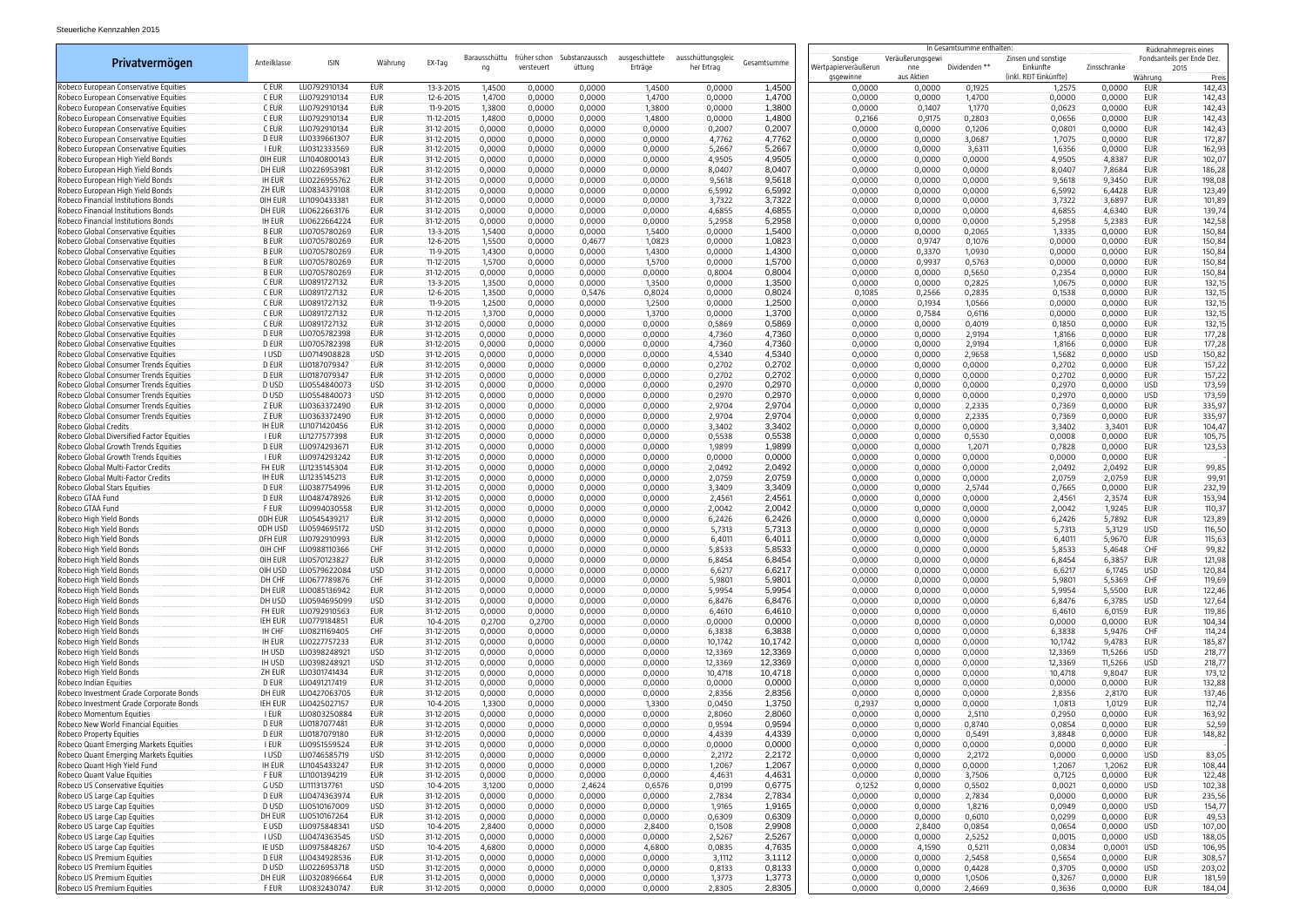| In Gesamtsumme enthalten:<br>Rücknahmepreis eines<br>ausschüttungsgleic<br>Barausschüttu<br>früher schon<br>Substanzaussch<br>ausgeschüttete<br>Veräußerungsgewi<br>Fondsanteils per Ende Dez.<br>Sonstige<br>Zinsen und sonstige<br>Privatvermögen<br>Anteilklasse<br><b>ISIN</b><br>Währung<br>EX-Tag<br>Gesamtsumme<br>Erträge<br>Wertpapierveräußerun<br>Dividenden **<br>versteuer<br>üttung<br>her Ertrag<br>nne<br>Einkünfte<br>Zinsschranke<br>ng<br>2015<br>aus Aktien<br>(inkl. REIT Einkünfte)<br>gsgewinne<br>Währung<br>Robeco European Conservative Equities<br>C EUR<br>LU0792910134<br><b>EUR</b><br>13-3-2015<br>1,4500<br>1,2575<br>0,0000<br>EUR<br>142,43<br>1,4500<br>0,0000<br>0,0000<br>1,4500<br>0,0000<br>0,0000<br>0,0000<br>0,1925<br>C EUR<br>LU0792910134<br>EUR<br>1,4700<br>0,0000<br>0,0000<br>12-6-2015<br>0,0000<br>0,0000<br>1,4700<br>0,0000<br>1,4700<br>0,0000<br>0,0000<br>1,4700<br>EUR<br>142,43<br>Robeco European Conservative Equities<br>C EUR<br>1,3800<br>1,3800<br>1,1770<br>0,0000<br>EUR<br>LU0792910134<br>EUR<br>11-9-2015<br>0,0000<br>1,3800<br>0,0000<br>0,0000<br>0,1407<br>0,0623<br>Robeco European Conservative Equities<br>0,0000<br>C EUR<br>LU0792910134<br>11-12-2015<br>1,4800<br>1,4800<br>0,2166<br>0,9175<br>0,2803<br>0,0000<br>EUR<br>Robeco European Conservative Equities<br>EUR<br>0,0000<br>0,0000<br>1,4800<br>0,0000<br>0,0656<br>Robeco European Conservative Equities<br>C EUR<br>LU0792910134<br>EUR<br>31-12-2015<br>0,0000<br>0,0000<br>0,0000<br>0,0000<br>0,2007<br>0,2007<br>0,0000<br>0,0000<br>0,1206<br>0,0801<br>0,0000<br>EUR<br>4,7762<br>D EUR<br>LU0339661307<br>EUR<br>31-12-2015<br>0,0000<br>0,0000<br>4,7762<br>0,0000<br>0,0000<br>3,0687<br>1,7075<br>0,0000<br>EUR<br>172,87<br>Robeco European Conservative Equities<br>0,0000<br>0,0000<br>5,2667<br>0,0000<br>EUR<br>I EUR<br>LU0312333569<br>EUR<br>31-12-2015<br>0,0000<br>0,0000<br>0,0000<br>0,0000<br>5,2667<br>0,0000<br>0,0000<br>3,6311<br>1,6356<br>162,93<br>Robeco European Conservative Equities<br>4,9505<br>Robeco European High Yield Bonds<br>OIH EUR<br>LU1040800143<br>EUR<br>31-12-2015<br>0,0000<br>0,0000<br>4,9505<br>0,0000<br>0,0000<br>0,0000<br>4,9505<br>4,8387<br>EUR<br>102,07<br>0,0000<br>0,0000<br>Robeco European High Yield Bonds<br>DH EUR<br>LU0226953981<br>EUR<br>31-12-2015<br>0,0000<br>0,0000<br>0,0000<br>0,0000<br>8,0407<br>8,0407<br>0,0000<br>0,0000<br>0,0000<br>8,0407<br>7,8684<br>EUR<br>186,28<br>9,5618<br><b>IH EUR</b><br>LU0226955762<br>EUR<br>31-12-2015<br>0,0000<br>0,0000<br>9,5618<br>0,0000<br>0,0000<br>0,0000<br>9,5618<br>9,3450<br>EUR<br>198,08<br>Robeco European High Yield Bonds<br>0,0000<br>0,0000<br>LU0834379108<br>6,5992<br>EUR<br>ZH EUR<br>EUR<br>31-12-2015<br>0,0000<br>0,0000<br>0,0000<br>6,5992<br>6,4428<br>Robeco European High Yield Bonds<br>0,0000<br>0,0000<br>6,5992<br>0,0000<br>0,0000<br>3,7322<br>Robeco Financial Institutions Bonds<br>LU1090433381<br>EUR<br>31-12-2015<br>0,0000<br>0,0000<br>3,7322<br>0,0000<br>3,7322<br>3,6897<br>EUR<br>OIH EUR<br>0,0000<br>0,0000<br>0,0000<br>0,0000<br>4,6855<br>4,6855<br>DH EUR<br>LU0622663176<br>EUR<br>31-12-2015<br>0,0000<br>0,0000<br>0,0000<br>0,0000<br>4,6855<br>0,0000<br>0,0000<br>0,0000<br>4,6340<br>EUR<br>5,2958<br>5,2383<br>Robeco Financial Institutions Bonds<br><b>IH EUR</b><br>LU0622664224<br>EUR<br>31-12-2015<br>0,0000<br>0,0000<br>0,0000<br>5,2958<br>0,0000<br>0,0000<br>0,0000<br>5,2958<br>EUR<br>142,58<br>0,0000<br>1,5400<br>1,5400<br>0,0000<br>EUR<br>Robeco Global Conservative Equities<br><b>B EUR</b><br>LU0705780269<br>EUR<br>13-3-2015<br>0,0000<br>0,0000<br>0,0000<br>0,0000<br>0,0000<br>0,2065<br>1,3335<br>150,84<br>1,5400<br>Robeco Global Conservative Equities<br><b>BEUR</b><br>LU0705780269<br>EUR<br>12-6-2015<br>1,5500<br>0,0000<br>0,0000<br>1,0823<br>0,0000<br>0,9747<br>0,1076<br>0,0000<br>0,0000<br>EUR<br>150,84<br>0,4677<br>1,0823<br>1,4300<br>0,0000<br>EUR<br>150,84<br>Robeco Global Conservative Equities<br><b>B EUR</b><br>LU0705780269<br>EUR<br>11-9-2015<br>1,4300<br>0,0000<br>0,0000<br>1,4300<br>0,0000<br>0,0000<br>0,3370<br>1,0930<br>0,0000<br>1,5700<br>0,0000<br>Robeco Global Conservative Equities<br><b>BEUR</b><br>LU0705780269<br>EUR<br>11-12-2015<br>1,5700<br>0,0000<br>1,5700<br>0,0000<br>0,0000<br>0,9937<br>0,5763<br>EUR<br>150,84<br>0,0000<br>0,0000<br><b>EUR</b><br>0,0000<br>0,8004<br>0,5650<br>0,0000<br>EUR<br>Robeco Global Conservative Equities<br><b>B EUR</b><br>LU0705780269<br>31-12-2015<br>0,0000<br>0,8004<br>0,0000<br>0,0000<br>0,2354<br>150,84<br>0,0000<br>0,0000<br>C EUR<br>LU0891727132<br>eur<br>13-3-2015<br>1,3500<br>0,0000<br>1,3500<br>0,0000<br>0,0000<br>0,2825<br>0,0000<br>EUR<br>0,0000<br>1,3500<br>0,0000<br>1,0675<br>1,3500<br>0,2835<br>0,0000<br>Robeco Global Conservative Equities<br>C EUR<br>LU0891727132<br>EUR<br>12-6-2015<br>0,0000<br>0,5476<br>0,8024<br>0,0000<br>0,8024<br>0,1085<br>0,2566<br>0,1538<br>EUR<br>1,2500<br>0,0000<br>C EUR<br>LU0891727132<br>EUR<br>11-9-2015<br>1,2500<br>0,0000<br>0,0000<br>1,2500<br>0,0000<br>0,0000<br>0,1934<br>1,0566<br>0,0000<br>EUR<br>0,7584<br>0,6116<br>0,0000<br><b>EUR</b><br>Robeco Global Conservative Equities<br>C EUR<br>LU0891727132<br>EUR<br>11-12-2015<br>1,3700<br>0,0000<br>0,0000<br>1,3700<br>0,0000<br>1,3700<br>0,0000<br>0,0000<br>C EUR<br>EUR<br>0,5869<br>0,0000<br>EUR<br>Robeco Global Conservative Equities<br>LU0891727132<br>31-12-2015<br>0,0000<br>0,0000<br>0,5869<br>0,0000<br>0,0000<br>0,4019<br>0,1850<br>132,15<br>0,0000<br>0,0000<br>Robeco Global Conservative Equities<br>D EUR<br>EUR<br>0,0000<br>LU0705782398<br>31-12-2015<br>0,0000<br>0,0000<br>0,0000<br>0,0000<br>4,7360<br>4,7360<br>0,0000<br>0,0000<br>2,9194<br>1,8166<br>EUR<br>177,28<br>D EUR<br>LU0705782398<br>EUR<br>4,7360<br>0,0000<br>177,28<br>Robeco Global Conservative Equities<br>31-12-2015<br>0,0000<br>0,0000<br>4,7360<br>0,0000<br>0,0000<br>2,9194<br>1,8166<br>EUR<br>0,0000<br>0,0000<br>I USD<br>LU0714908828<br>USD<br><b>USD</b><br>Robeco Global Conservative Equities<br>31-12-2015<br>0,0000<br>0,0000<br>4,5340<br>4,5340<br>0,0000<br>0,0000<br>2,9658<br>1,5682<br>0,0000<br>150,82<br>0,0000<br>0,0000<br><b>EUR</b><br>D EUR<br>LU0187079347<br>0,2702<br>Robeco Global Consumer Trends Equities<br>31-12-2015<br>0,0000<br>0,0000<br>0,0000<br>0,0000<br>0,0000<br>EUR<br>157,22<br>0,0000<br>0,0000<br>0,2702<br>0,0000<br>0,2702<br>D EUR<br>LU0187079347<br>Robeco Global Consumer Trends Equities<br>EUR<br>31-12-2015<br>0,0000<br>0,0000<br>0,0000<br>0,0000<br>0,2702<br>0,2702<br>0,0000<br>0,0000<br>0,0000<br>0,2702<br>0,0000<br>EUR<br>D USD<br>LU0554840073<br><b>USD</b><br>0,2970<br>0,0000<br>Robeco Global Consumer Trends Equities<br>31-12-2015<br>0,0000<br>0,0000<br>0,0000<br>0,0000<br>0,2970<br>0,0000<br>0,0000<br>0,0000<br>0,2970<br><b>USD</b><br>D USD<br>LU0554840073<br><b>USD</b><br>0,0000<br>0,2970<br>0,0000<br><b>USD</b><br>Robeco Global Consumer Trends Equities<br>31-12-2015<br>0,0000<br>0,0000<br>0,0000<br>0,0000<br>0,0000<br>0,2970<br>0,0000<br>0,2970<br>z eur<br>EUR<br>2,9704<br>Robeco Global Consumer Trends Equities<br>LU0363372490<br>31-12-2015<br>0,0000<br>0,0000<br>0,0000<br>2,9704<br>0,0000<br>0,0000<br>2,2335<br>0,7369<br>0,0000<br>EUR<br>0,0000<br>z eur<br>EUR<br>2,9704<br>2,2335<br>0,0000<br>EUR<br>335,97<br>Robeco Global Consumer Trends Equities<br>LU0363372490<br>31-12-2015<br>0,0000<br>0,0000<br>0,0000<br>0,0000<br>2,9704<br>0,0000<br>0,0000<br>0,7369<br>3,3402<br>Robeco Global Credits<br><b>IH EUR</b><br>LU1071420456<br>EUR<br>31-12-2015<br>0,0000<br>0,0000<br>0,0000<br>0,0000<br>0,0000<br>3,3402<br>3,3401<br>EUR<br>104,47<br>0,0000<br>0,0000<br>3,3402<br>Robeco Global Diversified Factor Equities<br>0,5538<br>I EUR<br>LU1277577398<br>EUR<br>31-12-2015<br>0,0000<br>0,0000<br>0,5538<br>0,0000<br>0,0000<br>0,5530<br>0,0008<br>0,0000<br>EUR<br>105,75<br>0,0000<br>0,0000<br>1,9899<br>Robeco Global Growth Trends Equities<br>D EUR<br>LU0974293671<br>EUR<br>31-12-2015<br>0,0000<br>0,0000<br>1,9899<br>0,0000<br>0,0000<br>0,7828<br>0,0000<br>EUR<br>123,53<br>0,0000<br>0,0000<br>1,2071<br>Robeco Global Growth Trends Equities<br>EUR<br>31-12-2015<br>0,0000<br>0,0000<br>0,0000<br>0,0000<br>0,0000<br>0,0000<br>EUR<br>i eur<br>LU0974293242<br>0,0000<br>0,0000<br>0,0000<br>0,0000<br>0,0000<br>Robeco Global Multi-Factor Credits<br>FH EUR<br>LU1235145304<br>EUR<br>31-12-2015<br>0,0000<br>0,0000<br>0,0000<br>0,0000<br>2,0492<br>2,0492<br>0,0000<br>0,0000<br>0,0000<br>2,0492<br>2,0492<br>EUR<br>2,0759<br>Robeco Global Multi-Factor Credits<br><b>IH EUR</b><br>LU1235145213<br>EUR<br>31-12-2015<br>0,0000<br>0,0000<br>0,0000<br>0,0000<br>2,0759<br>0,0000<br>0,0000<br>0,0000<br>2,0759<br>2,0759<br>EUR<br>3,3409<br>2,5744<br>EUR<br>Robeco Global Stars Equities<br>D EUR<br>LU0387754996<br>EUR<br>31-12-2015<br>0,0000<br>0,0000<br>3,3409<br>0,0000<br>0,7665<br>0,0000<br>0,0000<br>0,0000<br>0,0000<br>Robeco GTAA Fund<br>D EUR<br>EUR<br>31-12-2015<br>0,0000<br>0,0000<br>2,4561<br>0,0000<br>0,0000<br>0,0000<br>2,4561<br>2,3574<br>EUR<br>LU0487478926<br>0,0000<br>0,0000<br>2,4561<br><b>EUR</b><br>2,0042<br>110,37<br>Robeco GTAA Fund<br><b>F EUR</b><br>LU0994030558<br>31-12-2015<br>0,0000<br>0,0000<br>0,0000<br>2,0042<br>0,0000<br>0,0000<br>0,0000<br>2,0042<br>1,9245<br>EUR<br>0,0000<br>6,2426<br>Robeco High Yield Bonds<br>ODH EUR<br>LU0545439217<br><b>EUR</b><br>31-12-2015<br>0,0000<br>0,0000<br>0,0000<br>6,2426<br>0,0000<br>0,0000<br>6,2426<br>5,7892<br>EUR<br>123,89<br>0,0000<br>0,0000<br>5,7313<br><b>USD</b><br>Robeco High Yield Bonds<br>ODH USD<br><b>USD</b><br>31-12-2015<br>0,0000<br>0,0000<br>0,0000<br>0,0000<br>5,7313<br>0,0000<br>0,0000<br>0,0000<br>5,7313<br>5,3129<br>116,50<br>Robeco High Yield Bonds<br>LU0792910993<br>EUR<br>31-12-2015<br>0,0000<br>0,0000<br>0,0000<br>0,0000<br>6,4011<br>6,4011<br>0,0000<br>0,0000<br>0,0000<br>6,4011<br>5,9670<br>EUR<br>115,63<br>OFH EUR<br>0,0000<br>0,0000<br>5,8533<br>5,8533<br>0,0000<br>5,8533<br>5,4648<br>CHF<br>99,82<br>OIH CHF<br>LU0988110366<br><b>CHF</b><br>31-12-2015<br>0,0000<br>0,0000<br>0,0000<br>0,0000<br>0,0000<br>6,8454<br>6,8454<br>6,3857<br>EUR<br>OIH EUR<br>LU0570123827<br>EUR<br>31-12-2015<br>0,0000<br>0,0000<br>0,0000<br>0,0000<br>0,0000<br>0,0000<br>6,8454<br><b>USD</b><br>6,6217<br>6,6217<br>6,6217<br>6,1745<br><b>USD</b><br>Robeco High Yield Bonds<br>LU0579622084<br>31-12-2015<br>0,0000<br>0,0000<br>0,0000<br>0,0000<br>0,0000<br>0,0000<br>0,0000<br>OIH USD<br>CHF<br>CHF<br>5,9801<br>5,5369<br>119,69<br>Robeco High Yield Bonds<br>DH CHF<br>LU0677789876<br>31-12-2015<br>0,0000<br>0,0000<br>0,0000<br>5,9801<br>0,0000<br>0,0000<br>0,0000<br>5,9801<br>0,0000<br>LU0085136942<br><b>EUR</b><br>5,9954<br>EUR<br>Robeco High Yield Bonds<br>DH EUR<br>31-12-2015<br>0,0000<br>0,0000<br>0,0000<br>0,0000<br>5,9954<br>0,0000<br>0,0000<br>0,0000<br>5,9954<br>5,5500<br>122,46<br>Robeco High Yield Bonds<br>LU0594695099<br><b>USD</b><br>6,8476<br>0,0000<br>6,3785<br>USD<br>127,64<br>DH USD<br>31-12-2015<br>0,0000<br>0,0000<br>0,0000<br>6,8476<br>0,0000<br>0,0000<br>6,8476<br>0,0000<br>FH EUR<br>LU0792910563<br>6,0159<br>EUR<br>Robeco High Yield Bonds<br>eur<br>31-12-2015<br>0,0000<br>0,0000<br>0,0000<br>6,4610<br>6,4610<br>0,0000<br>0,0000<br>0,0000<br>6,4610<br>119,86<br>0,0000<br>0,0000<br>EUR<br>Robeco High Yield Bonds<br>IEH EUR<br>LU0779184851<br>EUR<br>10-4-2015<br>0,2700<br>0,2700<br>0,0000<br>0,0000<br>0,0000<br>0,0000<br>0,0000<br>0,0000<br>104,34<br>0,0000<br>0,0000<br>Robeco High Yield Bonds<br><b>IH CHF</b><br>LU0821169405<br><b>CHF</b><br>5,9476<br>CHF<br>114,24<br>31-12-2015<br>0,0000<br>0,0000<br>0,0000<br>0,0000<br>6,3838<br>6,3838<br>0,0000<br>0,0000<br>0,0000<br>6,3838<br><b>IH EUR</b><br>LU0227757233<br>EUR<br>10,1742<br>10,1742<br>9,4783<br>EUR<br>Robeco High Yield Bonds<br>31-12-2015<br>0,0000<br>0,0000<br>0,0000<br>0,0000<br>10,1742<br>0,0000<br>0,0000<br>0,0000<br><b>IH USD</b><br>LU0398248921<br>USD<br>0,0000<br>0,0000<br>12,3369<br>12,3369<br>11,5266<br><b>USD</b><br>Robeco High Yield Bonds<br>31-12-2015<br>0,0000<br>0,0000<br>12,3369<br>0,0000<br>0,0000<br>0,0000<br><b>USD</b><br><b>IH USD</b><br>LU0398248921<br>12,3369<br>Robeco High Yield Bonds<br>31-12-2015<br>0,0000<br>0,0000<br>0,0000<br>0,0000<br>12,3369<br>0,0000<br>0,0000<br>0,0000<br>12,3369<br>11,5266<br><b>USD</b><br>218,77<br><b>EUR</b><br>Robeco High Yield Bonds<br>ZH EUR<br>LU0301741434<br>0,0000<br>0,0000<br>10,4718<br>0,0000<br>EUR<br>173,12<br>31-12-2015<br>0,0000<br>0,0000<br>10,4718<br>0,0000<br>0,0000<br>10,4718<br>9,8047<br>D EUR<br>LU0491217419<br>EUR<br>0,0000<br>0,0000<br>Robeco Indian Equities<br>31-12-2015<br>0,0000<br>0,0000<br>0,0000<br>0,0000<br>0,0000<br>0,0000<br>0,0000<br>0,0000<br>EUR<br>132,88<br>0,0000<br><b>EUR</b><br>DH EUR<br>LU0427063705<br>0,0000<br>0,0000<br>2,8356<br>0,0000<br>2,8170<br>EUR<br>137,46<br>Robeco Investment Grade Corporate Bonds<br>31-12-2015<br>0,0000<br>2,8356<br>0,0000<br>0,0000<br>2,8356<br>0,0000<br><b>IEH EUR</b><br>LU0425027157<br>eur<br>1,3750<br>Robeco Investment Grade Corporate Bonds<br>10-4-2015<br>1,3300<br>0,0000<br>0,0450<br>0,2937<br>0,0000<br>0,0000<br>1,0813<br>1,0129<br>EUR<br>112,74<br>0,0000<br>1,3300<br>I EUR<br>LU0803250884<br>EUR<br>0,0000<br>2,8060<br>0,0000<br>Robeco Momentum Equities<br>31-12-2015<br>0,0000<br>0,0000<br>0,0000<br>2,8060<br>0,0000<br>0,0000<br>2,5110<br>0,2950<br>EUR<br>163,92<br>D EUR<br>LU0187077481<br>eur<br>0,9594<br>0,8740<br>0,0000<br>EUR<br>Robeco New World Financial Equities<br>31-12-2015<br>0,0000<br>0,0000<br>0,0000<br>0,0000<br>0,9594<br>0,0000<br>0,0000<br>0,0854<br>4,4339<br>0,0000<br>EUR<br>D EUR<br>LU0187079180<br>EUR<br>31-12-2015<br>0,0000<br>0,0000<br>0,0000<br>0,0000<br>4,4339<br>0,0000<br>0,0000<br>0,5491<br>3,8848<br>Robeco Property Equities<br>I EUR<br><b>EUR</b><br>0,0000<br>0,0000<br>EUR<br>Robeco Quant Emerging Markets Equities<br>LU0951559524<br>31-12-2015<br>0,0000<br>0,0000<br>0,0000<br>0,0000<br>0,0000<br>0,0000<br>0,0000<br>0,0000<br>0,0000<br><b>USD</b><br>Robeco Quant Emerging Markets Equities<br>I USD<br>LU0746585719<br>USD<br>31-12-2015<br>0,0000<br>0,0000<br>0,0000<br>0,0000<br>2,2172<br>2,2172<br>0,0000<br>0,0000<br>2,2172<br>0,0000<br>0,0000<br>83,05<br><b>EUR</b><br>1,2067<br>0,0000<br>1,2062<br>EUR<br>108,44<br>Robeco Quant High Yield Fund<br><b>IH EUR</b><br>LU1045433247<br>31-12-2015<br>0,0000<br>0,0000<br>0,0000<br>0,0000<br>1,2067<br>0,0000<br>0,0000<br>1,2067<br>LU1001394219<br>0,0000<br>122,48<br>Robeco Quant Value Equities<br>F EUR<br>eur<br>31-12-2015<br>0,0000<br>0,0000<br>0,0000<br>0,0000<br>4,4631<br>4,4631<br>0,0000<br>0,0000<br>3,7506<br>0,7125<br>EUR<br>0,6775<br>G USD<br>USD<br>3,1200<br>0,0000<br>0,5502<br>0,0000<br>USD<br>102,38<br>Robeco US Conservative Equities<br>LU1113137761<br>10-4-2015<br>2,4624<br>0,0199<br>0,1252<br>0,0000<br>0,6576<br>0,0021<br>Robeco US Large Cap Equities<br>D EUR<br>LU0474363974<br>31-12-2015<br>0,0000<br>0,0000<br>2,7834<br>2,7834<br>0,0000<br>0,0000<br>2,7834<br>0,0000<br>0,0000<br>EUR<br>235,56<br>EUR<br>0,0000<br>0,0000<br><b>USD</b><br>0,0000<br>USD<br>D USD<br>LU0510167009<br>31-12-2015<br>0,0000<br>0,0000<br>0,0000<br>0,0000<br>1,9165<br>1,9165<br>0,0000<br>0,0000<br>1,8216<br>0,0949<br>0,6010<br>0,0000<br>EUR<br>DH EUR<br>LU0510167264<br>EUR<br>31-12-2015<br>0,0000<br>0,0000<br>0,0000<br>0,6309<br>0,6309<br>0,0000<br>0,0000<br>0,0299<br>0,0000<br><b>USD</b><br>2,9908<br>0,0000<br><b>USD</b><br>E USD<br>LU0975848341<br>10-4-2015<br>2,8400<br>0,0000<br>0,0000<br>2,8400<br>0,1508<br>0,0000<br>2,8400<br>0,0854<br>0,0654<br>Robeco US Large Cap Equities<br>2,5267<br>USD<br><b>USD</b><br>Robeco US Large Cap Equities<br><b>I</b> USD<br>LU0474363545<br>31-12-2015<br>0,0000<br>0,0000<br>0,0000<br>2,5267<br>0,0000<br>0,0000<br>2,5252<br>0,0015<br>0,0000<br>0,0000<br>LU0975848267<br><b>USD</b><br>USD<br>Robeco US Large Cap Equities<br>IE USD<br>10-4-2015<br>4,6800<br>0,0000<br>0,0000<br>4,6800<br>0,0835<br>4,7635<br>0,0000<br>4,1590<br>0,5211<br>0,0834<br>0,0001<br>106,95<br>LU0434928536<br><b>EUR</b><br>3,1112<br>2,5458<br>0,0000<br>EUR<br>308,57<br>D EUR<br>31-12-2015<br>0,0000<br>0,0000<br>3,1112<br>0,0000<br>0,0000<br>0,5654<br>Robeco US Premium Equities<br>0,0000<br>0,0000<br>D USD<br>LU0226953718<br><b>USD</b><br>0,8133<br>0,0000<br>USD<br>Robeco US Premium Equities<br>31-12-2015<br>0,0000<br>0,0000<br>0,8133<br>0,0000<br>0,0000<br>0,4428<br>0,3705<br>0,0000<br>0,0000<br>203,02<br>1,3773<br>EUR<br>Robeco US Premium Equities<br>DH EUR<br>LU0320896664<br>EUR<br>31-12-2015<br>0,0000<br>0,0000<br>0,0000<br>1,3773<br>0,0000<br>0,0000<br>1,0506<br>0,3267<br>0,0000<br>181,59<br>0,0000<br>EUR<br>2,8305<br>2,4669<br>0,3636<br>EUR<br>Robeco US Premium Equities<br>F EUR<br>LU0832430747<br>31-12-2015<br>0,0000<br>0,0000<br>0,0000<br>0,0000<br>2,8305<br>0,0000<br>0,0000<br>0,0000 |                                     |  |  |  |  |  |  |  |  |  |  |  |        |
|--------------------------------------------------------------------------------------------------------------------------------------------------------------------------------------------------------------------------------------------------------------------------------------------------------------------------------------------------------------------------------------------------------------------------------------------------------------------------------------------------------------------------------------------------------------------------------------------------------------------------------------------------------------------------------------------------------------------------------------------------------------------------------------------------------------------------------------------------------------------------------------------------------------------------------------------------------------------------------------------------------------------------------------------------------------------------------------------------------------------------------------------------------------------------------------------------------------------------------------------------------------------------------------------------------------------------------------------------------------------------------------------------------------------------------------------------------------------------------------------------------------------------------------------------------------------------------------------------------------------------------------------------------------------------------------------------------------------------------------------------------------------------------------------------------------------------------------------------------------------------------------------------------------------------------------------------------------------------------------------------------------------------------------------------------------------------------------------------------------------------------------------------------------------------------------------------------------------------------------------------------------------------------------------------------------------------------------------------------------------------------------------------------------------------------------------------------------------------------------------------------------------------------------------------------------------------------------------------------------------------------------------------------------------------------------------------------------------------------------------------------------------------------------------------------------------------------------------------------------------------------------------------------------------------------------------------------------------------------------------------------------------------------------------------------------------------------------------------------------------------------------------------------------------------------------------------------------------------------------------------------------------------------------------------------------------------------------------------------------------------------------------------------------------------------------------------------------------------------------------------------------------------------------------------------------------------------------------------------------------------------------------------------------------------------------------------------------------------------------------------------------------------------------------------------------------------------------------------------------------------------------------------------------------------------------------------------------------------------------------------------------------------------------------------------------------------------------------------------------------------------------------------------------------------------------------------------------------------------------------------------------------------------------------------------------------------------------------------------------------------------------------------------------------------------------------------------------------------------------------------------------------------------------------------------------------------------------------------------------------------------------------------------------------------------------------------------------------------------------------------------------------------------------------------------------------------------------------------------------------------------------------------------------------------------------------------------------------------------------------------------------------------------------------------------------------------------------------------------------------------------------------------------------------------------------------------------------------------------------------------------------------------------------------------------------------------------------------------------------------------------------------------------------------------------------------------------------------------------------------------------------------------------------------------------------------------------------------------------------------------------------------------------------------------------------------------------------------------------------------------------------------------------------------------------------------------------------------------------------------------------------------------------------------------------------------------------------------------------------------------------------------------------------------------------------------------------------------------------------------------------------------------------------------------------------------------------------------------------------------------------------------------------------------------------------------------------------------------------------------------------------------------------------------------------------------------------------------------------------------------------------------------------------------------------------------------------------------------------------------------------------------------------------------------------------------------------------------------------------------------------------------------------------------------------------------------------------------------------------------------------------------------------------------------------------------------------------------------------------------------------------------------------------------------------------------------------------------------------------------------------------------------------------------------------------------------------------------------------------------------------------------------------------------------------------------------------------------------------------------------------------------------------------------------------------------------------------------------------------------------------------------------------------------------------------------------------------------------------------------------------------------------------------------------------------------------------------------------------------------------------------------------------------------------------------------------------------------------------------------------------------------------------------------------------------------------------------------------------------------------------------------------------------------------------------------------------------------------------------------------------------------------------------------------------------------------------------------------------------------------------------------------------------------------------------------------------------------------------------------------------------------------------------------------------------------------------------------------------------------------------------------------------------------------------------------------------------------------------------------------------------------------------------------------------------------------------------------------------------------------------------------------------------------------------------------------------------------------------------------------------------------------------------------------------------------------------------------------------------------------------------------------------------------------------------------------------------------------------------------------------------------------------------------------------------------------------------------------------------------------------------------------------------------------------------------------------------------------------------------------------------------------------------------------------------------------------------------------------------------------------------------------------------------------------------------------------------------------------------------------------------------------------------------------------------------------------------------------------------------------------------------------------------------------------------------------------------------------------------------------------------------------------------------------------------------------------------------------------------------------------------------------------------------------------------------------------------------------------------------------------------------------------------------------------------------------------------------------------------------------------------------------------------------------------------------------------------------------------------------------------------------------------------------------------------------------------------------------------------------------------------------------------------------------------------------------------------------------------------------------------------------------------------------------------------------------------------------------------------------------------------------------------------------------------------------------------------------------------------------------------------------------------------------------------------------------------------------------------------------------------------------------------------------------------------------------------------------------------------------------------------------------------------------------------------------------------------------------------------------------------------------------------------------------------------------------------------------------------------------------------------------------------------------------------------------------------------------------------------------------------------------------------------------------------------------------------------------------------------------------------------------------------------------------------------------------------------------------------------------------------------------------------------------------------------------------------------------------------------------------------------------------------------------------------------------------------------------------------------------------------------------------------------------------------------------------------------------------------------------------------------------------------------------------------------------------------------------------------------------------------------------------------------------------------------------------------------------------------------------------------------------------------------------------------------------------------------------------------------------------------------------------------------------------------------------------------------------------------------------------------------------------------------------------------------------------------------------------------------------------------------------------------------------------------------------------------------------------------------------------------------------------------------------------------------------------------------------------------------------------------------------------------------------------------------------------------------------------------------------------------------------------------------------------------------------------------------------------------------------------------------------------------------------------------------------------------------------------------------------------------------------------------------------------------------------------------------------------------------------------------------------------------------------------------------------------------------------------------------------------------------------------------------------------------------------------------------------------------------------------------------------------------------------------------------------------------------------------------------------------------------------------------------------------------------------------------------------------------------------------------------------------------------------------------------------------------------------------------------------------------------------------------------------------------------------------------------------------------------------------------------------------------------------------------------------------------------------------------------------------------------------------------------------------------------------------------------------------------------------------------------------------------------------------------------------------------------------------------------------------------------------------------------------------------------------------------------------------------------------------------------------------------------------------------------------------------------------------------------------------------------------------------------------------------------------------------------------------------------------------------------------------------------------------------------------------------------------------------------------------------------------------------------------------------------------------------------------------------------------------------------------------------------------------------------------------------------------------------------------------------------------------------------------------------------------------------------------------------------------------------------------------------------------------------------------------------------------------------------------------------------------------------------------------------------------------------------------------------------------------------------------------------------------------------------------------------------------------------------------------------------------------------------------------------------------------------------------------------------------------------------------------------------------------------------------------------------------------------------------------------------------------------------------------------------------------------------------------------------------------------------------------------------------------------------------------------------------------------------------------------------------------------------------------------------------------------------------------------------------------------------------------------------------------------------------------------------------------------------------------------------------------------------------------------------------------------------------------------------------------------------------------------------------------------------------------------------------------------------------------------------------------------------------------------------------------------------------------------------------------------------------------------------------------------------------------------------------------------------------------------------------------------------------------------------------------------------------------------------------------------------------------------------------------------------------------------------------------------------------------------------------------------------------------------------------------|-------------------------------------|--|--|--|--|--|--|--|--|--|--|--|--------|
|                                                                                                                                                                                                                                                                                                                                                                                                                                                                                                                                                                                                                                                                                                                                                                                                                                                                                                                                                                                                                                                                                                                                                                                                                                                                                                                                                                                                                                                                                                                                                                                                                                                                                                                                                                                                                                                                                                                                                                                                                                                                                                                                                                                                                                                                                                                                                                                                                                                                                                                                                                                                                                                                                                                                                                                                                                                                                                                                                                                                                                                                                                                                                                                                                                                                                                                                                                                                                                                                                                                                                                                                                                                                                                                                                                                                                                                                                                                                                                                                                                                                                                                                                                                                                                                                                                                                                                                                                                                                                                                                                                                                                                                                                                                                                                                                                                                                                                                                                                                                                                                                                                                                                                                                                                                                                                                                                                                                                                                                                                                                                                                                                                                                                                                                                                                                                                                                                                                                                                                                                                                                                                                                                                                                                                                                                                                                                                                                                                                                                                                                                                                                                                                                                                                                                                                                                                                                                                                                                                                                                                                                                                                                                                                                                                                                                                                                                                                                                                                                                                                                                                                                                                                                                                                                                                                                                                                                                                                                                                                                                                                                                                                                                                                                                                                                                                                                                                                                                                                                                                                                                                                                                                                                                                                                                                                                                                                                                                                                                                                                                                                                                                                                                                                                                                                                                                                                                                                                                                                                                                                                                                                                                                                                                                                                                                                                                                                                                                                                                                                                                                                                                                                                                                                                                                                                                                                                                                                                                                                                                                                                                                                                                                                                                                                                                                                                                                                                                                                                                                                                                                                                                                                                                                                                                                                                                                                                                                                                                                                                                                                                                                                                                                                                                                                                                                                                                                                                                                                                                                                                                                                                                                                                                                                                                                                                                                                                                                                                                                                                                                                                                                                                                                                                                                                                                                                                                                                                                                                                                                                                                                                                                                                                                                                                                                                                                                                                                                                                                                                                                                                                                                                                                                                                                                                                                                                                                                                                                                                                                                                                                                                                                                                                                                                                                                                                                                                                                                                                                                                                                                                                                                                                                                                                                                                                                                                                                                                                                                                                                                                                                                                                                                                                                                                                                                                                                                                                                                                                                                                                                                                                                                                                                                                                                                                                                                                                                                                                                                                                                                                                                                                                                                                                                                                                                                                                                                                                                                                                                                                                                                                                                                                                                                                                                                                                                                                                                                                                                                                                                                                                                                                                                                                                                                                                                                                                                                                                                                                                                                                  |                                     |  |  |  |  |  |  |  |  |  |  |  |        |
|                                                                                                                                                                                                                                                                                                                                                                                                                                                                                                                                                                                                                                                                                                                                                                                                                                                                                                                                                                                                                                                                                                                                                                                                                                                                                                                                                                                                                                                                                                                                                                                                                                                                                                                                                                                                                                                                                                                                                                                                                                                                                                                                                                                                                                                                                                                                                                                                                                                                                                                                                                                                                                                                                                                                                                                                                                                                                                                                                                                                                                                                                                                                                                                                                                                                                                                                                                                                                                                                                                                                                                                                                                                                                                                                                                                                                                                                                                                                                                                                                                                                                                                                                                                                                                                                                                                                                                                                                                                                                                                                                                                                                                                                                                                                                                                                                                                                                                                                                                                                                                                                                                                                                                                                                                                                                                                                                                                                                                                                                                                                                                                                                                                                                                                                                                                                                                                                                                                                                                                                                                                                                                                                                                                                                                                                                                                                                                                                                                                                                                                                                                                                                                                                                                                                                                                                                                                                                                                                                                                                                                                                                                                                                                                                                                                                                                                                                                                                                                                                                                                                                                                                                                                                                                                                                                                                                                                                                                                                                                                                                                                                                                                                                                                                                                                                                                                                                                                                                                                                                                                                                                                                                                                                                                                                                                                                                                                                                                                                                                                                                                                                                                                                                                                                                                                                                                                                                                                                                                                                                                                                                                                                                                                                                                                                                                                                                                                                                                                                                                                                                                                                                                                                                                                                                                                                                                                                                                                                                                                                                                                                                                                                                                                                                                                                                                                                                                                                                                                                                                                                                                                                                                                                                                                                                                                                                                                                                                                                                                                                                                                                                                                                                                                                                                                                                                                                                                                                                                                                                                                                                                                                                                                                                                                                                                                                                                                                                                                                                                                                                                                                                                                                                                                                                                                                                                                                                                                                                                                                                                                                                                                                                                                                                                                                                                                                                                                                                                                                                                                                                                                                                                                                                                                                                                                                                                                                                                                                                                                                                                                                                                                                                                                                                                                                                                                                                                                                                                                                                                                                                                                                                                                                                                                                                                                                                                                                                                                                                                                                                                                                                                                                                                                                                                                                                                                                                                                                                                                                                                                                                                                                                                                                                                                                                                                                                                                                                                                                                                                                                                                                                                                                                                                                                                                                                                                                                                                                                                                                                                                                                                                                                                                                                                                                                                                                                                                                                                                                                                                                                                                                                                                                                                                                                                                                                                                                                                                                                                                                                                                  |                                     |  |  |  |  |  |  |  |  |  |  |  |        |
|                                                                                                                                                                                                                                                                                                                                                                                                                                                                                                                                                                                                                                                                                                                                                                                                                                                                                                                                                                                                                                                                                                                                                                                                                                                                                                                                                                                                                                                                                                                                                                                                                                                                                                                                                                                                                                                                                                                                                                                                                                                                                                                                                                                                                                                                                                                                                                                                                                                                                                                                                                                                                                                                                                                                                                                                                                                                                                                                                                                                                                                                                                                                                                                                                                                                                                                                                                                                                                                                                                                                                                                                                                                                                                                                                                                                                                                                                                                                                                                                                                                                                                                                                                                                                                                                                                                                                                                                                                                                                                                                                                                                                                                                                                                                                                                                                                                                                                                                                                                                                                                                                                                                                                                                                                                                                                                                                                                                                                                                                                                                                                                                                                                                                                                                                                                                                                                                                                                                                                                                                                                                                                                                                                                                                                                                                                                                                                                                                                                                                                                                                                                                                                                                                                                                                                                                                                                                                                                                                                                                                                                                                                                                                                                                                                                                                                                                                                                                                                                                                                                                                                                                                                                                                                                                                                                                                                                                                                                                                                                                                                                                                                                                                                                                                                                                                                                                                                                                                                                                                                                                                                                                                                                                                                                                                                                                                                                                                                                                                                                                                                                                                                                                                                                                                                                                                                                                                                                                                                                                                                                                                                                                                                                                                                                                                                                                                                                                                                                                                                                                                                                                                                                                                                                                                                                                                                                                                                                                                                                                                                                                                                                                                                                                                                                                                                                                                                                                                                                                                                                                                                                                                                                                                                                                                                                                                                                                                                                                                                                                                                                                                                                                                                                                                                                                                                                                                                                                                                                                                                                                                                                                                                                                                                                                                                                                                                                                                                                                                                                                                                                                                                                                                                                                                                                                                                                                                                                                                                                                                                                                                                                                                                                                                                                                                                                                                                                                                                                                                                                                                                                                                                                                                                                                                                                                                                                                                                                                                                                                                                                                                                                                                                                                                                                                                                                                                                                                                                                                                                                                                                                                                                                                                                                                                                                                                                                                                                                                                                                                                                                                                                                                                                                                                                                                                                                                                                                                                                                                                                                                                                                                                                                                                                                                                                                                                                                                                                                                                                                                                                                                                                                                                                                                                                                                                                                                                                                                                                                                                                                                                                                                                                                                                                                                                                                                                                                                                                                                                                                                                                                                                                                                                                                                                                                                                                                                                                                                                                                                                                                  |                                     |  |  |  |  |  |  |  |  |  |  |  | Preis  |
|                                                                                                                                                                                                                                                                                                                                                                                                                                                                                                                                                                                                                                                                                                                                                                                                                                                                                                                                                                                                                                                                                                                                                                                                                                                                                                                                                                                                                                                                                                                                                                                                                                                                                                                                                                                                                                                                                                                                                                                                                                                                                                                                                                                                                                                                                                                                                                                                                                                                                                                                                                                                                                                                                                                                                                                                                                                                                                                                                                                                                                                                                                                                                                                                                                                                                                                                                                                                                                                                                                                                                                                                                                                                                                                                                                                                                                                                                                                                                                                                                                                                                                                                                                                                                                                                                                                                                                                                                                                                                                                                                                                                                                                                                                                                                                                                                                                                                                                                                                                                                                                                                                                                                                                                                                                                                                                                                                                                                                                                                                                                                                                                                                                                                                                                                                                                                                                                                                                                                                                                                                                                                                                                                                                                                                                                                                                                                                                                                                                                                                                                                                                                                                                                                                                                                                                                                                                                                                                                                                                                                                                                                                                                                                                                                                                                                                                                                                                                                                                                                                                                                                                                                                                                                                                                                                                                                                                                                                                                                                                                                                                                                                                                                                                                                                                                                                                                                                                                                                                                                                                                                                                                                                                                                                                                                                                                                                                                                                                                                                                                                                                                                                                                                                                                                                                                                                                                                                                                                                                                                                                                                                                                                                                                                                                                                                                                                                                                                                                                                                                                                                                                                                                                                                                                                                                                                                                                                                                                                                                                                                                                                                                                                                                                                                                                                                                                                                                                                                                                                                                                                                                                                                                                                                                                                                                                                                                                                                                                                                                                                                                                                                                                                                                                                                                                                                                                                                                                                                                                                                                                                                                                                                                                                                                                                                                                                                                                                                                                                                                                                                                                                                                                                                                                                                                                                                                                                                                                                                                                                                                                                                                                                                                                                                                                                                                                                                                                                                                                                                                                                                                                                                                                                                                                                                                                                                                                                                                                                                                                                                                                                                                                                                                                                                                                                                                                                                                                                                                                                                                                                                                                                                                                                                                                                                                                                                                                                                                                                                                                                                                                                                                                                                                                                                                                                                                                                                                                                                                                                                                                                                                                                                                                                                                                                                                                                                                                                                                                                                                                                                                                                                                                                                                                                                                                                                                                                                                                                                                                                                                                                                                                                                                                                                                                                                                                                                                                                                                                                                                                                                                                                                                                                                                                                                                                                                                                                                                                                                                                                                                  |                                     |  |  |  |  |  |  |  |  |  |  |  |        |
|                                                                                                                                                                                                                                                                                                                                                                                                                                                                                                                                                                                                                                                                                                                                                                                                                                                                                                                                                                                                                                                                                                                                                                                                                                                                                                                                                                                                                                                                                                                                                                                                                                                                                                                                                                                                                                                                                                                                                                                                                                                                                                                                                                                                                                                                                                                                                                                                                                                                                                                                                                                                                                                                                                                                                                                                                                                                                                                                                                                                                                                                                                                                                                                                                                                                                                                                                                                                                                                                                                                                                                                                                                                                                                                                                                                                                                                                                                                                                                                                                                                                                                                                                                                                                                                                                                                                                                                                                                                                                                                                                                                                                                                                                                                                                                                                                                                                                                                                                                                                                                                                                                                                                                                                                                                                                                                                                                                                                                                                                                                                                                                                                                                                                                                                                                                                                                                                                                                                                                                                                                                                                                                                                                                                                                                                                                                                                                                                                                                                                                                                                                                                                                                                                                                                                                                                                                                                                                                                                                                                                                                                                                                                                                                                                                                                                                                                                                                                                                                                                                                                                                                                                                                                                                                                                                                                                                                                                                                                                                                                                                                                                                                                                                                                                                                                                                                                                                                                                                                                                                                                                                                                                                                                                                                                                                                                                                                                                                                                                                                                                                                                                                                                                                                                                                                                                                                                                                                                                                                                                                                                                                                                                                                                                                                                                                                                                                                                                                                                                                                                                                                                                                                                                                                                                                                                                                                                                                                                                                                                                                                                                                                                                                                                                                                                                                                                                                                                                                                                                                                                                                                                                                                                                                                                                                                                                                                                                                                                                                                                                                                                                                                                                                                                                                                                                                                                                                                                                                                                                                                                                                                                                                                                                                                                                                                                                                                                                                                                                                                                                                                                                                                                                                                                                                                                                                                                                                                                                                                                                                                                                                                                                                                                                                                                                                                                                                                                                                                                                                                                                                                                                                                                                                                                                                                                                                                                                                                                                                                                                                                                                                                                                                                                                                                                                                                                                                                                                                                                                                                                                                                                                                                                                                                                                                                                                                                                                                                                                                                                                                                                                                                                                                                                                                                                                                                                                                                                                                                                                                                                                                                                                                                                                                                                                                                                                                                                                                                                                                                                                                                                                                                                                                                                                                                                                                                                                                                                                                                                                                                                                                                                                                                                                                                                                                                                                                                                                                                                                                                                                                                                                                                                                                                                                                                                                                                                                                                                                                                                                                                  |                                     |  |  |  |  |  |  |  |  |  |  |  | 142,43 |
|                                                                                                                                                                                                                                                                                                                                                                                                                                                                                                                                                                                                                                                                                                                                                                                                                                                                                                                                                                                                                                                                                                                                                                                                                                                                                                                                                                                                                                                                                                                                                                                                                                                                                                                                                                                                                                                                                                                                                                                                                                                                                                                                                                                                                                                                                                                                                                                                                                                                                                                                                                                                                                                                                                                                                                                                                                                                                                                                                                                                                                                                                                                                                                                                                                                                                                                                                                                                                                                                                                                                                                                                                                                                                                                                                                                                                                                                                                                                                                                                                                                                                                                                                                                                                                                                                                                                                                                                                                                                                                                                                                                                                                                                                                                                                                                                                                                                                                                                                                                                                                                                                                                                                                                                                                                                                                                                                                                                                                                                                                                                                                                                                                                                                                                                                                                                                                                                                                                                                                                                                                                                                                                                                                                                                                                                                                                                                                                                                                                                                                                                                                                                                                                                                                                                                                                                                                                                                                                                                                                                                                                                                                                                                                                                                                                                                                                                                                                                                                                                                                                                                                                                                                                                                                                                                                                                                                                                                                                                                                                                                                                                                                                                                                                                                                                                                                                                                                                                                                                                                                                                                                                                                                                                                                                                                                                                                                                                                                                                                                                                                                                                                                                                                                                                                                                                                                                                                                                                                                                                                                                                                                                                                                                                                                                                                                                                                                                                                                                                                                                                                                                                                                                                                                                                                                                                                                                                                                                                                                                                                                                                                                                                                                                                                                                                                                                                                                                                                                                                                                                                                                                                                                                                                                                                                                                                                                                                                                                                                                                                                                                                                                                                                                                                                                                                                                                                                                                                                                                                                                                                                                                                                                                                                                                                                                                                                                                                                                                                                                                                                                                                                                                                                                                                                                                                                                                                                                                                                                                                                                                                                                                                                                                                                                                                                                                                                                                                                                                                                                                                                                                                                                                                                                                                                                                                                                                                                                                                                                                                                                                                                                                                                                                                                                                                                                                                                                                                                                                                                                                                                                                                                                                                                                                                                                                                                                                                                                                                                                                                                                                                                                                                                                                                                                                                                                                                                                                                                                                                                                                                                                                                                                                                                                                                                                                                                                                                                                                                                                                                                                                                                                                                                                                                                                                                                                                                                                                                                                                                                                                                                                                                                                                                                                                                                                                                                                                                                                                                                                                                                                                                                                                                                                                                                                                                                                                                                                                                                                                                                                                  |                                     |  |  |  |  |  |  |  |  |  |  |  | 142,43 |
|                                                                                                                                                                                                                                                                                                                                                                                                                                                                                                                                                                                                                                                                                                                                                                                                                                                                                                                                                                                                                                                                                                                                                                                                                                                                                                                                                                                                                                                                                                                                                                                                                                                                                                                                                                                                                                                                                                                                                                                                                                                                                                                                                                                                                                                                                                                                                                                                                                                                                                                                                                                                                                                                                                                                                                                                                                                                                                                                                                                                                                                                                                                                                                                                                                                                                                                                                                                                                                                                                                                                                                                                                                                                                                                                                                                                                                                                                                                                                                                                                                                                                                                                                                                                                                                                                                                                                                                                                                                                                                                                                                                                                                                                                                                                                                                                                                                                                                                                                                                                                                                                                                                                                                                                                                                                                                                                                                                                                                                                                                                                                                                                                                                                                                                                                                                                                                                                                                                                                                                                                                                                                                                                                                                                                                                                                                                                                                                                                                                                                                                                                                                                                                                                                                                                                                                                                                                                                                                                                                                                                                                                                                                                                                                                                                                                                                                                                                                                                                                                                                                                                                                                                                                                                                                                                                                                                                                                                                                                                                                                                                                                                                                                                                                                                                                                                                                                                                                                                                                                                                                                                                                                                                                                                                                                                                                                                                                                                                                                                                                                                                                                                                                                                                                                                                                                                                                                                                                                                                                                                                                                                                                                                                                                                                                                                                                                                                                                                                                                                                                                                                                                                                                                                                                                                                                                                                                                                                                                                                                                                                                                                                                                                                                                                                                                                                                                                                                                                                                                                                                                                                                                                                                                                                                                                                                                                                                                                                                                                                                                                                                                                                                                                                                                                                                                                                                                                                                                                                                                                                                                                                                                                                                                                                                                                                                                                                                                                                                                                                                                                                                                                                                                                                                                                                                                                                                                                                                                                                                                                                                                                                                                                                                                                                                                                                                                                                                                                                                                                                                                                                                                                                                                                                                                                                                                                                                                                                                                                                                                                                                                                                                                                                                                                                                                                                                                                                                                                                                                                                                                                                                                                                                                                                                                                                                                                                                                                                                                                                                                                                                                                                                                                                                                                                                                                                                                                                                                                                                                                                                                                                                                                                                                                                                                                                                                                                                                                                                                                                                                                                                                                                                                                                                                                                                                                                                                                                                                                                                                                                                                                                                                                                                                                                                                                                                                                                                                                                                                                                                                                                                                                                                                                                                                                                                                                                                                                                                                                                                                                                                  |                                     |  |  |  |  |  |  |  |  |  |  |  | 142,43 |
|                                                                                                                                                                                                                                                                                                                                                                                                                                                                                                                                                                                                                                                                                                                                                                                                                                                                                                                                                                                                                                                                                                                                                                                                                                                                                                                                                                                                                                                                                                                                                                                                                                                                                                                                                                                                                                                                                                                                                                                                                                                                                                                                                                                                                                                                                                                                                                                                                                                                                                                                                                                                                                                                                                                                                                                                                                                                                                                                                                                                                                                                                                                                                                                                                                                                                                                                                                                                                                                                                                                                                                                                                                                                                                                                                                                                                                                                                                                                                                                                                                                                                                                                                                                                                                                                                                                                                                                                                                                                                                                                                                                                                                                                                                                                                                                                                                                                                                                                                                                                                                                                                                                                                                                                                                                                                                                                                                                                                                                                                                                                                                                                                                                                                                                                                                                                                                                                                                                                                                                                                                                                                                                                                                                                                                                                                                                                                                                                                                                                                                                                                                                                                                                                                                                                                                                                                                                                                                                                                                                                                                                                                                                                                                                                                                                                                                                                                                                                                                                                                                                                                                                                                                                                                                                                                                                                                                                                                                                                                                                                                                                                                                                                                                                                                                                                                                                                                                                                                                                                                                                                                                                                                                                                                                                                                                                                                                                                                                                                                                                                                                                                                                                                                                                                                                                                                                                                                                                                                                                                                                                                                                                                                                                                                                                                                                                                                                                                                                                                                                                                                                                                                                                                                                                                                                                                                                                                                                                                                                                                                                                                                                                                                                                                                                                                                                                                                                                                                                                                                                                                                                                                                                                                                                                                                                                                                                                                                                                                                                                                                                                                                                                                                                                                                                                                                                                                                                                                                                                                                                                                                                                                                                                                                                                                                                                                                                                                                                                                                                                                                                                                                                                                                                                                                                                                                                                                                                                                                                                                                                                                                                                                                                                                                                                                                                                                                                                                                                                                                                                                                                                                                                                                                                                                                                                                                                                                                                                                                                                                                                                                                                                                                                                                                                                                                                                                                                                                                                                                                                                                                                                                                                                                                                                                                                                                                                                                                                                                                                                                                                                                                                                                                                                                                                                                                                                                                                                                                                                                                                                                                                                                                                                                                                                                                                                                                                                                                                                                                                                                                                                                                                                                                                                                                                                                                                                                                                                                                                                                                                                                                                                                                                                                                                                                                                                                                                                                                                                                                                                                                                                                                                                                                                                                                                                                                                                                                                                                                                                                                                                  |                                     |  |  |  |  |  |  |  |  |  |  |  |        |
|                                                                                                                                                                                                                                                                                                                                                                                                                                                                                                                                                                                                                                                                                                                                                                                                                                                                                                                                                                                                                                                                                                                                                                                                                                                                                                                                                                                                                                                                                                                                                                                                                                                                                                                                                                                                                                                                                                                                                                                                                                                                                                                                                                                                                                                                                                                                                                                                                                                                                                                                                                                                                                                                                                                                                                                                                                                                                                                                                                                                                                                                                                                                                                                                                                                                                                                                                                                                                                                                                                                                                                                                                                                                                                                                                                                                                                                                                                                                                                                                                                                                                                                                                                                                                                                                                                                                                                                                                                                                                                                                                                                                                                                                                                                                                                                                                                                                                                                                                                                                                                                                                                                                                                                                                                                                                                                                                                                                                                                                                                                                                                                                                                                                                                                                                                                                                                                                                                                                                                                                                                                                                                                                                                                                                                                                                                                                                                                                                                                                                                                                                                                                                                                                                                                                                                                                                                                                                                                                                                                                                                                                                                                                                                                                                                                                                                                                                                                                                                                                                                                                                                                                                                                                                                                                                                                                                                                                                                                                                                                                                                                                                                                                                                                                                                                                                                                                                                                                                                                                                                                                                                                                                                                                                                                                                                                                                                                                                                                                                                                                                                                                                                                                                                                                                                                                                                                                                                                                                                                                                                                                                                                                                                                                                                                                                                                                                                                                                                                                                                                                                                                                                                                                                                                                                                                                                                                                                                                                                                                                                                                                                                                                                                                                                                                                                                                                                                                                                                                                                                                                                                                                                                                                                                                                                                                                                                                                                                                                                                                                                                                                                                                                                                                                                                                                                                                                                                                                                                                                                                                                                                                                                                                                                                                                                                                                                                                                                                                                                                                                                                                                                                                                                                                                                                                                                                                                                                                                                                                                                                                                                                                                                                                                                                                                                                                                                                                                                                                                                                                                                                                                                                                                                                                                                                                                                                                                                                                                                                                                                                                                                                                                                                                                                                                                                                                                                                                                                                                                                                                                                                                                                                                                                                                                                                                                                                                                                                                                                                                                                                                                                                                                                                                                                                                                                                                                                                                                                                                                                                                                                                                                                                                                                                                                                                                                                                                                                                                                                                                                                                                                                                                                                                                                                                                                                                                                                                                                                                                                                                                                                                                                                                                                                                                                                                                                                                                                                                                                                                                                                                                                                                                                                                                                                                                                                                                                                                                                                                                                                                                  |                                     |  |  |  |  |  |  |  |  |  |  |  |        |
|                                                                                                                                                                                                                                                                                                                                                                                                                                                                                                                                                                                                                                                                                                                                                                                                                                                                                                                                                                                                                                                                                                                                                                                                                                                                                                                                                                                                                                                                                                                                                                                                                                                                                                                                                                                                                                                                                                                                                                                                                                                                                                                                                                                                                                                                                                                                                                                                                                                                                                                                                                                                                                                                                                                                                                                                                                                                                                                                                                                                                                                                                                                                                                                                                                                                                                                                                                                                                                                                                                                                                                                                                                                                                                                                                                                                                                                                                                                                                                                                                                                                                                                                                                                                                                                                                                                                                                                                                                                                                                                                                                                                                                                                                                                                                                                                                                                                                                                                                                                                                                                                                                                                                                                                                                                                                                                                                                                                                                                                                                                                                                                                                                                                                                                                                                                                                                                                                                                                                                                                                                                                                                                                                                                                                                                                                                                                                                                                                                                                                                                                                                                                                                                                                                                                                                                                                                                                                                                                                                                                                                                                                                                                                                                                                                                                                                                                                                                                                                                                                                                                                                                                                                                                                                                                                                                                                                                                                                                                                                                                                                                                                                                                                                                                                                                                                                                                                                                                                                                                                                                                                                                                                                                                                                                                                                                                                                                                                                                                                                                                                                                                                                                                                                                                                                                                                                                                                                                                                                                                                                                                                                                                                                                                                                                                                                                                                                                                                                                                                                                                                                                                                                                                                                                                                                                                                                                                                                                                                                                                                                                                                                                                                                                                                                                                                                                                                                                                                                                                                                                                                                                                                                                                                                                                                                                                                                                                                                                                                                                                                                                                                                                                                                                                                                                                                                                                                                                                                                                                                                                                                                                                                                                                                                                                                                                                                                                                                                                                                                                                                                                                                                                                                                                                                                                                                                                                                                                                                                                                                                                                                                                                                                                                                                                                                                                                                                                                                                                                                                                                                                                                                                                                                                                                                                                                                                                                                                                                                                                                                                                                                                                                                                                                                                                                                                                                                                                                                                                                                                                                                                                                                                                                                                                                                                                                                                                                                                                                                                                                                                                                                                                                                                                                                                                                                                                                                                                                                                                                                                                                                                                                                                                                                                                                                                                                                                                                                                                                                                                                                                                                                                                                                                                                                                                                                                                                                                                                                                                                                                                                                                                                                                                                                                                                                                                                                                                                                                                                                                                                                                                                                                                                                                                                                                                                                                                                                                                                                                                                                                                  |                                     |  |  |  |  |  |  |  |  |  |  |  |        |
|                                                                                                                                                                                                                                                                                                                                                                                                                                                                                                                                                                                                                                                                                                                                                                                                                                                                                                                                                                                                                                                                                                                                                                                                                                                                                                                                                                                                                                                                                                                                                                                                                                                                                                                                                                                                                                                                                                                                                                                                                                                                                                                                                                                                                                                                                                                                                                                                                                                                                                                                                                                                                                                                                                                                                                                                                                                                                                                                                                                                                                                                                                                                                                                                                                                                                                                                                                                                                                                                                                                                                                                                                                                                                                                                                                                                                                                                                                                                                                                                                                                                                                                                                                                                                                                                                                                                                                                                                                                                                                                                                                                                                                                                                                                                                                                                                                                                                                                                                                                                                                                                                                                                                                                                                                                                                                                                                                                                                                                                                                                                                                                                                                                                                                                                                                                                                                                                                                                                                                                                                                                                                                                                                                                                                                                                                                                                                                                                                                                                                                                                                                                                                                                                                                                                                                                                                                                                                                                                                                                                                                                                                                                                                                                                                                                                                                                                                                                                                                                                                                                                                                                                                                                                                                                                                                                                                                                                                                                                                                                                                                                                                                                                                                                                                                                                                                                                                                                                                                                                                                                                                                                                                                                                                                                                                                                                                                                                                                                                                                                                                                                                                                                                                                                                                                                                                                                                                                                                                                                                                                                                                                                                                                                                                                                                                                                                                                                                                                                                                                                                                                                                                                                                                                                                                                                                                                                                                                                                                                                                                                                                                                                                                                                                                                                                                                                                                                                                                                                                                                                                                                                                                                                                                                                                                                                                                                                                                                                                                                                                                                                                                                                                                                                                                                                                                                                                                                                                                                                                                                                                                                                                                                                                                                                                                                                                                                                                                                                                                                                                                                                                                                                                                                                                                                                                                                                                                                                                                                                                                                                                                                                                                                                                                                                                                                                                                                                                                                                                                                                                                                                                                                                                                                                                                                                                                                                                                                                                                                                                                                                                                                                                                                                                                                                                                                                                                                                                                                                                                                                                                                                                                                                                                                                                                                                                                                                                                                                                                                                                                                                                                                                                                                                                                                                                                                                                                                                                                                                                                                                                                                                                                                                                                                                                                                                                                                                                                                                                                                                                                                                                                                                                                                                                                                                                                                                                                                                                                                                                                                                                                                                                                                                                                                                                                                                                                                                                                                                                                                                                                                                                                                                                                                                                                                                                                                                                                                                                                                                                                                                  |                                     |  |  |  |  |  |  |  |  |  |  |  |        |
|                                                                                                                                                                                                                                                                                                                                                                                                                                                                                                                                                                                                                                                                                                                                                                                                                                                                                                                                                                                                                                                                                                                                                                                                                                                                                                                                                                                                                                                                                                                                                                                                                                                                                                                                                                                                                                                                                                                                                                                                                                                                                                                                                                                                                                                                                                                                                                                                                                                                                                                                                                                                                                                                                                                                                                                                                                                                                                                                                                                                                                                                                                                                                                                                                                                                                                                                                                                                                                                                                                                                                                                                                                                                                                                                                                                                                                                                                                                                                                                                                                                                                                                                                                                                                                                                                                                                                                                                                                                                                                                                                                                                                                                                                                                                                                                                                                                                                                                                                                                                                                                                                                                                                                                                                                                                                                                                                                                                                                                                                                                                                                                                                                                                                                                                                                                                                                                                                                                                                                                                                                                                                                                                                                                                                                                                                                                                                                                                                                                                                                                                                                                                                                                                                                                                                                                                                                                                                                                                                                                                                                                                                                                                                                                                                                                                                                                                                                                                                                                                                                                                                                                                                                                                                                                                                                                                                                                                                                                                                                                                                                                                                                                                                                                                                                                                                                                                                                                                                                                                                                                                                                                                                                                                                                                                                                                                                                                                                                                                                                                                                                                                                                                                                                                                                                                                                                                                                                                                                                                                                                                                                                                                                                                                                                                                                                                                                                                                                                                                                                                                                                                                                                                                                                                                                                                                                                                                                                                                                                                                                                                                                                                                                                                                                                                                                                                                                                                                                                                                                                                                                                                                                                                                                                                                                                                                                                                                                                                                                                                                                                                                                                                                                                                                                                                                                                                                                                                                                                                                                                                                                                                                                                                                                                                                                                                                                                                                                                                                                                                                                                                                                                                                                                                                                                                                                                                                                                                                                                                                                                                                                                                                                                                                                                                                                                                                                                                                                                                                                                                                                                                                                                                                                                                                                                                                                                                                                                                                                                                                                                                                                                                                                                                                                                                                                                                                                                                                                                                                                                                                                                                                                                                                                                                                                                                                                                                                                                                                                                                                                                                                                                                                                                                                                                                                                                                                                                                                                                                                                                                                                                                                                                                                                                                                                                                                                                                                                                                                                                                                                                                                                                                                                                                                                                                                                                                                                                                                                                                                                                                                                                                                                                                                                                                                                                                                                                                                                                                                                                                                                                                                                                                                                                                                                                                                                                                                                                                                                                                                                                                  |                                     |  |  |  |  |  |  |  |  |  |  |  | 123,49 |
|                                                                                                                                                                                                                                                                                                                                                                                                                                                                                                                                                                                                                                                                                                                                                                                                                                                                                                                                                                                                                                                                                                                                                                                                                                                                                                                                                                                                                                                                                                                                                                                                                                                                                                                                                                                                                                                                                                                                                                                                                                                                                                                                                                                                                                                                                                                                                                                                                                                                                                                                                                                                                                                                                                                                                                                                                                                                                                                                                                                                                                                                                                                                                                                                                                                                                                                                                                                                                                                                                                                                                                                                                                                                                                                                                                                                                                                                                                                                                                                                                                                                                                                                                                                                                                                                                                                                                                                                                                                                                                                                                                                                                                                                                                                                                                                                                                                                                                                                                                                                                                                                                                                                                                                                                                                                                                                                                                                                                                                                                                                                                                                                                                                                                                                                                                                                                                                                                                                                                                                                                                                                                                                                                                                                                                                                                                                                                                                                                                                                                                                                                                                                                                                                                                                                                                                                                                                                                                                                                                                                                                                                                                                                                                                                                                                                                                                                                                                                                                                                                                                                                                                                                                                                                                                                                                                                                                                                                                                                                                                                                                                                                                                                                                                                                                                                                                                                                                                                                                                                                                                                                                                                                                                                                                                                                                                                                                                                                                                                                                                                                                                                                                                                                                                                                                                                                                                                                                                                                                                                                                                                                                                                                                                                                                                                                                                                                                                                                                                                                                                                                                                                                                                                                                                                                                                                                                                                                                                                                                                                                                                                                                                                                                                                                                                                                                                                                                                                                                                                                                                                                                                                                                                                                                                                                                                                                                                                                                                                                                                                                                                                                                                                                                                                                                                                                                                                                                                                                                                                                                                                                                                                                                                                                                                                                                                                                                                                                                                                                                                                                                                                                                                                                                                                                                                                                                                                                                                                                                                                                                                                                                                                                                                                                                                                                                                                                                                                                                                                                                                                                                                                                                                                                                                                                                                                                                                                                                                                                                                                                                                                                                                                                                                                                                                                                                                                                                                                                                                                                                                                                                                                                                                                                                                                                                                                                                                                                                                                                                                                                                                                                                                                                                                                                                                                                                                                                                                                                                                                                                                                                                                                                                                                                                                                                                                                                                                                                                                                                                                                                                                                                                                                                                                                                                                                                                                                                                                                                                                                                                                                                                                                                                                                                                                                                                                                                                                                                                                                                                                                                                                                                                                                                                                                                                                                                                                                                                                                                                                                                                                  |                                     |  |  |  |  |  |  |  |  |  |  |  | 101,89 |
|                                                                                                                                                                                                                                                                                                                                                                                                                                                                                                                                                                                                                                                                                                                                                                                                                                                                                                                                                                                                                                                                                                                                                                                                                                                                                                                                                                                                                                                                                                                                                                                                                                                                                                                                                                                                                                                                                                                                                                                                                                                                                                                                                                                                                                                                                                                                                                                                                                                                                                                                                                                                                                                                                                                                                                                                                                                                                                                                                                                                                                                                                                                                                                                                                                                                                                                                                                                                                                                                                                                                                                                                                                                                                                                                                                                                                                                                                                                                                                                                                                                                                                                                                                                                                                                                                                                                                                                                                                                                                                                                                                                                                                                                                                                                                                                                                                                                                                                                                                                                                                                                                                                                                                                                                                                                                                                                                                                                                                                                                                                                                                                                                                                                                                                                                                                                                                                                                                                                                                                                                                                                                                                                                                                                                                                                                                                                                                                                                                                                                                                                                                                                                                                                                                                                                                                                                                                                                                                                                                                                                                                                                                                                                                                                                                                                                                                                                                                                                                                                                                                                                                                                                                                                                                                                                                                                                                                                                                                                                                                                                                                                                                                                                                                                                                                                                                                                                                                                                                                                                                                                                                                                                                                                                                                                                                                                                                                                                                                                                                                                                                                                                                                                                                                                                                                                                                                                                                                                                                                                                                                                                                                                                                                                                                                                                                                                                                                                                                                                                                                                                                                                                                                                                                                                                                                                                                                                                                                                                                                                                                                                                                                                                                                                                                                                                                                                                                                                                                                                                                                                                                                                                                                                                                                                                                                                                                                                                                                                                                                                                                                                                                                                                                                                                                                                                                                                                                                                                                                                                                                                                                                                                                                                                                                                                                                                                                                                                                                                                                                                                                                                                                                                                                                                                                                                                                                                                                                                                                                                                                                                                                                                                                                                                                                                                                                                                                                                                                                                                                                                                                                                                                                                                                                                                                                                                                                                                                                                                                                                                                                                                                                                                                                                                                                                                                                                                                                                                                                                                                                                                                                                                                                                                                                                                                                                                                                                                                                                                                                                                                                                                                                                                                                                                                                                                                                                                                                                                                                                                                                                                                                                                                                                                                                                                                                                                                                                                                                                                                                                                                                                                                                                                                                                                                                                                                                                                                                                                                                                                                                                                                                                                                                                                                                                                                                                                                                                                                                                                                                                                                                                                                                                                                                                                                                                                                                                                                                                                                                                                                                  | Robeco Financial Institutions Bonds |  |  |  |  |  |  |  |  |  |  |  | 139,74 |
|                                                                                                                                                                                                                                                                                                                                                                                                                                                                                                                                                                                                                                                                                                                                                                                                                                                                                                                                                                                                                                                                                                                                                                                                                                                                                                                                                                                                                                                                                                                                                                                                                                                                                                                                                                                                                                                                                                                                                                                                                                                                                                                                                                                                                                                                                                                                                                                                                                                                                                                                                                                                                                                                                                                                                                                                                                                                                                                                                                                                                                                                                                                                                                                                                                                                                                                                                                                                                                                                                                                                                                                                                                                                                                                                                                                                                                                                                                                                                                                                                                                                                                                                                                                                                                                                                                                                                                                                                                                                                                                                                                                                                                                                                                                                                                                                                                                                                                                                                                                                                                                                                                                                                                                                                                                                                                                                                                                                                                                                                                                                                                                                                                                                                                                                                                                                                                                                                                                                                                                                                                                                                                                                                                                                                                                                                                                                                                                                                                                                                                                                                                                                                                                                                                                                                                                                                                                                                                                                                                                                                                                                                                                                                                                                                                                                                                                                                                                                                                                                                                                                                                                                                                                                                                                                                                                                                                                                                                                                                                                                                                                                                                                                                                                                                                                                                                                                                                                                                                                                                                                                                                                                                                                                                                                                                                                                                                                                                                                                                                                                                                                                                                                                                                                                                                                                                                                                                                                                                                                                                                                                                                                                                                                                                                                                                                                                                                                                                                                                                                                                                                                                                                                                                                                                                                                                                                                                                                                                                                                                                                                                                                                                                                                                                                                                                                                                                                                                                                                                                                                                                                                                                                                                                                                                                                                                                                                                                                                                                                                                                                                                                                                                                                                                                                                                                                                                                                                                                                                                                                                                                                                                                                                                                                                                                                                                                                                                                                                                                                                                                                                                                                                                                                                                                                                                                                                                                                                                                                                                                                                                                                                                                                                                                                                                                                                                                                                                                                                                                                                                                                                                                                                                                                                                                                                                                                                                                                                                                                                                                                                                                                                                                                                                                                                                                                                                                                                                                                                                                                                                                                                                                                                                                                                                                                                                                                                                                                                                                                                                                                                                                                                                                                                                                                                                                                                                                                                                                                                                                                                                                                                                                                                                                                                                                                                                                                                                                                                                                                                                                                                                                                                                                                                                                                                                                                                                                                                                                                                                                                                                                                                                                                                                                                                                                                                                                                                                                                                                                                                                                                                                                                                                                                                                                                                                                                                                                                                                                                                                                                                  |                                     |  |  |  |  |  |  |  |  |  |  |  |        |
|                                                                                                                                                                                                                                                                                                                                                                                                                                                                                                                                                                                                                                                                                                                                                                                                                                                                                                                                                                                                                                                                                                                                                                                                                                                                                                                                                                                                                                                                                                                                                                                                                                                                                                                                                                                                                                                                                                                                                                                                                                                                                                                                                                                                                                                                                                                                                                                                                                                                                                                                                                                                                                                                                                                                                                                                                                                                                                                                                                                                                                                                                                                                                                                                                                                                                                                                                                                                                                                                                                                                                                                                                                                                                                                                                                                                                                                                                                                                                                                                                                                                                                                                                                                                                                                                                                                                                                                                                                                                                                                                                                                                                                                                                                                                                                                                                                                                                                                                                                                                                                                                                                                                                                                                                                                                                                                                                                                                                                                                                                                                                                                                                                                                                                                                                                                                                                                                                                                                                                                                                                                                                                                                                                                                                                                                                                                                                                                                                                                                                                                                                                                                                                                                                                                                                                                                                                                                                                                                                                                                                                                                                                                                                                                                                                                                                                                                                                                                                                                                                                                                                                                                                                                                                                                                                                                                                                                                                                                                                                                                                                                                                                                                                                                                                                                                                                                                                                                                                                                                                                                                                                                                                                                                                                                                                                                                                                                                                                                                                                                                                                                                                                                                                                                                                                                                                                                                                                                                                                                                                                                                                                                                                                                                                                                                                                                                                                                                                                                                                                                                                                                                                                                                                                                                                                                                                                                                                                                                                                                                                                                                                                                                                                                                                                                                                                                                                                                                                                                                                                                                                                                                                                                                                                                                                                                                                                                                                                                                                                                                                                                                                                                                                                                                                                                                                                                                                                                                                                                                                                                                                                                                                                                                                                                                                                                                                                                                                                                                                                                                                                                                                                                                                                                                                                                                                                                                                                                                                                                                                                                                                                                                                                                                                                                                                                                                                                                                                                                                                                                                                                                                                                                                                                                                                                                                                                                                                                                                                                                                                                                                                                                                                                                                                                                                                                                                                                                                                                                                                                                                                                                                                                                                                                                                                                                                                                                                                                                                                                                                                                                                                                                                                                                                                                                                                                                                                                                                                                                                                                                                                                                                                                                                                                                                                                                                                                                                                                                                                                                                                                                                                                                                                                                                                                                                                                                                                                                                                                                                                                                                                                                                                                                                                                                                                                                                                                                                                                                                                                                                                                                                                                                                                                                                                                                                                                                                                                                                                                                                                                                  |                                     |  |  |  |  |  |  |  |  |  |  |  |        |
|                                                                                                                                                                                                                                                                                                                                                                                                                                                                                                                                                                                                                                                                                                                                                                                                                                                                                                                                                                                                                                                                                                                                                                                                                                                                                                                                                                                                                                                                                                                                                                                                                                                                                                                                                                                                                                                                                                                                                                                                                                                                                                                                                                                                                                                                                                                                                                                                                                                                                                                                                                                                                                                                                                                                                                                                                                                                                                                                                                                                                                                                                                                                                                                                                                                                                                                                                                                                                                                                                                                                                                                                                                                                                                                                                                                                                                                                                                                                                                                                                                                                                                                                                                                                                                                                                                                                                                                                                                                                                                                                                                                                                                                                                                                                                                                                                                                                                                                                                                                                                                                                                                                                                                                                                                                                                                                                                                                                                                                                                                                                                                                                                                                                                                                                                                                                                                                                                                                                                                                                                                                                                                                                                                                                                                                                                                                                                                                                                                                                                                                                                                                                                                                                                                                                                                                                                                                                                                                                                                                                                                                                                                                                                                                                                                                                                                                                                                                                                                                                                                                                                                                                                                                                                                                                                                                                                                                                                                                                                                                                                                                                                                                                                                                                                                                                                                                                                                                                                                                                                                                                                                                                                                                                                                                                                                                                                                                                                                                                                                                                                                                                                                                                                                                                                                                                                                                                                                                                                                                                                                                                                                                                                                                                                                                                                                                                                                                                                                                                                                                                                                                                                                                                                                                                                                                                                                                                                                                                                                                                                                                                                                                                                                                                                                                                                                                                                                                                                                                                                                                                                                                                                                                                                                                                                                                                                                                                                                                                                                                                                                                                                                                                                                                                                                                                                                                                                                                                                                                                                                                                                                                                                                                                                                                                                                                                                                                                                                                                                                                                                                                                                                                                                                                                                                                                                                                                                                                                                                                                                                                                                                                                                                                                                                                                                                                                                                                                                                                                                                                                                                                                                                                                                                                                                                                                                                                                                                                                                                                                                                                                                                                                                                                                                                                                                                                                                                                                                                                                                                                                                                                                                                                                                                                                                                                                                                                                                                                                                                                                                                                                                                                                                                                                                                                                                                                                                                                                                                                                                                                                                                                                                                                                                                                                                                                                                                                                                                                                                                                                                                                                                                                                                                                                                                                                                                                                                                                                                                                                                                                                                                                                                                                                                                                                                                                                                                                                                                                                                                                                                                                                                                                                                                                                                                                                                                                                                                                                                                                                                                                  |                                     |  |  |  |  |  |  |  |  |  |  |  |        |
|                                                                                                                                                                                                                                                                                                                                                                                                                                                                                                                                                                                                                                                                                                                                                                                                                                                                                                                                                                                                                                                                                                                                                                                                                                                                                                                                                                                                                                                                                                                                                                                                                                                                                                                                                                                                                                                                                                                                                                                                                                                                                                                                                                                                                                                                                                                                                                                                                                                                                                                                                                                                                                                                                                                                                                                                                                                                                                                                                                                                                                                                                                                                                                                                                                                                                                                                                                                                                                                                                                                                                                                                                                                                                                                                                                                                                                                                                                                                                                                                                                                                                                                                                                                                                                                                                                                                                                                                                                                                                                                                                                                                                                                                                                                                                                                                                                                                                                                                                                                                                                                                                                                                                                                                                                                                                                                                                                                                                                                                                                                                                                                                                                                                                                                                                                                                                                                                                                                                                                                                                                                                                                                                                                                                                                                                                                                                                                                                                                                                                                                                                                                                                                                                                                                                                                                                                                                                                                                                                                                                                                                                                                                                                                                                                                                                                                                                                                                                                                                                                                                                                                                                                                                                                                                                                                                                                                                                                                                                                                                                                                                                                                                                                                                                                                                                                                                                                                                                                                                                                                                                                                                                                                                                                                                                                                                                                                                                                                                                                                                                                                                                                                                                                                                                                                                                                                                                                                                                                                                                                                                                                                                                                                                                                                                                                                                                                                                                                                                                                                                                                                                                                                                                                                                                                                                                                                                                                                                                                                                                                                                                                                                                                                                                                                                                                                                                                                                                                                                                                                                                                                                                                                                                                                                                                                                                                                                                                                                                                                                                                                                                                                                                                                                                                                                                                                                                                                                                                                                                                                                                                                                                                                                                                                                                                                                                                                                                                                                                                                                                                                                                                                                                                                                                                                                                                                                                                                                                                                                                                                                                                                                                                                                                                                                                                                                                                                                                                                                                                                                                                                                                                                                                                                                                                                                                                                                                                                                                                                                                                                                                                                                                                                                                                                                                                                                                                                                                                                                                                                                                                                                                                                                                                                                                                                                                                                                                                                                                                                                                                                                                                                                                                                                                                                                                                                                                                                                                                                                                                                                                                                                                                                                                                                                                                                                                                                                                                                                                                                                                                                                                                                                                                                                                                                                                                                                                                                                                                                                                                                                                                                                                                                                                                                                                                                                                                                                                                                                                                                                                                                                                                                                                                                                                                                                                                                                                                                                                                                                                                                                  |                                     |  |  |  |  |  |  |  |  |  |  |  |        |
|                                                                                                                                                                                                                                                                                                                                                                                                                                                                                                                                                                                                                                                                                                                                                                                                                                                                                                                                                                                                                                                                                                                                                                                                                                                                                                                                                                                                                                                                                                                                                                                                                                                                                                                                                                                                                                                                                                                                                                                                                                                                                                                                                                                                                                                                                                                                                                                                                                                                                                                                                                                                                                                                                                                                                                                                                                                                                                                                                                                                                                                                                                                                                                                                                                                                                                                                                                                                                                                                                                                                                                                                                                                                                                                                                                                                                                                                                                                                                                                                                                                                                                                                                                                                                                                                                                                                                                                                                                                                                                                                                                                                                                                                                                                                                                                                                                                                                                                                                                                                                                                                                                                                                                                                                                                                                                                                                                                                                                                                                                                                                                                                                                                                                                                                                                                                                                                                                                                                                                                                                                                                                                                                                                                                                                                                                                                                                                                                                                                                                                                                                                                                                                                                                                                                                                                                                                                                                                                                                                                                                                                                                                                                                                                                                                                                                                                                                                                                                                                                                                                                                                                                                                                                                                                                                                                                                                                                                                                                                                                                                                                                                                                                                                                                                                                                                                                                                                                                                                                                                                                                                                                                                                                                                                                                                                                                                                                                                                                                                                                                                                                                                                                                                                                                                                                                                                                                                                                                                                                                                                                                                                                                                                                                                                                                                                                                                                                                                                                                                                                                                                                                                                                                                                                                                                                                                                                                                                                                                                                                                                                                                                                                                                                                                                                                                                                                                                                                                                                                                                                                                                                                                                                                                                                                                                                                                                                                                                                                                                                                                                                                                                                                                                                                                                                                                                                                                                                                                                                                                                                                                                                                                                                                                                                                                                                                                                                                                                                                                                                                                                                                                                                                                                                                                                                                                                                                                                                                                                                                                                                                                                                                                                                                                                                                                                                                                                                                                                                                                                                                                                                                                                                                                                                                                                                                                                                                                                                                                                                                                                                                                                                                                                                                                                                                                                                                                                                                                                                                                                                                                                                                                                                                                                                                                                                                                                                                                                                                                                                                                                                                                                                                                                                                                                                                                                                                                                                                                                                                                                                                                                                                                                                                                                                                                                                                                                                                                                                                                                                                                                                                                                                                                                                                                                                                                                                                                                                                                                                                                                                                                                                                                                                                                                                                                                                                                                                                                                                                                                                                                                                                                                                                                                                                                                                                                                                                                                                                                                                                                                                  |                                     |  |  |  |  |  |  |  |  |  |  |  |        |
|                                                                                                                                                                                                                                                                                                                                                                                                                                                                                                                                                                                                                                                                                                                                                                                                                                                                                                                                                                                                                                                                                                                                                                                                                                                                                                                                                                                                                                                                                                                                                                                                                                                                                                                                                                                                                                                                                                                                                                                                                                                                                                                                                                                                                                                                                                                                                                                                                                                                                                                                                                                                                                                                                                                                                                                                                                                                                                                                                                                                                                                                                                                                                                                                                                                                                                                                                                                                                                                                                                                                                                                                                                                                                                                                                                                                                                                                                                                                                                                                                                                                                                                                                                                                                                                                                                                                                                                                                                                                                                                                                                                                                                                                                                                                                                                                                                                                                                                                                                                                                                                                                                                                                                                                                                                                                                                                                                                                                                                                                                                                                                                                                                                                                                                                                                                                                                                                                                                                                                                                                                                                                                                                                                                                                                                                                                                                                                                                                                                                                                                                                                                                                                                                                                                                                                                                                                                                                                                                                                                                                                                                                                                                                                                                                                                                                                                                                                                                                                                                                                                                                                                                                                                                                                                                                                                                                                                                                                                                                                                                                                                                                                                                                                                                                                                                                                                                                                                                                                                                                                                                                                                                                                                                                                                                                                                                                                                                                                                                                                                                                                                                                                                                                                                                                                                                                                                                                                                                                                                                                                                                                                                                                                                                                                                                                                                                                                                                                                                                                                                                                                                                                                                                                                                                                                                                                                                                                                                                                                                                                                                                                                                                                                                                                                                                                                                                                                                                                                                                                                                                                                                                                                                                                                                                                                                                                                                                                                                                                                                                                                                                                                                                                                                                                                                                                                                                                                                                                                                                                                                                                                                                                                                                                                                                                                                                                                                                                                                                                                                                                                                                                                                                                                                                                                                                                                                                                                                                                                                                                                                                                                                                                                                                                                                                                                                                                                                                                                                                                                                                                                                                                                                                                                                                                                                                                                                                                                                                                                                                                                                                                                                                                                                                                                                                                                                                                                                                                                                                                                                                                                                                                                                                                                                                                                                                                                                                                                                                                                                                                                                                                                                                                                                                                                                                                                                                                                                                                                                                                                                                                                                                                                                                                                                                                                                                                                                                                                                                                                                                                                                                                                                                                                                                                                                                                                                                                                                                                                                                                                                                                                                                                                                                                                                                                                                                                                                                                                                                                                                                                                                                                                                                                                                                                                                                                                                                                                                                                                                                                                                  | Robeco Global Conservative Equities |  |  |  |  |  |  |  |  |  |  |  | 132,15 |
|                                                                                                                                                                                                                                                                                                                                                                                                                                                                                                                                                                                                                                                                                                                                                                                                                                                                                                                                                                                                                                                                                                                                                                                                                                                                                                                                                                                                                                                                                                                                                                                                                                                                                                                                                                                                                                                                                                                                                                                                                                                                                                                                                                                                                                                                                                                                                                                                                                                                                                                                                                                                                                                                                                                                                                                                                                                                                                                                                                                                                                                                                                                                                                                                                                                                                                                                                                                                                                                                                                                                                                                                                                                                                                                                                                                                                                                                                                                                                                                                                                                                                                                                                                                                                                                                                                                                                                                                                                                                                                                                                                                                                                                                                                                                                                                                                                                                                                                                                                                                                                                                                                                                                                                                                                                                                                                                                                                                                                                                                                                                                                                                                                                                                                                                                                                                                                                                                                                                                                                                                                                                                                                                                                                                                                                                                                                                                                                                                                                                                                                                                                                                                                                                                                                                                                                                                                                                                                                                                                                                                                                                                                                                                                                                                                                                                                                                                                                                                                                                                                                                                                                                                                                                                                                                                                                                                                                                                                                                                                                                                                                                                                                                                                                                                                                                                                                                                                                                                                                                                                                                                                                                                                                                                                                                                                                                                                                                                                                                                                                                                                                                                                                                                                                                                                                                                                                                                                                                                                                                                                                                                                                                                                                                                                                                                                                                                                                                                                                                                                                                                                                                                                                                                                                                                                                                                                                                                                                                                                                                                                                                                                                                                                                                                                                                                                                                                                                                                                                                                                                                                                                                                                                                                                                                                                                                                                                                                                                                                                                                                                                                                                                                                                                                                                                                                                                                                                                                                                                                                                                                                                                                                                                                                                                                                                                                                                                                                                                                                                                                                                                                                                                                                                                                                                                                                                                                                                                                                                                                                                                                                                                                                                                                                                                                                                                                                                                                                                                                                                                                                                                                                                                                                                                                                                                                                                                                                                                                                                                                                                                                                                                                                                                                                                                                                                                                                                                                                                                                                                                                                                                                                                                                                                                                                                                                                                                                                                                                                                                                                                                                                                                                                                                                                                                                                                                                                                                                                                                                                                                                                                                                                                                                                                                                                                                                                                                                                                                                                                                                                                                                                                                                                                                                                                                                                                                                                                                                                                                                                                                                                                                                                                                                                                                                                                                                                                                                                                                                                                                                                                                                                                                                                                                                                                                                                                                                                                                                                                                                                                                  |                                     |  |  |  |  |  |  |  |  |  |  |  | 132,15 |
|                                                                                                                                                                                                                                                                                                                                                                                                                                                                                                                                                                                                                                                                                                                                                                                                                                                                                                                                                                                                                                                                                                                                                                                                                                                                                                                                                                                                                                                                                                                                                                                                                                                                                                                                                                                                                                                                                                                                                                                                                                                                                                                                                                                                                                                                                                                                                                                                                                                                                                                                                                                                                                                                                                                                                                                                                                                                                                                                                                                                                                                                                                                                                                                                                                                                                                                                                                                                                                                                                                                                                                                                                                                                                                                                                                                                                                                                                                                                                                                                                                                                                                                                                                                                                                                                                                                                                                                                                                                                                                                                                                                                                                                                                                                                                                                                                                                                                                                                                                                                                                                                                                                                                                                                                                                                                                                                                                                                                                                                                                                                                                                                                                                                                                                                                                                                                                                                                                                                                                                                                                                                                                                                                                                                                                                                                                                                                                                                                                                                                                                                                                                                                                                                                                                                                                                                                                                                                                                                                                                                                                                                                                                                                                                                                                                                                                                                                                                                                                                                                                                                                                                                                                                                                                                                                                                                                                                                                                                                                                                                                                                                                                                                                                                                                                                                                                                                                                                                                                                                                                                                                                                                                                                                                                                                                                                                                                                                                                                                                                                                                                                                                                                                                                                                                                                                                                                                                                                                                                                                                                                                                                                                                                                                                                                                                                                                                                                                                                                                                                                                                                                                                                                                                                                                                                                                                                                                                                                                                                                                                                                                                                                                                                                                                                                                                                                                                                                                                                                                                                                                                                                                                                                                                                                                                                                                                                                                                                                                                                                                                                                                                                                                                                                                                                                                                                                                                                                                                                                                                                                                                                                                                                                                                                                                                                                                                                                                                                                                                                                                                                                                                                                                                                                                                                                                                                                                                                                                                                                                                                                                                                                                                                                                                                                                                                                                                                                                                                                                                                                                                                                                                                                                                                                                                                                                                                                                                                                                                                                                                                                                                                                                                                                                                                                                                                                                                                                                                                                                                                                                                                                                                                                                                                                                                                                                                                                                                                                                                                                                                                                                                                                                                                                                                                                                                                                                                                                                                                                                                                                                                                                                                                                                                                                                                                                                                                                                                                                                                                                                                                                                                                                                                                                                                                                                                                                                                                                                                                                                                                                                                                                                                                                                                                                                                                                                                                                                                                                                                                                                                                                                                                                                                                                                                                                                                                                                                                                                                                                                                                                  | Robeco Global Conservative Equities |  |  |  |  |  |  |  |  |  |  |  | 132,15 |
|                                                                                                                                                                                                                                                                                                                                                                                                                                                                                                                                                                                                                                                                                                                                                                                                                                                                                                                                                                                                                                                                                                                                                                                                                                                                                                                                                                                                                                                                                                                                                                                                                                                                                                                                                                                                                                                                                                                                                                                                                                                                                                                                                                                                                                                                                                                                                                                                                                                                                                                                                                                                                                                                                                                                                                                                                                                                                                                                                                                                                                                                                                                                                                                                                                                                                                                                                                                                                                                                                                                                                                                                                                                                                                                                                                                                                                                                                                                                                                                                                                                                                                                                                                                                                                                                                                                                                                                                                                                                                                                                                                                                                                                                                                                                                                                                                                                                                                                                                                                                                                                                                                                                                                                                                                                                                                                                                                                                                                                                                                                                                                                                                                                                                                                                                                                                                                                                                                                                                                                                                                                                                                                                                                                                                                                                                                                                                                                                                                                                                                                                                                                                                                                                                                                                                                                                                                                                                                                                                                                                                                                                                                                                                                                                                                                                                                                                                                                                                                                                                                                                                                                                                                                                                                                                                                                                                                                                                                                                                                                                                                                                                                                                                                                                                                                                                                                                                                                                                                                                                                                                                                                                                                                                                                                                                                                                                                                                                                                                                                                                                                                                                                                                                                                                                                                                                                                                                                                                                                                                                                                                                                                                                                                                                                                                                                                                                                                                                                                                                                                                                                                                                                                                                                                                                                                                                                                                                                                                                                                                                                                                                                                                                                                                                                                                                                                                                                                                                                                                                                                                                                                                                                                                                                                                                                                                                                                                                                                                                                                                                                                                                                                                                                                                                                                                                                                                                                                                                                                                                                                                                                                                                                                                                                                                                                                                                                                                                                                                                                                                                                                                                                                                                                                                                                                                                                                                                                                                                                                                                                                                                                                                                                                                                                                                                                                                                                                                                                                                                                                                                                                                                                                                                                                                                                                                                                                                                                                                                                                                                                                                                                                                                                                                                                                                                                                                                                                                                                                                                                                                                                                                                                                                                                                                                                                                                                                                                                                                                                                                                                                                                                                                                                                                                                                                                                                                                                                                                                                                                                                                                                                                                                                                                                                                                                                                                                                                                                                                                                                                                                                                                                                                                                                                                                                                                                                                                                                                                                                                                                                                                                                                                                                                                                                                                                                                                                                                                                                                                                                                                                                                                                                                                                                                                                                                                                                                                                                                                                                                                                                  |                                     |  |  |  |  |  |  |  |  |  |  |  | 132,15 |
|                                                                                                                                                                                                                                                                                                                                                                                                                                                                                                                                                                                                                                                                                                                                                                                                                                                                                                                                                                                                                                                                                                                                                                                                                                                                                                                                                                                                                                                                                                                                                                                                                                                                                                                                                                                                                                                                                                                                                                                                                                                                                                                                                                                                                                                                                                                                                                                                                                                                                                                                                                                                                                                                                                                                                                                                                                                                                                                                                                                                                                                                                                                                                                                                                                                                                                                                                                                                                                                                                                                                                                                                                                                                                                                                                                                                                                                                                                                                                                                                                                                                                                                                                                                                                                                                                                                                                                                                                                                                                                                                                                                                                                                                                                                                                                                                                                                                                                                                                                                                                                                                                                                                                                                                                                                                                                                                                                                                                                                                                                                                                                                                                                                                                                                                                                                                                                                                                                                                                                                                                                                                                                                                                                                                                                                                                                                                                                                                                                                                                                                                                                                                                                                                                                                                                                                                                                                                                                                                                                                                                                                                                                                                                                                                                                                                                                                                                                                                                                                                                                                                                                                                                                                                                                                                                                                                                                                                                                                                                                                                                                                                                                                                                                                                                                                                                                                                                                                                                                                                                                                                                                                                                                                                                                                                                                                                                                                                                                                                                                                                                                                                                                                                                                                                                                                                                                                                                                                                                                                                                                                                                                                                                                                                                                                                                                                                                                                                                                                                                                                                                                                                                                                                                                                                                                                                                                                                                                                                                                                                                                                                                                                                                                                                                                                                                                                                                                                                                                                                                                                                                                                                                                                                                                                                                                                                                                                                                                                                                                                                                                                                                                                                                                                                                                                                                                                                                                                                                                                                                                                                                                                                                                                                                                                                                                                                                                                                                                                                                                                                                                                                                                                                                                                                                                                                                                                                                                                                                                                                                                                                                                                                                                                                                                                                                                                                                                                                                                                                                                                                                                                                                                                                                                                                                                                                                                                                                                                                                                                                                                                                                                                                                                                                                                                                                                                                                                                                                                                                                                                                                                                                                                                                                                                                                                                                                                                                                                                                                                                                                                                                                                                                                                                                                                                                                                                                                                                                                                                                                                                                                                                                                                                                                                                                                                                                                                                                                                                                                                                                                                                                                                                                                                                                                                                                                                                                                                                                                                                                                                                                                                                                                                                                                                                                                                                                                                                                                                                                                                                                                                                                                                                                                                                                                                                                                                                                                                                                                                                                                                                  |                                     |  |  |  |  |  |  |  |  |  |  |  |        |
|                                                                                                                                                                                                                                                                                                                                                                                                                                                                                                                                                                                                                                                                                                                                                                                                                                                                                                                                                                                                                                                                                                                                                                                                                                                                                                                                                                                                                                                                                                                                                                                                                                                                                                                                                                                                                                                                                                                                                                                                                                                                                                                                                                                                                                                                                                                                                                                                                                                                                                                                                                                                                                                                                                                                                                                                                                                                                                                                                                                                                                                                                                                                                                                                                                                                                                                                                                                                                                                                                                                                                                                                                                                                                                                                                                                                                                                                                                                                                                                                                                                                                                                                                                                                                                                                                                                                                                                                                                                                                                                                                                                                                                                                                                                                                                                                                                                                                                                                                                                                                                                                                                                                                                                                                                                                                                                                                                                                                                                                                                                                                                                                                                                                                                                                                                                                                                                                                                                                                                                                                                                                                                                                                                                                                                                                                                                                                                                                                                                                                                                                                                                                                                                                                                                                                                                                                                                                                                                                                                                                                                                                                                                                                                                                                                                                                                                                                                                                                                                                                                                                                                                                                                                                                                                                                                                                                                                                                                                                                                                                                                                                                                                                                                                                                                                                                                                                                                                                                                                                                                                                                                                                                                                                                                                                                                                                                                                                                                                                                                                                                                                                                                                                                                                                                                                                                                                                                                                                                                                                                                                                                                                                                                                                                                                                                                                                                                                                                                                                                                                                                                                                                                                                                                                                                                                                                                                                                                                                                                                                                                                                                                                                                                                                                                                                                                                                                                                                                                                                                                                                                                                                                                                                                                                                                                                                                                                                                                                                                                                                                                                                                                                                                                                                                                                                                                                                                                                                                                                                                                                                                                                                                                                                                                                                                                                                                                                                                                                                                                                                                                                                                                                                                                                                                                                                                                                                                                                                                                                                                                                                                                                                                                                                                                                                                                                                                                                                                                                                                                                                                                                                                                                                                                                                                                                                                                                                                                                                                                                                                                                                                                                                                                                                                                                                                                                                                                                                                                                                                                                                                                                                                                                                                                                                                                                                                                                                                                                                                                                                                                                                                                                                                                                                                                                                                                                                                                                                                                                                                                                                                                                                                                                                                                                                                                                                                                                                                                                                                                                                                                                                                                                                                                                                                                                                                                                                                                                                                                                                                                                                                                                                                                                                                                                                                                                                                                                                                                                                                                                                                                                                                                                                                                                                                                                                                                                                                                                                                                                                                                                  |                                     |  |  |  |  |  |  |  |  |  |  |  |        |
|                                                                                                                                                                                                                                                                                                                                                                                                                                                                                                                                                                                                                                                                                                                                                                                                                                                                                                                                                                                                                                                                                                                                                                                                                                                                                                                                                                                                                                                                                                                                                                                                                                                                                                                                                                                                                                                                                                                                                                                                                                                                                                                                                                                                                                                                                                                                                                                                                                                                                                                                                                                                                                                                                                                                                                                                                                                                                                                                                                                                                                                                                                                                                                                                                                                                                                                                                                                                                                                                                                                                                                                                                                                                                                                                                                                                                                                                                                                                                                                                                                                                                                                                                                                                                                                                                                                                                                                                                                                                                                                                                                                                                                                                                                                                                                                                                                                                                                                                                                                                                                                                                                                                                                                                                                                                                                                                                                                                                                                                                                                                                                                                                                                                                                                                                                                                                                                                                                                                                                                                                                                                                                                                                                                                                                                                                                                                                                                                                                                                                                                                                                                                                                                                                                                                                                                                                                                                                                                                                                                                                                                                                                                                                                                                                                                                                                                                                                                                                                                                                                                                                                                                                                                                                                                                                                                                                                                                                                                                                                                                                                                                                                                                                                                                                                                                                                                                                                                                                                                                                                                                                                                                                                                                                                                                                                                                                                                                                                                                                                                                                                                                                                                                                                                                                                                                                                                                                                                                                                                                                                                                                                                                                                                                                                                                                                                                                                                                                                                                                                                                                                                                                                                                                                                                                                                                                                                                                                                                                                                                                                                                                                                                                                                                                                                                                                                                                                                                                                                                                                                                                                                                                                                                                                                                                                                                                                                                                                                                                                                                                                                                                                                                                                                                                                                                                                                                                                                                                                                                                                                                                                                                                                                                                                                                                                                                                                                                                                                                                                                                                                                                                                                                                                                                                                                                                                                                                                                                                                                                                                                                                                                                                                                                                                                                                                                                                                                                                                                                                                                                                                                                                                                                                                                                                                                                                                                                                                                                                                                                                                                                                                                                                                                                                                                                                                                                                                                                                                                                                                                                                                                                                                                                                                                                                                                                                                                                                                                                                                                                                                                                                                                                                                                                                                                                                                                                                                                                                                                                                                                                                                                                                                                                                                                                                                                                                                                                                                                                                                                                                                                                                                                                                                                                                                                                                                                                                                                                                                                                                                                                                                                                                                                                                                                                                                                                                                                                                                                                                                                                                                                                                                                                                                                                                                                                                                                                                                                                                                                                                                                  |                                     |  |  |  |  |  |  |  |  |  |  |  |        |
|                                                                                                                                                                                                                                                                                                                                                                                                                                                                                                                                                                                                                                                                                                                                                                                                                                                                                                                                                                                                                                                                                                                                                                                                                                                                                                                                                                                                                                                                                                                                                                                                                                                                                                                                                                                                                                                                                                                                                                                                                                                                                                                                                                                                                                                                                                                                                                                                                                                                                                                                                                                                                                                                                                                                                                                                                                                                                                                                                                                                                                                                                                                                                                                                                                                                                                                                                                                                                                                                                                                                                                                                                                                                                                                                                                                                                                                                                                                                                                                                                                                                                                                                                                                                                                                                                                                                                                                                                                                                                                                                                                                                                                                                                                                                                                                                                                                                                                                                                                                                                                                                                                                                                                                                                                                                                                                                                                                                                                                                                                                                                                                                                                                                                                                                                                                                                                                                                                                                                                                                                                                                                                                                                                                                                                                                                                                                                                                                                                                                                                                                                                                                                                                                                                                                                                                                                                                                                                                                                                                                                                                                                                                                                                                                                                                                                                                                                                                                                                                                                                                                                                                                                                                                                                                                                                                                                                                                                                                                                                                                                                                                                                                                                                                                                                                                                                                                                                                                                                                                                                                                                                                                                                                                                                                                                                                                                                                                                                                                                                                                                                                                                                                                                                                                                                                                                                                                                                                                                                                                                                                                                                                                                                                                                                                                                                                                                                                                                                                                                                                                                                                                                                                                                                                                                                                                                                                                                                                                                                                                                                                                                                                                                                                                                                                                                                                                                                                                                                                                                                                                                                                                                                                                                                                                                                                                                                                                                                                                                                                                                                                                                                                                                                                                                                                                                                                                                                                                                                                                                                                                                                                                                                                                                                                                                                                                                                                                                                                                                                                                                                                                                                                                                                                                                                                                                                                                                                                                                                                                                                                                                                                                                                                                                                                                                                                                                                                                                                                                                                                                                                                                                                                                                                                                                                                                                                                                                                                                                                                                                                                                                                                                                                                                                                                                                                                                                                                                                                                                                                                                                                                                                                                                                                                                                                                                                                                                                                                                                                                                                                                                                                                                                                                                                                                                                                                                                                                                                                                                                                                                                                                                                                                                                                                                                                                                                                                                                                                                                                                                                                                                                                                                                                                                                                                                                                                                                                                                                                                                                                                                                                                                                                                                                                                                                                                                                                                                                                                                                                                                                                                                                                                                                                                                                                                                                                                                                                                                                                                                                                                  |                                     |  |  |  |  |  |  |  |  |  |  |  |        |
|                                                                                                                                                                                                                                                                                                                                                                                                                                                                                                                                                                                                                                                                                                                                                                                                                                                                                                                                                                                                                                                                                                                                                                                                                                                                                                                                                                                                                                                                                                                                                                                                                                                                                                                                                                                                                                                                                                                                                                                                                                                                                                                                                                                                                                                                                                                                                                                                                                                                                                                                                                                                                                                                                                                                                                                                                                                                                                                                                                                                                                                                                                                                                                                                                                                                                                                                                                                                                                                                                                                                                                                                                                                                                                                                                                                                                                                                                                                                                                                                                                                                                                                                                                                                                                                                                                                                                                                                                                                                                                                                                                                                                                                                                                                                                                                                                                                                                                                                                                                                                                                                                                                                                                                                                                                                                                                                                                                                                                                                                                                                                                                                                                                                                                                                                                                                                                                                                                                                                                                                                                                                                                                                                                                                                                                                                                                                                                                                                                                                                                                                                                                                                                                                                                                                                                                                                                                                                                                                                                                                                                                                                                                                                                                                                                                                                                                                                                                                                                                                                                                                                                                                                                                                                                                                                                                                                                                                                                                                                                                                                                                                                                                                                                                                                                                                                                                                                                                                                                                                                                                                                                                                                                                                                                                                                                                                                                                                                                                                                                                                                                                                                                                                                                                                                                                                                                                                                                                                                                                                                                                                                                                                                                                                                                                                                                                                                                                                                                                                                                                                                                                                                                                                                                                                                                                                                                                                                                                                                                                                                                                                                                                                                                                                                                                                                                                                                                                                                                                                                                                                                                                                                                                                                                                                                                                                                                                                                                                                                                                                                                                                                                                                                                                                                                                                                                                                                                                                                                                                                                                                                                                                                                                                                                                                                                                                                                                                                                                                                                                                                                                                                                                                                                                                                                                                                                                                                                                                                                                                                                                                                                                                                                                                                                                                                                                                                                                                                                                                                                                                                                                                                                                                                                                                                                                                                                                                                                                                                                                                                                                                                                                                                                                                                                                                                                                                                                                                                                                                                                                                                                                                                                                                                                                                                                                                                                                                                                                                                                                                                                                                                                                                                                                                                                                                                                                                                                                                                                                                                                                                                                                                                                                                                                                                                                                                                                                                                                                                                                                                                                                                                                                                                                                                                                                                                                                                                                                                                                                                                                                                                                                                                                                                                                                                                                                                                                                                                                                                                                                                                                                                                                                                                                                                                                                                                                                                                                                                                                                                                                                  |                                     |  |  |  |  |  |  |  |  |  |  |  | 157,22 |
|                                                                                                                                                                                                                                                                                                                                                                                                                                                                                                                                                                                                                                                                                                                                                                                                                                                                                                                                                                                                                                                                                                                                                                                                                                                                                                                                                                                                                                                                                                                                                                                                                                                                                                                                                                                                                                                                                                                                                                                                                                                                                                                                                                                                                                                                                                                                                                                                                                                                                                                                                                                                                                                                                                                                                                                                                                                                                                                                                                                                                                                                                                                                                                                                                                                                                                                                                                                                                                                                                                                                                                                                                                                                                                                                                                                                                                                                                                                                                                                                                                                                                                                                                                                                                                                                                                                                                                                                                                                                                                                                                                                                                                                                                                                                                                                                                                                                                                                                                                                                                                                                                                                                                                                                                                                                                                                                                                                                                                                                                                                                                                                                                                                                                                                                                                                                                                                                                                                                                                                                                                                                                                                                                                                                                                                                                                                                                                                                                                                                                                                                                                                                                                                                                                                                                                                                                                                                                                                                                                                                                                                                                                                                                                                                                                                                                                                                                                                                                                                                                                                                                                                                                                                                                                                                                                                                                                                                                                                                                                                                                                                                                                                                                                                                                                                                                                                                                                                                                                                                                                                                                                                                                                                                                                                                                                                                                                                                                                                                                                                                                                                                                                                                                                                                                                                                                                                                                                                                                                                                                                                                                                                                                                                                                                                                                                                                                                                                                                                                                                                                                                                                                                                                                                                                                                                                                                                                                                                                                                                                                                                                                                                                                                                                                                                                                                                                                                                                                                                                                                                                                                                                                                                                                                                                                                                                                                                                                                                                                                                                                                                                                                                                                                                                                                                                                                                                                                                                                                                                                                                                                                                                                                                                                                                                                                                                                                                                                                                                                                                                                                                                                                                                                                                                                                                                                                                                                                                                                                                                                                                                                                                                                                                                                                                                                                                                                                                                                                                                                                                                                                                                                                                                                                                                                                                                                                                                                                                                                                                                                                                                                                                                                                                                                                                                                                                                                                                                                                                                                                                                                                                                                                                                                                                                                                                                                                                                                                                                                                                                                                                                                                                                                                                                                                                                                                                                                                                                                                                                                                                                                                                                                                                                                                                                                                                                                                                                                                                                                                                                                                                                                                                                                                                                                                                                                                                                                                                                                                                                                                                                                                                                                                                                                                                                                                                                                                                                                                                                                                                                                                                                                                                                                                                                                                                                                                                                                                                                                                                                                                                  |                                     |  |  |  |  |  |  |  |  |  |  |  | 173,59 |
|                                                                                                                                                                                                                                                                                                                                                                                                                                                                                                                                                                                                                                                                                                                                                                                                                                                                                                                                                                                                                                                                                                                                                                                                                                                                                                                                                                                                                                                                                                                                                                                                                                                                                                                                                                                                                                                                                                                                                                                                                                                                                                                                                                                                                                                                                                                                                                                                                                                                                                                                                                                                                                                                                                                                                                                                                                                                                                                                                                                                                                                                                                                                                                                                                                                                                                                                                                                                                                                                                                                                                                                                                                                                                                                                                                                                                                                                                                                                                                                                                                                                                                                                                                                                                                                                                                                                                                                                                                                                                                                                                                                                                                                                                                                                                                                                                                                                                                                                                                                                                                                                                                                                                                                                                                                                                                                                                                                                                                                                                                                                                                                                                                                                                                                                                                                                                                                                                                                                                                                                                                                                                                                                                                                                                                                                                                                                                                                                                                                                                                                                                                                                                                                                                                                                                                                                                                                                                                                                                                                                                                                                                                                                                                                                                                                                                                                                                                                                                                                                                                                                                                                                                                                                                                                                                                                                                                                                                                                                                                                                                                                                                                                                                                                                                                                                                                                                                                                                                                                                                                                                                                                                                                                                                                                                                                                                                                                                                                                                                                                                                                                                                                                                                                                                                                                                                                                                                                                                                                                                                                                                                                                                                                                                                                                                                                                                                                                                                                                                                                                                                                                                                                                                                                                                                                                                                                                                                                                                                                                                                                                                                                                                                                                                                                                                                                                                                                                                                                                                                                                                                                                                                                                                                                                                                                                                                                                                                                                                                                                                                                                                                                                                                                                                                                                                                                                                                                                                                                                                                                                                                                                                                                                                                                                                                                                                                                                                                                                                                                                                                                                                                                                                                                                                                                                                                                                                                                                                                                                                                                                                                                                                                                                                                                                                                                                                                                                                                                                                                                                                                                                                                                                                                                                                                                                                                                                                                                                                                                                                                                                                                                                                                                                                                                                                                                                                                                                                                                                                                                                                                                                                                                                                                                                                                                                                                                                                                                                                                                                                                                                                                                                                                                                                                                                                                                                                                                                                                                                                                                                                                                                                                                                                                                                                                                                                                                                                                                                                                                                                                                                                                                                                                                                                                                                                                                                                                                                                                                                                                                                                                                                                                                                                                                                                                                                                                                                                                                                                                                                                                                                                                                                                                                                                                                                                                                                                                                                                                                                                                                                  |                                     |  |  |  |  |  |  |  |  |  |  |  | 173,59 |
|                                                                                                                                                                                                                                                                                                                                                                                                                                                                                                                                                                                                                                                                                                                                                                                                                                                                                                                                                                                                                                                                                                                                                                                                                                                                                                                                                                                                                                                                                                                                                                                                                                                                                                                                                                                                                                                                                                                                                                                                                                                                                                                                                                                                                                                                                                                                                                                                                                                                                                                                                                                                                                                                                                                                                                                                                                                                                                                                                                                                                                                                                                                                                                                                                                                                                                                                                                                                                                                                                                                                                                                                                                                                                                                                                                                                                                                                                                                                                                                                                                                                                                                                                                                                                                                                                                                                                                                                                                                                                                                                                                                                                                                                                                                                                                                                                                                                                                                                                                                                                                                                                                                                                                                                                                                                                                                                                                                                                                                                                                                                                                                                                                                                                                                                                                                                                                                                                                                                                                                                                                                                                                                                                                                                                                                                                                                                                                                                                                                                                                                                                                                                                                                                                                                                                                                                                                                                                                                                                                                                                                                                                                                                                                                                                                                                                                                                                                                                                                                                                                                                                                                                                                                                                                                                                                                                                                                                                                                                                                                                                                                                                                                                                                                                                                                                                                                                                                                                                                                                                                                                                                                                                                                                                                                                                                                                                                                                                                                                                                                                                                                                                                                                                                                                                                                                                                                                                                                                                                                                                                                                                                                                                                                                                                                                                                                                                                                                                                                                                                                                                                                                                                                                                                                                                                                                                                                                                                                                                                                                                                                                                                                                                                                                                                                                                                                                                                                                                                                                                                                                                                                                                                                                                                                                                                                                                                                                                                                                                                                                                                                                                                                                                                                                                                                                                                                                                                                                                                                                                                                                                                                                                                                                                                                                                                                                                                                                                                                                                                                                                                                                                                                                                                                                                                                                                                                                                                                                                                                                                                                                                                                                                                                                                                                                                                                                                                                                                                                                                                                                                                                                                                                                                                                                                                                                                                                                                                                                                                                                                                                                                                                                                                                                                                                                                                                                                                                                                                                                                                                                                                                                                                                                                                                                                                                                                                                                                                                                                                                                                                                                                                                                                                                                                                                                                                                                                                                                                                                                                                                                                                                                                                                                                                                                                                                                                                                                                                                                                                                                                                                                                                                                                                                                                                                                                                                                                                                                                                                                                                                                                                                                                                                                                                                                                                                                                                                                                                                                                                                                                                                                                                                                                                                                                                                                                                                                                                                                                                                                                                                  |                                     |  |  |  |  |  |  |  |  |  |  |  | 335,97 |
|                                                                                                                                                                                                                                                                                                                                                                                                                                                                                                                                                                                                                                                                                                                                                                                                                                                                                                                                                                                                                                                                                                                                                                                                                                                                                                                                                                                                                                                                                                                                                                                                                                                                                                                                                                                                                                                                                                                                                                                                                                                                                                                                                                                                                                                                                                                                                                                                                                                                                                                                                                                                                                                                                                                                                                                                                                                                                                                                                                                                                                                                                                                                                                                                                                                                                                                                                                                                                                                                                                                                                                                                                                                                                                                                                                                                                                                                                                                                                                                                                                                                                                                                                                                                                                                                                                                                                                                                                                                                                                                                                                                                                                                                                                                                                                                                                                                                                                                                                                                                                                                                                                                                                                                                                                                                                                                                                                                                                                                                                                                                                                                                                                                                                                                                                                                                                                                                                                                                                                                                                                                                                                                                                                                                                                                                                                                                                                                                                                                                                                                                                                                                                                                                                                                                                                                                                                                                                                                                                                                                                                                                                                                                                                                                                                                                                                                                                                                                                                                                                                                                                                                                                                                                                                                                                                                                                                                                                                                                                                                                                                                                                                                                                                                                                                                                                                                                                                                                                                                                                                                                                                                                                                                                                                                                                                                                                                                                                                                                                                                                                                                                                                                                                                                                                                                                                                                                                                                                                                                                                                                                                                                                                                                                                                                                                                                                                                                                                                                                                                                                                                                                                                                                                                                                                                                                                                                                                                                                                                                                                                                                                                                                                                                                                                                                                                                                                                                                                                                                                                                                                                                                                                                                                                                                                                                                                                                                                                                                                                                                                                                                                                                                                                                                                                                                                                                                                                                                                                                                                                                                                                                                                                                                                                                                                                                                                                                                                                                                                                                                                                                                                                                                                                                                                                                                                                                                                                                                                                                                                                                                                                                                                                                                                                                                                                                                                                                                                                                                                                                                                                                                                                                                                                                                                                                                                                                                                                                                                                                                                                                                                                                                                                                                                                                                                                                                                                                                                                                                                                                                                                                                                                                                                                                                                                                                                                                                                                                                                                                                                                                                                                                                                                                                                                                                                                                                                                                                                                                                                                                                                                                                                                                                                                                                                                                                                                                                                                                                                                                                                                                                                                                                                                                                                                                                                                                                                                                                                                                                                                                                                                                                                                                                                                                                                                                                                                                                                                                                                                                                                                                                                                                                                                                                                                                                                                                                                                                                                                                                                                                  |                                     |  |  |  |  |  |  |  |  |  |  |  |        |
|                                                                                                                                                                                                                                                                                                                                                                                                                                                                                                                                                                                                                                                                                                                                                                                                                                                                                                                                                                                                                                                                                                                                                                                                                                                                                                                                                                                                                                                                                                                                                                                                                                                                                                                                                                                                                                                                                                                                                                                                                                                                                                                                                                                                                                                                                                                                                                                                                                                                                                                                                                                                                                                                                                                                                                                                                                                                                                                                                                                                                                                                                                                                                                                                                                                                                                                                                                                                                                                                                                                                                                                                                                                                                                                                                                                                                                                                                                                                                                                                                                                                                                                                                                                                                                                                                                                                                                                                                                                                                                                                                                                                                                                                                                                                                                                                                                                                                                                                                                                                                                                                                                                                                                                                                                                                                                                                                                                                                                                                                                                                                                                                                                                                                                                                                                                                                                                                                                                                                                                                                                                                                                                                                                                                                                                                                                                                                                                                                                                                                                                                                                                                                                                                                                                                                                                                                                                                                                                                                                                                                                                                                                                                                                                                                                                                                                                                                                                                                                                                                                                                                                                                                                                                                                                                                                                                                                                                                                                                                                                                                                                                                                                                                                                                                                                                                                                                                                                                                                                                                                                                                                                                                                                                                                                                                                                                                                                                                                                                                                                                                                                                                                                                                                                                                                                                                                                                                                                                                                                                                                                                                                                                                                                                                                                                                                                                                                                                                                                                                                                                                                                                                                                                                                                                                                                                                                                                                                                                                                                                                                                                                                                                                                                                                                                                                                                                                                                                                                                                                                                                                                                                                                                                                                                                                                                                                                                                                                                                                                                                                                                                                                                                                                                                                                                                                                                                                                                                                                                                                                                                                                                                                                                                                                                                                                                                                                                                                                                                                                                                                                                                                                                                                                                                                                                                                                                                                                                                                                                                                                                                                                                                                                                                                                                                                                                                                                                                                                                                                                                                                                                                                                                                                                                                                                                                                                                                                                                                                                                                                                                                                                                                                                                                                                                                                                                                                                                                                                                                                                                                                                                                                                                                                                                                                                                                                                                                                                                                                                                                                                                                                                                                                                                                                                                                                                                                                                                                                                                                                                                                                                                                                                                                                                                                                                                                                                                                                                                                                                                                                                                                                                                                                                                                                                                                                                                                                                                                                                                                                                                                                                                                                                                                                                                                                                                                                                                                                                                                                                                                                                                                                                                                                                                                                                                                                                                                                                                                                                                                                                                  |                                     |  |  |  |  |  |  |  |  |  |  |  |        |
|                                                                                                                                                                                                                                                                                                                                                                                                                                                                                                                                                                                                                                                                                                                                                                                                                                                                                                                                                                                                                                                                                                                                                                                                                                                                                                                                                                                                                                                                                                                                                                                                                                                                                                                                                                                                                                                                                                                                                                                                                                                                                                                                                                                                                                                                                                                                                                                                                                                                                                                                                                                                                                                                                                                                                                                                                                                                                                                                                                                                                                                                                                                                                                                                                                                                                                                                                                                                                                                                                                                                                                                                                                                                                                                                                                                                                                                                                                                                                                                                                                                                                                                                                                                                                                                                                                                                                                                                                                                                                                                                                                                                                                                                                                                                                                                                                                                                                                                                                                                                                                                                                                                                                                                                                                                                                                                                                                                                                                                                                                                                                                                                                                                                                                                                                                                                                                                                                                                                                                                                                                                                                                                                                                                                                                                                                                                                                                                                                                                                                                                                                                                                                                                                                                                                                                                                                                                                                                                                                                                                                                                                                                                                                                                                                                                                                                                                                                                                                                                                                                                                                                                                                                                                                                                                                                                                                                                                                                                                                                                                                                                                                                                                                                                                                                                                                                                                                                                                                                                                                                                                                                                                                                                                                                                                                                                                                                                                                                                                                                                                                                                                                                                                                                                                                                                                                                                                                                                                                                                                                                                                                                                                                                                                                                                                                                                                                                                                                                                                                                                                                                                                                                                                                                                                                                                                                                                                                                                                                                                                                                                                                                                                                                                                                                                                                                                                                                                                                                                                                                                                                                                                                                                                                                                                                                                                                                                                                                                                                                                                                                                                                                                                                                                                                                                                                                                                                                                                                                                                                                                                                                                                                                                                                                                                                                                                                                                                                                                                                                                                                                                                                                                                                                                                                                                                                                                                                                                                                                                                                                                                                                                                                                                                                                                                                                                                                                                                                                                                                                                                                                                                                                                                                                                                                                                                                                                                                                                                                                                                                                                                                                                                                                                                                                                                                                                                                                                                                                                                                                                                                                                                                                                                                                                                                                                                                                                                                                                                                                                                                                                                                                                                                                                                                                                                                                                                                                                                                                                                                                                                                                                                                                                                                                                                                                                                                                                                                                                                                                                                                                                                                                                                                                                                                                                                                                                                                                                                                                                                                                                                                                                                                                                                                                                                                                                                                                                                                                                                                                                                                                                                                                                                                                                                                                                                                                                                                                                                                                                                                                                  |                                     |  |  |  |  |  |  |  |  |  |  |  |        |
|                                                                                                                                                                                                                                                                                                                                                                                                                                                                                                                                                                                                                                                                                                                                                                                                                                                                                                                                                                                                                                                                                                                                                                                                                                                                                                                                                                                                                                                                                                                                                                                                                                                                                                                                                                                                                                                                                                                                                                                                                                                                                                                                                                                                                                                                                                                                                                                                                                                                                                                                                                                                                                                                                                                                                                                                                                                                                                                                                                                                                                                                                                                                                                                                                                                                                                                                                                                                                                                                                                                                                                                                                                                                                                                                                                                                                                                                                                                                                                                                                                                                                                                                                                                                                                                                                                                                                                                                                                                                                                                                                                                                                                                                                                                                                                                                                                                                                                                                                                                                                                                                                                                                                                                                                                                                                                                                                                                                                                                                                                                                                                                                                                                                                                                                                                                                                                                                                                                                                                                                                                                                                                                                                                                                                                                                                                                                                                                                                                                                                                                                                                                                                                                                                                                                                                                                                                                                                                                                                                                                                                                                                                                                                                                                                                                                                                                                                                                                                                                                                                                                                                                                                                                                                                                                                                                                                                                                                                                                                                                                                                                                                                                                                                                                                                                                                                                                                                                                                                                                                                                                                                                                                                                                                                                                                                                                                                                                                                                                                                                                                                                                                                                                                                                                                                                                                                                                                                                                                                                                                                                                                                                                                                                                                                                                                                                                                                                                                                                                                                                                                                                                                                                                                                                                                                                                                                                                                                                                                                                                                                                                                                                                                                                                                                                                                                                                                                                                                                                                                                                                                                                                                                                                                                                                                                                                                                                                                                                                                                                                                                                                                                                                                                                                                                                                                                                                                                                                                                                                                                                                                                                                                                                                                                                                                                                                                                                                                                                                                                                                                                                                                                                                                                                                                                                                                                                                                                                                                                                                                                                                                                                                                                                                                                                                                                                                                                                                                                                                                                                                                                                                                                                                                                                                                                                                                                                                                                                                                                                                                                                                                                                                                                                                                                                                                                                                                                                                                                                                                                                                                                                                                                                                                                                                                                                                                                                                                                                                                                                                                                                                                                                                                                                                                                                                                                                                                                                                                                                                                                                                                                                                                                                                                                                                                                                                                                                                                                                                                                                                                                                                                                                                                                                                                                                                                                                                                                                                                                                                                                                                                                                                                                                                                                                                                                                                                                                                                                                                                                                                                                                                                                                                                                                                                                                                                                                                                                                                                                                                                                                  |                                     |  |  |  |  |  |  |  |  |  |  |  |        |
|                                                                                                                                                                                                                                                                                                                                                                                                                                                                                                                                                                                                                                                                                                                                                                                                                                                                                                                                                                                                                                                                                                                                                                                                                                                                                                                                                                                                                                                                                                                                                                                                                                                                                                                                                                                                                                                                                                                                                                                                                                                                                                                                                                                                                                                                                                                                                                                                                                                                                                                                                                                                                                                                                                                                                                                                                                                                                                                                                                                                                                                                                                                                                                                                                                                                                                                                                                                                                                                                                                                                                                                                                                                                                                                                                                                                                                                                                                                                                                                                                                                                                                                                                                                                                                                                                                                                                                                                                                                                                                                                                                                                                                                                                                                                                                                                                                                                                                                                                                                                                                                                                                                                                                                                                                                                                                                                                                                                                                                                                                                                                                                                                                                                                                                                                                                                                                                                                                                                                                                                                                                                                                                                                                                                                                                                                                                                                                                                                                                                                                                                                                                                                                                                                                                                                                                                                                                                                                                                                                                                                                                                                                                                                                                                                                                                                                                                                                                                                                                                                                                                                                                                                                                                                                                                                                                                                                                                                                                                                                                                                                                                                                                                                                                                                                                                                                                                                                                                                                                                                                                                                                                                                                                                                                                                                                                                                                                                                                                                                                                                                                                                                                                                                                                                                                                                                                                                                                                                                                                                                                                                                                                                                                                                                                                                                                                                                                                                                                                                                                                                                                                                                                                                                                                                                                                                                                                                                                                                                                                                                                                                                                                                                                                                                                                                                                                                                                                                                                                                                                                                                                                                                                                                                                                                                                                                                                                                                                                                                                                                                                                                                                                                                                                                                                                                                                                                                                                                                                                                                                                                                                                                                                                                                                                                                                                                                                                                                                                                                                                                                                                                                                                                                                                                                                                                                                                                                                                                                                                                                                                                                                                                                                                                                                                                                                                                                                                                                                                                                                                                                                                                                                                                                                                                                                                                                                                                                                                                                                                                                                                                                                                                                                                                                                                                                                                                                                                                                                                                                                                                                                                                                                                                                                                                                                                                                                                                                                                                                                                                                                                                                                                                                                                                                                                                                                                                                                                                                                                                                                                                                                                                                                                                                                                                                                                                                                                                                                                                                                                                                                                                                                                                                                                                                                                                                                                                                                                                                                                                                                                                                                                                                                                                                                                                                                                                                                                                                                                                                                                                                                                                                                                                                                                                                                                                                                                                                                                                                                                                                                                  |                                     |  |  |  |  |  |  |  |  |  |  |  | 99,85  |
|                                                                                                                                                                                                                                                                                                                                                                                                                                                                                                                                                                                                                                                                                                                                                                                                                                                                                                                                                                                                                                                                                                                                                                                                                                                                                                                                                                                                                                                                                                                                                                                                                                                                                                                                                                                                                                                                                                                                                                                                                                                                                                                                                                                                                                                                                                                                                                                                                                                                                                                                                                                                                                                                                                                                                                                                                                                                                                                                                                                                                                                                                                                                                                                                                                                                                                                                                                                                                                                                                                                                                                                                                                                                                                                                                                                                                                                                                                                                                                                                                                                                                                                                                                                                                                                                                                                                                                                                                                                                                                                                                                                                                                                                                                                                                                                                                                                                                                                                                                                                                                                                                                                                                                                                                                                                                                                                                                                                                                                                                                                                                                                                                                                                                                                                                                                                                                                                                                                                                                                                                                                                                                                                                                                                                                                                                                                                                                                                                                                                                                                                                                                                                                                                                                                                                                                                                                                                                                                                                                                                                                                                                                                                                                                                                                                                                                                                                                                                                                                                                                                                                                                                                                                                                                                                                                                                                                                                                                                                                                                                                                                                                                                                                                                                                                                                                                                                                                                                                                                                                                                                                                                                                                                                                                                                                                                                                                                                                                                                                                                                                                                                                                                                                                                                                                                                                                                                                                                                                                                                                                                                                                                                                                                                                                                                                                                                                                                                                                                                                                                                                                                                                                                                                                                                                                                                                                                                                                                                                                                                                                                                                                                                                                                                                                                                                                                                                                                                                                                                                                                                                                                                                                                                                                                                                                                                                                                                                                                                                                                                                                                                                                                                                                                                                                                                                                                                                                                                                                                                                                                                                                                                                                                                                                                                                                                                                                                                                                                                                                                                                                                                                                                                                                                                                                                                                                                                                                                                                                                                                                                                                                                                                                                                                                                                                                                                                                                                                                                                                                                                                                                                                                                                                                                                                                                                                                                                                                                                                                                                                                                                                                                                                                                                                                                                                                                                                                                                                                                                                                                                                                                                                                                                                                                                                                                                                                                                                                                                                                                                                                                                                                                                                                                                                                                                                                                                                                                                                                                                                                                                                                                                                                                                                                                                                                                                                                                                                                                                                                                                                                                                                                                                                                                                                                                                                                                                                                                                                                                                                                                                                                                                                                                                                                                                                                                                                                                                                                                                                                                                                                                                                                                                                                                                                                                                                                                                                                                                                                                                                                                  |                                     |  |  |  |  |  |  |  |  |  |  |  | 99,91  |
|                                                                                                                                                                                                                                                                                                                                                                                                                                                                                                                                                                                                                                                                                                                                                                                                                                                                                                                                                                                                                                                                                                                                                                                                                                                                                                                                                                                                                                                                                                                                                                                                                                                                                                                                                                                                                                                                                                                                                                                                                                                                                                                                                                                                                                                                                                                                                                                                                                                                                                                                                                                                                                                                                                                                                                                                                                                                                                                                                                                                                                                                                                                                                                                                                                                                                                                                                                                                                                                                                                                                                                                                                                                                                                                                                                                                                                                                                                                                                                                                                                                                                                                                                                                                                                                                                                                                                                                                                                                                                                                                                                                                                                                                                                                                                                                                                                                                                                                                                                                                                                                                                                                                                                                                                                                                                                                                                                                                                                                                                                                                                                                                                                                                                                                                                                                                                                                                                                                                                                                                                                                                                                                                                                                                                                                                                                                                                                                                                                                                                                                                                                                                                                                                                                                                                                                                                                                                                                                                                                                                                                                                                                                                                                                                                                                                                                                                                                                                                                                                                                                                                                                                                                                                                                                                                                                                                                                                                                                                                                                                                                                                                                                                                                                                                                                                                                                                                                                                                                                                                                                                                                                                                                                                                                                                                                                                                                                                                                                                                                                                                                                                                                                                                                                                                                                                                                                                                                                                                                                                                                                                                                                                                                                                                                                                                                                                                                                                                                                                                                                                                                                                                                                                                                                                                                                                                                                                                                                                                                                                                                                                                                                                                                                                                                                                                                                                                                                                                                                                                                                                                                                                                                                                                                                                                                                                                                                                                                                                                                                                                                                                                                                                                                                                                                                                                                                                                                                                                                                                                                                                                                                                                                                                                                                                                                                                                                                                                                                                                                                                                                                                                                                                                                                                                                                                                                                                                                                                                                                                                                                                                                                                                                                                                                                                                                                                                                                                                                                                                                                                                                                                                                                                                                                                                                                                                                                                                                                                                                                                                                                                                                                                                                                                                                                                                                                                                                                                                                                                                                                                                                                                                                                                                                                                                                                                                                                                                                                                                                                                                                                                                                                                                                                                                                                                                                                                                                                                                                                                                                                                                                                                                                                                                                                                                                                                                                                                                                                                                                                                                                                                                                                                                                                                                                                                                                                                                                                                                                                                                                                                                                                                                                                                                                                                                                                                                                                                                                                                                                                                                                                                                                                                                                                                                                                                                                                                                                                                                                                                                                                  |                                     |  |  |  |  |  |  |  |  |  |  |  | 232,19 |
|                                                                                                                                                                                                                                                                                                                                                                                                                                                                                                                                                                                                                                                                                                                                                                                                                                                                                                                                                                                                                                                                                                                                                                                                                                                                                                                                                                                                                                                                                                                                                                                                                                                                                                                                                                                                                                                                                                                                                                                                                                                                                                                                                                                                                                                                                                                                                                                                                                                                                                                                                                                                                                                                                                                                                                                                                                                                                                                                                                                                                                                                                                                                                                                                                                                                                                                                                                                                                                                                                                                                                                                                                                                                                                                                                                                                                                                                                                                                                                                                                                                                                                                                                                                                                                                                                                                                                                                                                                                                                                                                                                                                                                                                                                                                                                                                                                                                                                                                                                                                                                                                                                                                                                                                                                                                                                                                                                                                                                                                                                                                                                                                                                                                                                                                                                                                                                                                                                                                                                                                                                                                                                                                                                                                                                                                                                                                                                                                                                                                                                                                                                                                                                                                                                                                                                                                                                                                                                                                                                                                                                                                                                                                                                                                                                                                                                                                                                                                                                                                                                                                                                                                                                                                                                                                                                                                                                                                                                                                                                                                                                                                                                                                                                                                                                                                                                                                                                                                                                                                                                                                                                                                                                                                                                                                                                                                                                                                                                                                                                                                                                                                                                                                                                                                                                                                                                                                                                                                                                                                                                                                                                                                                                                                                                                                                                                                                                                                                                                                                                                                                                                                                                                                                                                                                                                                                                                                                                                                                                                                                                                                                                                                                                                                                                                                                                                                                                                                                                                                                                                                                                                                                                                                                                                                                                                                                                                                                                                                                                                                                                                                                                                                                                                                                                                                                                                                                                                                                                                                                                                                                                                                                                                                                                                                                                                                                                                                                                                                                                                                                                                                                                                                                                                                                                                                                                                                                                                                                                                                                                                                                                                                                                                                                                                                                                                                                                                                                                                                                                                                                                                                                                                                                                                                                                                                                                                                                                                                                                                                                                                                                                                                                                                                                                                                                                                                                                                                                                                                                                                                                                                                                                                                                                                                                                                                                                                                                                                                                                                                                                                                                                                                                                                                                                                                                                                                                                                                                                                                                                                                                                                                                                                                                                                                                                                                                                                                                                                                                                                                                                                                                                                                                                                                                                                                                                                                                                                                                                                                                                                                                                                                                                                                                                                                                                                                                                                                                                                                                                                                                                                                                                                                                                                                                                                                                                                                                                                                                                                                                                                  |                                     |  |  |  |  |  |  |  |  |  |  |  | 153,94 |
|                                                                                                                                                                                                                                                                                                                                                                                                                                                                                                                                                                                                                                                                                                                                                                                                                                                                                                                                                                                                                                                                                                                                                                                                                                                                                                                                                                                                                                                                                                                                                                                                                                                                                                                                                                                                                                                                                                                                                                                                                                                                                                                                                                                                                                                                                                                                                                                                                                                                                                                                                                                                                                                                                                                                                                                                                                                                                                                                                                                                                                                                                                                                                                                                                                                                                                                                                                                                                                                                                                                                                                                                                                                                                                                                                                                                                                                                                                                                                                                                                                                                                                                                                                                                                                                                                                                                                                                                                                                                                                                                                                                                                                                                                                                                                                                                                                                                                                                                                                                                                                                                                                                                                                                                                                                                                                                                                                                                                                                                                                                                                                                                                                                                                                                                                                                                                                                                                                                                                                                                                                                                                                                                                                                                                                                                                                                                                                                                                                                                                                                                                                                                                                                                                                                                                                                                                                                                                                                                                                                                                                                                                                                                                                                                                                                                                                                                                                                                                                                                                                                                                                                                                                                                                                                                                                                                                                                                                                                                                                                                                                                                                                                                                                                                                                                                                                                                                                                                                                                                                                                                                                                                                                                                                                                                                                                                                                                                                                                                                                                                                                                                                                                                                                                                                                                                                                                                                                                                                                                                                                                                                                                                                                                                                                                                                                                                                                                                                                                                                                                                                                                                                                                                                                                                                                                                                                                                                                                                                                                                                                                                                                                                                                                                                                                                                                                                                                                                                                                                                                                                                                                                                                                                                                                                                                                                                                                                                                                                                                                                                                                                                                                                                                                                                                                                                                                                                                                                                                                                                                                                                                                                                                                                                                                                                                                                                                                                                                                                                                                                                                                                                                                                                                                                                                                                                                                                                                                                                                                                                                                                                                                                                                                                                                                                                                                                                                                                                                                                                                                                                                                                                                                                                                                                                                                                                                                                                                                                                                                                                                                                                                                                                                                                                                                                                                                                                                                                                                                                                                                                                                                                                                                                                                                                                                                                                                                                                                                                                                                                                                                                                                                                                                                                                                                                                                                                                                                                                                                                                                                                                                                                                                                                                                                                                                                                                                                                                                                                                                                                                                                                                                                                                                                                                                                                                                                                                                                                                                                                                                                                                                                                                                                                                                                                                                                                                                                                                                                                                                                                                                                                                                                                                                                                                                                                                                                                                                                                                                                                                                                  |                                     |  |  |  |  |  |  |  |  |  |  |  |        |
|                                                                                                                                                                                                                                                                                                                                                                                                                                                                                                                                                                                                                                                                                                                                                                                                                                                                                                                                                                                                                                                                                                                                                                                                                                                                                                                                                                                                                                                                                                                                                                                                                                                                                                                                                                                                                                                                                                                                                                                                                                                                                                                                                                                                                                                                                                                                                                                                                                                                                                                                                                                                                                                                                                                                                                                                                                                                                                                                                                                                                                                                                                                                                                                                                                                                                                                                                                                                                                                                                                                                                                                                                                                                                                                                                                                                                                                                                                                                                                                                                                                                                                                                                                                                                                                                                                                                                                                                                                                                                                                                                                                                                                                                                                                                                                                                                                                                                                                                                                                                                                                                                                                                                                                                                                                                                                                                                                                                                                                                                                                                                                                                                                                                                                                                                                                                                                                                                                                                                                                                                                                                                                                                                                                                                                                                                                                                                                                                                                                                                                                                                                                                                                                                                                                                                                                                                                                                                                                                                                                                                                                                                                                                                                                                                                                                                                                                                                                                                                                                                                                                                                                                                                                                                                                                                                                                                                                                                                                                                                                                                                                                                                                                                                                                                                                                                                                                                                                                                                                                                                                                                                                                                                                                                                                                                                                                                                                                                                                                                                                                                                                                                                                                                                                                                                                                                                                                                                                                                                                                                                                                                                                                                                                                                                                                                                                                                                                                                                                                                                                                                                                                                                                                                                                                                                                                                                                                                                                                                                                                                                                                                                                                                                                                                                                                                                                                                                                                                                                                                                                                                                                                                                                                                                                                                                                                                                                                                                                                                                                                                                                                                                                                                                                                                                                                                                                                                                                                                                                                                                                                                                                                                                                                                                                                                                                                                                                                                                                                                                                                                                                                                                                                                                                                                                                                                                                                                                                                                                                                                                                                                                                                                                                                                                                                                                                                                                                                                                                                                                                                                                                                                                                                                                                                                                                                                                                                                                                                                                                                                                                                                                                                                                                                                                                                                                                                                                                                                                                                                                                                                                                                                                                                                                                                                                                                                                                                                                                                                                                                                                                                                                                                                                                                                                                                                                                                                                                                                                                                                                                                                                                                                                                                                                                                                                                                                                                                                                                                                                                                                                                                                                                                                                                                                                                                                                                                                                                                                                                                                                                                                                                                                                                                                                                                                                                                                                                                                                                                                                                                                                                                                                                                                                                                                                                                                                                                                                                                                                                                                                                  |                                     |  |  |  |  |  |  |  |  |  |  |  |        |
|                                                                                                                                                                                                                                                                                                                                                                                                                                                                                                                                                                                                                                                                                                                                                                                                                                                                                                                                                                                                                                                                                                                                                                                                                                                                                                                                                                                                                                                                                                                                                                                                                                                                                                                                                                                                                                                                                                                                                                                                                                                                                                                                                                                                                                                                                                                                                                                                                                                                                                                                                                                                                                                                                                                                                                                                                                                                                                                                                                                                                                                                                                                                                                                                                                                                                                                                                                                                                                                                                                                                                                                                                                                                                                                                                                                                                                                                                                                                                                                                                                                                                                                                                                                                                                                                                                                                                                                                                                                                                                                                                                                                                                                                                                                                                                                                                                                                                                                                                                                                                                                                                                                                                                                                                                                                                                                                                                                                                                                                                                                                                                                                                                                                                                                                                                                                                                                                                                                                                                                                                                                                                                                                                                                                                                                                                                                                                                                                                                                                                                                                                                                                                                                                                                                                                                                                                                                                                                                                                                                                                                                                                                                                                                                                                                                                                                                                                                                                                                                                                                                                                                                                                                                                                                                                                                                                                                                                                                                                                                                                                                                                                                                                                                                                                                                                                                                                                                                                                                                                                                                                                                                                                                                                                                                                                                                                                                                                                                                                                                                                                                                                                                                                                                                                                                                                                                                                                                                                                                                                                                                                                                                                                                                                                                                                                                                                                                                                                                                                                                                                                                                                                                                                                                                                                                                                                                                                                                                                                                                                                                                                                                                                                                                                                                                                                                                                                                                                                                                                                                                                                                                                                                                                                                                                                                                                                                                                                                                                                                                                                                                                                                                                                                                                                                                                                                                                                                                                                                                                                                                                                                                                                                                                                                                                                                                                                                                                                                                                                                                                                                                                                                                                                                                                                                                                                                                                                                                                                                                                                                                                                                                                                                                                                                                                                                                                                                                                                                                                                                                                                                                                                                                                                                                                                                                                                                                                                                                                                                                                                                                                                                                                                                                                                                                                                                                                                                                                                                                                                                                                                                                                                                                                                                                                                                                                                                                                                                                                                                                                                                                                                                                                                                                                                                                                                                                                                                                                                                                                                                                                                                                                                                                                                                                                                                                                                                                                                                                                                                                                                                                                                                                                                                                                                                                                                                                                                                                                                                                                                                                                                                                                                                                                                                                                                                                                                                                                                                                                                                                                                                                                                                                                                                                                                                                                                                                                                                                                                                                                                                                  |                                     |  |  |  |  |  |  |  |  |  |  |  |        |
|                                                                                                                                                                                                                                                                                                                                                                                                                                                                                                                                                                                                                                                                                                                                                                                                                                                                                                                                                                                                                                                                                                                                                                                                                                                                                                                                                                                                                                                                                                                                                                                                                                                                                                                                                                                                                                                                                                                                                                                                                                                                                                                                                                                                                                                                                                                                                                                                                                                                                                                                                                                                                                                                                                                                                                                                                                                                                                                                                                                                                                                                                                                                                                                                                                                                                                                                                                                                                                                                                                                                                                                                                                                                                                                                                                                                                                                                                                                                                                                                                                                                                                                                                                                                                                                                                                                                                                                                                                                                                                                                                                                                                                                                                                                                                                                                                                                                                                                                                                                                                                                                                                                                                                                                                                                                                                                                                                                                                                                                                                                                                                                                                                                                                                                                                                                                                                                                                                                                                                                                                                                                                                                                                                                                                                                                                                                                                                                                                                                                                                                                                                                                                                                                                                                                                                                                                                                                                                                                                                                                                                                                                                                                                                                                                                                                                                                                                                                                                                                                                                                                                                                                                                                                                                                                                                                                                                                                                                                                                                                                                                                                                                                                                                                                                                                                                                                                                                                                                                                                                                                                                                                                                                                                                                                                                                                                                                                                                                                                                                                                                                                                                                                                                                                                                                                                                                                                                                                                                                                                                                                                                                                                                                                                                                                                                                                                                                                                                                                                                                                                                                                                                                                                                                                                                                                                                                                                                                                                                                                                                                                                                                                                                                                                                                                                                                                                                                                                                                                                                                                                                                                                                                                                                                                                                                                                                                                                                                                                                                                                                                                                                                                                                                                                                                                                                                                                                                                                                                                                                                                                                                                                                                                                                                                                                                                                                                                                                                                                                                                                                                                                                                                                                                                                                                                                                                                                                                                                                                                                                                                                                                                                                                                                                                                                                                                                                                                                                                                                                                                                                                                                                                                                                                                                                                                                                                                                                                                                                                                                                                                                                                                                                                                                                                                                                                                                                                                                                                                                                                                                                                                                                                                                                                                                                                                                                                                                                                                                                                                                                                                                                                                                                                                                                                                                                                                                                                                                                                                                                                                                                                                                                                                                                                                                                                                                                                                                                                                                                                                                                                                                                                                                                                                                                                                                                                                                                                                                                                                                                                                                                                                                                                                                                                                                                                                                                                                                                                                                                                                                                                                                                                                                                                                                                                                                                                                                                                                                                                                                                                                  | Robeco High Yield Bonds             |  |  |  |  |  |  |  |  |  |  |  |        |
|                                                                                                                                                                                                                                                                                                                                                                                                                                                                                                                                                                                                                                                                                                                                                                                                                                                                                                                                                                                                                                                                                                                                                                                                                                                                                                                                                                                                                                                                                                                                                                                                                                                                                                                                                                                                                                                                                                                                                                                                                                                                                                                                                                                                                                                                                                                                                                                                                                                                                                                                                                                                                                                                                                                                                                                                                                                                                                                                                                                                                                                                                                                                                                                                                                                                                                                                                                                                                                                                                                                                                                                                                                                                                                                                                                                                                                                                                                                                                                                                                                                                                                                                                                                                                                                                                                                                                                                                                                                                                                                                                                                                                                                                                                                                                                                                                                                                                                                                                                                                                                                                                                                                                                                                                                                                                                                                                                                                                                                                                                                                                                                                                                                                                                                                                                                                                                                                                                                                                                                                                                                                                                                                                                                                                                                                                                                                                                                                                                                                                                                                                                                                                                                                                                                                                                                                                                                                                                                                                                                                                                                                                                                                                                                                                                                                                                                                                                                                                                                                                                                                                                                                                                                                                                                                                                                                                                                                                                                                                                                                                                                                                                                                                                                                                                                                                                                                                                                                                                                                                                                                                                                                                                                                                                                                                                                                                                                                                                                                                                                                                                                                                                                                                                                                                                                                                                                                                                                                                                                                                                                                                                                                                                                                                                                                                                                                                                                                                                                                                                                                                                                                                                                                                                                                                                                                                                                                                                                                                                                                                                                                                                                                                                                                                                                                                                                                                                                                                                                                                                                                                                                                                                                                                                                                                                                                                                                                                                                                                                                                                                                                                                                                                                                                                                                                                                                                                                                                                                                                                                                                                                                                                                                                                                                                                                                                                                                                                                                                                                                                                                                                                                                                                                                                                                                                                                                                                                                                                                                                                                                                                                                                                                                                                                                                                                                                                                                                                                                                                                                                                                                                                                                                                                                                                                                                                                                                                                                                                                                                                                                                                                                                                                                                                                                                                                                                                                                                                                                                                                                                                                                                                                                                                                                                                                                                                                                                                                                                                                                                                                                                                                                                                                                                                                                                                                                                                                                                                                                                                                                                                                                                                                                                                                                                                                                                                                                                                                                                                                                                                                                                                                                                                                                                                                                                                                                                                                                                                                                                                                                                                                                                                                                                                                                                                                                                                                                                                                                                                                                                                                                                                                                                                                                                                                                                                                                                                                                                                                                                                                                  | Robeco High Yield Bonds             |  |  |  |  |  |  |  |  |  |  |  | 121,98 |
|                                                                                                                                                                                                                                                                                                                                                                                                                                                                                                                                                                                                                                                                                                                                                                                                                                                                                                                                                                                                                                                                                                                                                                                                                                                                                                                                                                                                                                                                                                                                                                                                                                                                                                                                                                                                                                                                                                                                                                                                                                                                                                                                                                                                                                                                                                                                                                                                                                                                                                                                                                                                                                                                                                                                                                                                                                                                                                                                                                                                                                                                                                                                                                                                                                                                                                                                                                                                                                                                                                                                                                                                                                                                                                                                                                                                                                                                                                                                                                                                                                                                                                                                                                                                                                                                                                                                                                                                                                                                                                                                                                                                                                                                                                                                                                                                                                                                                                                                                                                                                                                                                                                                                                                                                                                                                                                                                                                                                                                                                                                                                                                                                                                                                                                                                                                                                                                                                                                                                                                                                                                                                                                                                                                                                                                                                                                                                                                                                                                                                                                                                                                                                                                                                                                                                                                                                                                                                                                                                                                                                                                                                                                                                                                                                                                                                                                                                                                                                                                                                                                                                                                                                                                                                                                                                                                                                                                                                                                                                                                                                                                                                                                                                                                                                                                                                                                                                                                                                                                                                                                                                                                                                                                                                                                                                                                                                                                                                                                                                                                                                                                                                                                                                                                                                                                                                                                                                                                                                                                                                                                                                                                                                                                                                                                                                                                                                                                                                                                                                                                                                                                                                                                                                                                                                                                                                                                                                                                                                                                                                                                                                                                                                                                                                                                                                                                                                                                                                                                                                                                                                                                                                                                                                                                                                                                                                                                                                                                                                                                                                                                                                                                                                                                                                                                                                                                                                                                                                                                                                                                                                                                                                                                                                                                                                                                                                                                                                                                                                                                                                                                                                                                                                                                                                                                                                                                                                                                                                                                                                                                                                                                                                                                                                                                                                                                                                                                                                                                                                                                                                                                                                                                                                                                                                                                                                                                                                                                                                                                                                                                                                                                                                                                                                                                                                                                                                                                                                                                                                                                                                                                                                                                                                                                                                                                                                                                                                                                                                                                                                                                                                                                                                                                                                                                                                                                                                                                                                                                                                                                                                                                                                                                                                                                                                                                                                                                                                                                                                                                                                                                                                                                                                                                                                                                                                                                                                                                                                                                                                                                                                                                                                                                                                                                                                                                                                                                                                                                                                                                                                                                                                                                                                                                                                                                                                                                                                                                                                                                                                                                  |                                     |  |  |  |  |  |  |  |  |  |  |  | 120,84 |
|                                                                                                                                                                                                                                                                                                                                                                                                                                                                                                                                                                                                                                                                                                                                                                                                                                                                                                                                                                                                                                                                                                                                                                                                                                                                                                                                                                                                                                                                                                                                                                                                                                                                                                                                                                                                                                                                                                                                                                                                                                                                                                                                                                                                                                                                                                                                                                                                                                                                                                                                                                                                                                                                                                                                                                                                                                                                                                                                                                                                                                                                                                                                                                                                                                                                                                                                                                                                                                                                                                                                                                                                                                                                                                                                                                                                                                                                                                                                                                                                                                                                                                                                                                                                                                                                                                                                                                                                                                                                                                                                                                                                                                                                                                                                                                                                                                                                                                                                                                                                                                                                                                                                                                                                                                                                                                                                                                                                                                                                                                                                                                                                                                                                                                                                                                                                                                                                                                                                                                                                                                                                                                                                                                                                                                                                                                                                                                                                                                                                                                                                                                                                                                                                                                                                                                                                                                                                                                                                                                                                                                                                                                                                                                                                                                                                                                                                                                                                                                                                                                                                                                                                                                                                                                                                                                                                                                                                                                                                                                                                                                                                                                                                                                                                                                                                                                                                                                                                                                                                                                                                                                                                                                                                                                                                                                                                                                                                                                                                                                                                                                                                                                                                                                                                                                                                                                                                                                                                                                                                                                                                                                                                                                                                                                                                                                                                                                                                                                                                                                                                                                                                                                                                                                                                                                                                                                                                                                                                                                                                                                                                                                                                                                                                                                                                                                                                                                                                                                                                                                                                                                                                                                                                                                                                                                                                                                                                                                                                                                                                                                                                                                                                                                                                                                                                                                                                                                                                                                                                                                                                                                                                                                                                                                                                                                                                                                                                                                                                                                                                                                                                                                                                                                                                                                                                                                                                                                                                                                                                                                                                                                                                                                                                                                                                                                                                                                                                                                                                                                                                                                                                                                                                                                                                                                                                                                                                                                                                                                                                                                                                                                                                                                                                                                                                                                                                                                                                                                                                                                                                                                                                                                                                                                                                                                                                                                                                                                                                                                                                                                                                                                                                                                                                                                                                                                                                                                                                                                                                                                                                                                                                                                                                                                                                                                                                                                                                                                                                                                                                                                                                                                                                                                                                                                                                                                                                                                                                                                                                                                                                                                                                                                                                                                                                                                                                                                                                                                                                                                                                                                                                                                                                                                                                                                                                                                                                                                                                                                                                                                                  |                                     |  |  |  |  |  |  |  |  |  |  |  |        |
|                                                                                                                                                                                                                                                                                                                                                                                                                                                                                                                                                                                                                                                                                                                                                                                                                                                                                                                                                                                                                                                                                                                                                                                                                                                                                                                                                                                                                                                                                                                                                                                                                                                                                                                                                                                                                                                                                                                                                                                                                                                                                                                                                                                                                                                                                                                                                                                                                                                                                                                                                                                                                                                                                                                                                                                                                                                                                                                                                                                                                                                                                                                                                                                                                                                                                                                                                                                                                                                                                                                                                                                                                                                                                                                                                                                                                                                                                                                                                                                                                                                                                                                                                                                                                                                                                                                                                                                                                                                                                                                                                                                                                                                                                                                                                                                                                                                                                                                                                                                                                                                                                                                                                                                                                                                                                                                                                                                                                                                                                                                                                                                                                                                                                                                                                                                                                                                                                                                                                                                                                                                                                                                                                                                                                                                                                                                                                                                                                                                                                                                                                                                                                                                                                                                                                                                                                                                                                                                                                                                                                                                                                                                                                                                                                                                                                                                                                                                                                                                                                                                                                                                                                                                                                                                                                                                                                                                                                                                                                                                                                                                                                                                                                                                                                                                                                                                                                                                                                                                                                                                                                                                                                                                                                                                                                                                                                                                                                                                                                                                                                                                                                                                                                                                                                                                                                                                                                                                                                                                                                                                                                                                                                                                                                                                                                                                                                                                                                                                                                                                                                                                                                                                                                                                                                                                                                                                                                                                                                                                                                                                                                                                                                                                                                                                                                                                                                                                                                                                                                                                                                                                                                                                                                                                                                                                                                                                                                                                                                                                                                                                                                                                                                                                                                                                                                                                                                                                                                                                                                                                                                                                                                                                                                                                                                                                                                                                                                                                                                                                                                                                                                                                                                                                                                                                                                                                                                                                                                                                                                                                                                                                                                                                                                                                                                                                                                                                                                                                                                                                                                                                                                                                                                                                                                                                                                                                                                                                                                                                                                                                                                                                                                                                                                                                                                                                                                                                                                                                                                                                                                                                                                                                                                                                                                                                                                                                                                                                                                                                                                                                                                                                                                                                                                                                                                                                                                                                                                                                                                                                                                                                                                                                                                                                                                                                                                                                                                                                                                                                                                                                                                                                                                                                                                                                                                                                                                                                                                                                                                                                                                                                                                                                                                                                                                                                                                                                                                                                                                                                                                                                                                                                                                                                                                                                                                                                                                                                                                                                                                                                  |                                     |  |  |  |  |  |  |  |  |  |  |  |        |
|                                                                                                                                                                                                                                                                                                                                                                                                                                                                                                                                                                                                                                                                                                                                                                                                                                                                                                                                                                                                                                                                                                                                                                                                                                                                                                                                                                                                                                                                                                                                                                                                                                                                                                                                                                                                                                                                                                                                                                                                                                                                                                                                                                                                                                                                                                                                                                                                                                                                                                                                                                                                                                                                                                                                                                                                                                                                                                                                                                                                                                                                                                                                                                                                                                                                                                                                                                                                                                                                                                                                                                                                                                                                                                                                                                                                                                                                                                                                                                                                                                                                                                                                                                                                                                                                                                                                                                                                                                                                                                                                                                                                                                                                                                                                                                                                                                                                                                                                                                                                                                                                                                                                                                                                                                                                                                                                                                                                                                                                                                                                                                                                                                                                                                                                                                                                                                                                                                                                                                                                                                                                                                                                                                                                                                                                                                                                                                                                                                                                                                                                                                                                                                                                                                                                                                                                                                                                                                                                                                                                                                                                                                                                                                                                                                                                                                                                                                                                                                                                                                                                                                                                                                                                                                                                                                                                                                                                                                                                                                                                                                                                                                                                                                                                                                                                                                                                                                                                                                                                                                                                                                                                                                                                                                                                                                                                                                                                                                                                                                                                                                                                                                                                                                                                                                                                                                                                                                                                                                                                                                                                                                                                                                                                                                                                                                                                                                                                                                                                                                                                                                                                                                                                                                                                                                                                                                                                                                                                                                                                                                                                                                                                                                                                                                                                                                                                                                                                                                                                                                                                                                                                                                                                                                                                                                                                                                                                                                                                                                                                                                                                                                                                                                                                                                                                                                                                                                                                                                                                                                                                                                                                                                                                                                                                                                                                                                                                                                                                                                                                                                                                                                                                                                                                                                                                                                                                                                                                                                                                                                                                                                                                                                                                                                                                                                                                                                                                                                                                                                                                                                                                                                                                                                                                                                                                                                                                                                                                                                                                                                                                                                                                                                                                                                                                                                                                                                                                                                                                                                                                                                                                                                                                                                                                                                                                                                                                                                                                                                                                                                                                                                                                                                                                                                                                                                                                                                                                                                                                                                                                                                                                                                                                                                                                                                                                                                                                                                                                                                                                                                                                                                                                                                                                                                                                                                                                                                                                                                                                                                                                                                                                                                                                                                                                                                                                                                                                                                                                                                                                                                                                                                                                                                                                                                                                                                                                                                                                                                                                                                                  |                                     |  |  |  |  |  |  |  |  |  |  |  |        |
|                                                                                                                                                                                                                                                                                                                                                                                                                                                                                                                                                                                                                                                                                                                                                                                                                                                                                                                                                                                                                                                                                                                                                                                                                                                                                                                                                                                                                                                                                                                                                                                                                                                                                                                                                                                                                                                                                                                                                                                                                                                                                                                                                                                                                                                                                                                                                                                                                                                                                                                                                                                                                                                                                                                                                                                                                                                                                                                                                                                                                                                                                                                                                                                                                                                                                                                                                                                                                                                                                                                                                                                                                                                                                                                                                                                                                                                                                                                                                                                                                                                                                                                                                                                                                                                                                                                                                                                                                                                                                                                                                                                                                                                                                                                                                                                                                                                                                                                                                                                                                                                                                                                                                                                                                                                                                                                                                                                                                                                                                                                                                                                                                                                                                                                                                                                                                                                                                                                                                                                                                                                                                                                                                                                                                                                                                                                                                                                                                                                                                                                                                                                                                                                                                                                                                                                                                                                                                                                                                                                                                                                                                                                                                                                                                                                                                                                                                                                                                                                                                                                                                                                                                                                                                                                                                                                                                                                                                                                                                                                                                                                                                                                                                                                                                                                                                                                                                                                                                                                                                                                                                                                                                                                                                                                                                                                                                                                                                                                                                                                                                                                                                                                                                                                                                                                                                                                                                                                                                                                                                                                                                                                                                                                                                                                                                                                                                                                                                                                                                                                                                                                                                                                                                                                                                                                                                                                                                                                                                                                                                                                                                                                                                                                                                                                                                                                                                                                                                                                                                                                                                                                                                                                                                                                                                                                                                                                                                                                                                                                                                                                                                                                                                                                                                                                                                                                                                                                                                                                                                                                                                                                                                                                                                                                                                                                                                                                                                                                                                                                                                                                                                                                                                                                                                                                                                                                                                                                                                                                                                                                                                                                                                                                                                                                                                                                                                                                                                                                                                                                                                                                                                                                                                                                                                                                                                                                                                                                                                                                                                                                                                                                                                                                                                                                                                                                                                                                                                                                                                                                                                                                                                                                                                                                                                                                                                                                                                                                                                                                                                                                                                                                                                                                                                                                                                                                                                                                                                                                                                                                                                                                                                                                                                                                                                                                                                                                                                                                                                                                                                                                                                                                                                                                                                                                                                                                                                                                                                                                                                                                                                                                                                                                                                                                                                                                                                                                                                                                                                                                                                                                                                                                                                                                                                                                                                                                                                                                                                                                                                                                  |                                     |  |  |  |  |  |  |  |  |  |  |  |        |
|                                                                                                                                                                                                                                                                                                                                                                                                                                                                                                                                                                                                                                                                                                                                                                                                                                                                                                                                                                                                                                                                                                                                                                                                                                                                                                                                                                                                                                                                                                                                                                                                                                                                                                                                                                                                                                                                                                                                                                                                                                                                                                                                                                                                                                                                                                                                                                                                                                                                                                                                                                                                                                                                                                                                                                                                                                                                                                                                                                                                                                                                                                                                                                                                                                                                                                                                                                                                                                                                                                                                                                                                                                                                                                                                                                                                                                                                                                                                                                                                                                                                                                                                                                                                                                                                                                                                                                                                                                                                                                                                                                                                                                                                                                                                                                                                                                                                                                                                                                                                                                                                                                                                                                                                                                                                                                                                                                                                                                                                                                                                                                                                                                                                                                                                                                                                                                                                                                                                                                                                                                                                                                                                                                                                                                                                                                                                                                                                                                                                                                                                                                                                                                                                                                                                                                                                                                                                                                                                                                                                                                                                                                                                                                                                                                                                                                                                                                                                                                                                                                                                                                                                                                                                                                                                                                                                                                                                                                                                                                                                                                                                                                                                                                                                                                                                                                                                                                                                                                                                                                                                                                                                                                                                                                                                                                                                                                                                                                                                                                                                                                                                                                                                                                                                                                                                                                                                                                                                                                                                                                                                                                                                                                                                                                                                                                                                                                                                                                                                                                                                                                                                                                                                                                                                                                                                                                                                                                                                                                                                                                                                                                                                                                                                                                                                                                                                                                                                                                                                                                                                                                                                                                                                                                                                                                                                                                                                                                                                                                                                                                                                                                                                                                                                                                                                                                                                                                                                                                                                                                                                                                                                                                                                                                                                                                                                                                                                                                                                                                                                                                                                                                                                                                                                                                                                                                                                                                                                                                                                                                                                                                                                                                                                                                                                                                                                                                                                                                                                                                                                                                                                                                                                                                                                                                                                                                                                                                                                                                                                                                                                                                                                                                                                                                                                                                                                                                                                                                                                                                                                                                                                                                                                                                                                                                                                                                                                                                                                                                                                                                                                                                                                                                                                                                                                                                                                                                                                                                                                                                                                                                                                                                                                                                                                                                                                                                                                                                                                                                                                                                                                                                                                                                                                                                                                                                                                                                                                                                                                                                                                                                                                                                                                                                                                                                                                                                                                                                                                                                                                                                                                                                                                                                                                                                                                                                                                                                                                                                                                                                                  |                                     |  |  |  |  |  |  |  |  |  |  |  |        |
|                                                                                                                                                                                                                                                                                                                                                                                                                                                                                                                                                                                                                                                                                                                                                                                                                                                                                                                                                                                                                                                                                                                                                                                                                                                                                                                                                                                                                                                                                                                                                                                                                                                                                                                                                                                                                                                                                                                                                                                                                                                                                                                                                                                                                                                                                                                                                                                                                                                                                                                                                                                                                                                                                                                                                                                                                                                                                                                                                                                                                                                                                                                                                                                                                                                                                                                                                                                                                                                                                                                                                                                                                                                                                                                                                                                                                                                                                                                                                                                                                                                                                                                                                                                                                                                                                                                                                                                                                                                                                                                                                                                                                                                                                                                                                                                                                                                                                                                                                                                                                                                                                                                                                                                                                                                                                                                                                                                                                                                                                                                                                                                                                                                                                                                                                                                                                                                                                                                                                                                                                                                                                                                                                                                                                                                                                                                                                                                                                                                                                                                                                                                                                                                                                                                                                                                                                                                                                                                                                                                                                                                                                                                                                                                                                                                                                                                                                                                                                                                                                                                                                                                                                                                                                                                                                                                                                                                                                                                                                                                                                                                                                                                                                                                                                                                                                                                                                                                                                                                                                                                                                                                                                                                                                                                                                                                                                                                                                                                                                                                                                                                                                                                                                                                                                                                                                                                                                                                                                                                                                                                                                                                                                                                                                                                                                                                                                                                                                                                                                                                                                                                                                                                                                                                                                                                                                                                                                                                                                                                                                                                                                                                                                                                                                                                                                                                                                                                                                                                                                                                                                                                                                                                                                                                                                                                                                                                                                                                                                                                                                                                                                                                                                                                                                                                                                                                                                                                                                                                                                                                                                                                                                                                                                                                                                                                                                                                                                                                                                                                                                                                                                                                                                                                                                                                                                                                                                                                                                                                                                                                                                                                                                                                                                                                                                                                                                                                                                                                                                                                                                                                                                                                                                                                                                                                                                                                                                                                                                                                                                                                                                                                                                                                                                                                                                                                                                                                                                                                                                                                                                                                                                                                                                                                                                                                                                                                                                                                                                                                                                                                                                                                                                                                                                                                                                                                                                                                                                                                                                                                                                                                                                                                                                                                                                                                                                                                                                                                                                                                                                                                                                                                                                                                                                                                                                                                                                                                                                                                                                                                                                                                                                                                                                                                                                                                                                                                                                                                                                                                                                                                                                                                                                                                                                                                                                                                                                                                                                                                                                                                  |                                     |  |  |  |  |  |  |  |  |  |  |  | 185,87 |
|                                                                                                                                                                                                                                                                                                                                                                                                                                                                                                                                                                                                                                                                                                                                                                                                                                                                                                                                                                                                                                                                                                                                                                                                                                                                                                                                                                                                                                                                                                                                                                                                                                                                                                                                                                                                                                                                                                                                                                                                                                                                                                                                                                                                                                                                                                                                                                                                                                                                                                                                                                                                                                                                                                                                                                                                                                                                                                                                                                                                                                                                                                                                                                                                                                                                                                                                                                                                                                                                                                                                                                                                                                                                                                                                                                                                                                                                                                                                                                                                                                                                                                                                                                                                                                                                                                                                                                                                                                                                                                                                                                                                                                                                                                                                                                                                                                                                                                                                                                                                                                                                                                                                                                                                                                                                                                                                                                                                                                                                                                                                                                                                                                                                                                                                                                                                                                                                                                                                                                                                                                                                                                                                                                                                                                                                                                                                                                                                                                                                                                                                                                                                                                                                                                                                                                                                                                                                                                                                                                                                                                                                                                                                                                                                                                                                                                                                                                                                                                                                                                                                                                                                                                                                                                                                                                                                                                                                                                                                                                                                                                                                                                                                                                                                                                                                                                                                                                                                                                                                                                                                                                                                                                                                                                                                                                                                                                                                                                                                                                                                                                                                                                                                                                                                                                                                                                                                                                                                                                                                                                                                                                                                                                                                                                                                                                                                                                                                                                                                                                                                                                                                                                                                                                                                                                                                                                                                                                                                                                                                                                                                                                                                                                                                                                                                                                                                                                                                                                                                                                                                                                                                                                                                                                                                                                                                                                                                                                                                                                                                                                                                                                                                                                                                                                                                                                                                                                                                                                                                                                                                                                                                                                                                                                                                                                                                                                                                                                                                                                                                                                                                                                                                                                                                                                                                                                                                                                                                                                                                                                                                                                                                                                                                                                                                                                                                                                                                                                                                                                                                                                                                                                                                                                                                                                                                                                                                                                                                                                                                                                                                                                                                                                                                                                                                                                                                                                                                                                                                                                                                                                                                                                                                                                                                                                                                                                                                                                                                                                                                                                                                                                                                                                                                                                                                                                                                                                                                                                                                                                                                                                                                                                                                                                                                                                                                                                                                                                                                                                                                                                                                                                                                                                                                                                                                                                                                                                                                                                                                                                                                                                                                                                                                                                                                                                                                                                                                                                                                                                                                                                                                                                                                                                                                                                                                                                                                                                                                                                                                                                                  |                                     |  |  |  |  |  |  |  |  |  |  |  | 218,77 |
|                                                                                                                                                                                                                                                                                                                                                                                                                                                                                                                                                                                                                                                                                                                                                                                                                                                                                                                                                                                                                                                                                                                                                                                                                                                                                                                                                                                                                                                                                                                                                                                                                                                                                                                                                                                                                                                                                                                                                                                                                                                                                                                                                                                                                                                                                                                                                                                                                                                                                                                                                                                                                                                                                                                                                                                                                                                                                                                                                                                                                                                                                                                                                                                                                                                                                                                                                                                                                                                                                                                                                                                                                                                                                                                                                                                                                                                                                                                                                                                                                                                                                                                                                                                                                                                                                                                                                                                                                                                                                                                                                                                                                                                                                                                                                                                                                                                                                                                                                                                                                                                                                                                                                                                                                                                                                                                                                                                                                                                                                                                                                                                                                                                                                                                                                                                                                                                                                                                                                                                                                                                                                                                                                                                                                                                                                                                                                                                                                                                                                                                                                                                                                                                                                                                                                                                                                                                                                                                                                                                                                                                                                                                                                                                                                                                                                                                                                                                                                                                                                                                                                                                                                                                                                                                                                                                                                                                                                                                                                                                                                                                                                                                                                                                                                                                                                                                                                                                                                                                                                                                                                                                                                                                                                                                                                                                                                                                                                                                                                                                                                                                                                                                                                                                                                                                                                                                                                                                                                                                                                                                                                                                                                                                                                                                                                                                                                                                                                                                                                                                                                                                                                                                                                                                                                                                                                                                                                                                                                                                                                                                                                                                                                                                                                                                                                                                                                                                                                                                                                                                                                                                                                                                                                                                                                                                                                                                                                                                                                                                                                                                                                                                                                                                                                                                                                                                                                                                                                                                                                                                                                                                                                                                                                                                                                                                                                                                                                                                                                                                                                                                                                                                                                                                                                                                                                                                                                                                                                                                                                                                                                                                                                                                                                                                                                                                                                                                                                                                                                                                                                                                                                                                                                                                                                                                                                                                                                                                                                                                                                                                                                                                                                                                                                                                                                                                                                                                                                                                                                                                                                                                                                                                                                                                                                                                                                                                                                                                                                                                                                                                                                                                                                                                                                                                                                                                                                                                                                                                                                                                                                                                                                                                                                                                                                                                                                                                                                                                                                                                                                                                                                                                                                                                                                                                                                                                                                                                                                                                                                                                                                                                                                                                                                                                                                                                                                                                                                                                                                                                                                                                                                                                                                                                                                                                                                                                                                                                                                                                                                                                  |                                     |  |  |  |  |  |  |  |  |  |  |  |        |
|                                                                                                                                                                                                                                                                                                                                                                                                                                                                                                                                                                                                                                                                                                                                                                                                                                                                                                                                                                                                                                                                                                                                                                                                                                                                                                                                                                                                                                                                                                                                                                                                                                                                                                                                                                                                                                                                                                                                                                                                                                                                                                                                                                                                                                                                                                                                                                                                                                                                                                                                                                                                                                                                                                                                                                                                                                                                                                                                                                                                                                                                                                                                                                                                                                                                                                                                                                                                                                                                                                                                                                                                                                                                                                                                                                                                                                                                                                                                                                                                                                                                                                                                                                                                                                                                                                                                                                                                                                                                                                                                                                                                                                                                                                                                                                                                                                                                                                                                                                                                                                                                                                                                                                                                                                                                                                                                                                                                                                                                                                                                                                                                                                                                                                                                                                                                                                                                                                                                                                                                                                                                                                                                                                                                                                                                                                                                                                                                                                                                                                                                                                                                                                                                                                                                                                                                                                                                                                                                                                                                                                                                                                                                                                                                                                                                                                                                                                                                                                                                                                                                                                                                                                                                                                                                                                                                                                                                                                                                                                                                                                                                                                                                                                                                                                                                                                                                                                                                                                                                                                                                                                                                                                                                                                                                                                                                                                                                                                                                                                                                                                                                                                                                                                                                                                                                                                                                                                                                                                                                                                                                                                                                                                                                                                                                                                                                                                                                                                                                                                                                                                                                                                                                                                                                                                                                                                                                                                                                                                                                                                                                                                                                                                                                                                                                                                                                                                                                                                                                                                                                                                                                                                                                                                                                                                                                                                                                                                                                                                                                                                                                                                                                                                                                                                                                                                                                                                                                                                                                                                                                                                                                                                                                                                                                                                                                                                                                                                                                                                                                                                                                                                                                                                                                                                                                                                                                                                                                                                                                                                                                                                                                                                                                                                                                                                                                                                                                                                                                                                                                                                                                                                                                                                                                                                                                                                                                                                                                                                                                                                                                                                                                                                                                                                                                                                                                                                                                                                                                                                                                                                                                                                                                                                                                                                                                                                                                                                                                                                                                                                                                                                                                                                                                                                                                                                                                                                                                                                                                                                                                                                                                                                                                                                                                                                                                                                                                                                                                                                                                                                                                                                                                                                                                                                                                                                                                                                                                                                                                                                                                                                                                                                                                                                                                                                                                                                                                                                                                                                                                                                                                                                                                                                                                                                                                                                                                                                                                                                                                                                                  |                                     |  |  |  |  |  |  |  |  |  |  |  |        |
|                                                                                                                                                                                                                                                                                                                                                                                                                                                                                                                                                                                                                                                                                                                                                                                                                                                                                                                                                                                                                                                                                                                                                                                                                                                                                                                                                                                                                                                                                                                                                                                                                                                                                                                                                                                                                                                                                                                                                                                                                                                                                                                                                                                                                                                                                                                                                                                                                                                                                                                                                                                                                                                                                                                                                                                                                                                                                                                                                                                                                                                                                                                                                                                                                                                                                                                                                                                                                                                                                                                                                                                                                                                                                                                                                                                                                                                                                                                                                                                                                                                                                                                                                                                                                                                                                                                                                                                                                                                                                                                                                                                                                                                                                                                                                                                                                                                                                                                                                                                                                                                                                                                                                                                                                                                                                                                                                                                                                                                                                                                                                                                                                                                                                                                                                                                                                                                                                                                                                                                                                                                                                                                                                                                                                                                                                                                                                                                                                                                                                                                                                                                                                                                                                                                                                                                                                                                                                                                                                                                                                                                                                                                                                                                                                                                                                                                                                                                                                                                                                                                                                                                                                                                                                                                                                                                                                                                                                                                                                                                                                                                                                                                                                                                                                                                                                                                                                                                                                                                                                                                                                                                                                                                                                                                                                                                                                                                                                                                                                                                                                                                                                                                                                                                                                                                                                                                                                                                                                                                                                                                                                                                                                                                                                                                                                                                                                                                                                                                                                                                                                                                                                                                                                                                                                                                                                                                                                                                                                                                                                                                                                                                                                                                                                                                                                                                                                                                                                                                                                                                                                                                                                                                                                                                                                                                                                                                                                                                                                                                                                                                                                                                                                                                                                                                                                                                                                                                                                                                                                                                                                                                                                                                                                                                                                                                                                                                                                                                                                                                                                                                                                                                                                                                                                                                                                                                                                                                                                                                                                                                                                                                                                                                                                                                                                                                                                                                                                                                                                                                                                                                                                                                                                                                                                                                                                                                                                                                                                                                                                                                                                                                                                                                                                                                                                                                                                                                                                                                                                                                                                                                                                                                                                                                                                                                                                                                                                                                                                                                                                                                                                                                                                                                                                                                                                                                                                                                                                                                                                                                                                                                                                                                                                                                                                                                                                                                                                                                                                                                                                                                                                                                                                                                                                                                                                                                                                                                                                                                                                                                                                                                                                                                                                                                                                                                                                                                                                                                                                                                                                                                                                                                                                                                                                                                                                                                                                                                                                                                                                                                  |                                     |  |  |  |  |  |  |  |  |  |  |  |        |
|                                                                                                                                                                                                                                                                                                                                                                                                                                                                                                                                                                                                                                                                                                                                                                                                                                                                                                                                                                                                                                                                                                                                                                                                                                                                                                                                                                                                                                                                                                                                                                                                                                                                                                                                                                                                                                                                                                                                                                                                                                                                                                                                                                                                                                                                                                                                                                                                                                                                                                                                                                                                                                                                                                                                                                                                                                                                                                                                                                                                                                                                                                                                                                                                                                                                                                                                                                                                                                                                                                                                                                                                                                                                                                                                                                                                                                                                                                                                                                                                                                                                                                                                                                                                                                                                                                                                                                                                                                                                                                                                                                                                                                                                                                                                                                                                                                                                                                                                                                                                                                                                                                                                                                                                                                                                                                                                                                                                                                                                                                                                                                                                                                                                                                                                                                                                                                                                                                                                                                                                                                                                                                                                                                                                                                                                                                                                                                                                                                                                                                                                                                                                                                                                                                                                                                                                                                                                                                                                                                                                                                                                                                                                                                                                                                                                                                                                                                                                                                                                                                                                                                                                                                                                                                                                                                                                                                                                                                                                                                                                                                                                                                                                                                                                                                                                                                                                                                                                                                                                                                                                                                                                                                                                                                                                                                                                                                                                                                                                                                                                                                                                                                                                                                                                                                                                                                                                                                                                                                                                                                                                                                                                                                                                                                                                                                                                                                                                                                                                                                                                                                                                                                                                                                                                                                                                                                                                                                                                                                                                                                                                                                                                                                                                                                                                                                                                                                                                                                                                                                                                                                                                                                                                                                                                                                                                                                                                                                                                                                                                                                                                                                                                                                                                                                                                                                                                                                                                                                                                                                                                                                                                                                                                                                                                                                                                                                                                                                                                                                                                                                                                                                                                                                                                                                                                                                                                                                                                                                                                                                                                                                                                                                                                                                                                                                                                                                                                                                                                                                                                                                                                                                                                                                                                                                                                                                                                                                                                                                                                                                                                                                                                                                                                                                                                                                                                                                                                                                                                                                                                                                                                                                                                                                                                                                                                                                                                                                                                                                                                                                                                                                                                                                                                                                                                                                                                                                                                                                                                                                                                                                                                                                                                                                                                                                                                                                                                                                                                                                                                                                                                                                                                                                                                                                                                                                                                                                                                                                                                                                                                                                                                                                                                                                                                                                                                                                                                                                                                                                                                                                                                                                                                                                                                                                                                                                                                                                                                                                                                                                                  |                                     |  |  |  |  |  |  |  |  |  |  |  |        |
|                                                                                                                                                                                                                                                                                                                                                                                                                                                                                                                                                                                                                                                                                                                                                                                                                                                                                                                                                                                                                                                                                                                                                                                                                                                                                                                                                                                                                                                                                                                                                                                                                                                                                                                                                                                                                                                                                                                                                                                                                                                                                                                                                                                                                                                                                                                                                                                                                                                                                                                                                                                                                                                                                                                                                                                                                                                                                                                                                                                                                                                                                                                                                                                                                                                                                                                                                                                                                                                                                                                                                                                                                                                                                                                                                                                                                                                                                                                                                                                                                                                                                                                                                                                                                                                                                                                                                                                                                                                                                                                                                                                                                                                                                                                                                                                                                                                                                                                                                                                                                                                                                                                                                                                                                                                                                                                                                                                                                                                                                                                                                                                                                                                                                                                                                                                                                                                                                                                                                                                                                                                                                                                                                                                                                                                                                                                                                                                                                                                                                                                                                                                                                                                                                                                                                                                                                                                                                                                                                                                                                                                                                                                                                                                                                                                                                                                                                                                                                                                                                                                                                                                                                                                                                                                                                                                                                                                                                                                                                                                                                                                                                                                                                                                                                                                                                                                                                                                                                                                                                                                                                                                                                                                                                                                                                                                                                                                                                                                                                                                                                                                                                                                                                                                                                                                                                                                                                                                                                                                                                                                                                                                                                                                                                                                                                                                                                                                                                                                                                                                                                                                                                                                                                                                                                                                                                                                                                                                                                                                                                                                                                                                                                                                                                                                                                                                                                                                                                                                                                                                                                                                                                                                                                                                                                                                                                                                                                                                                                                                                                                                                                                                                                                                                                                                                                                                                                                                                                                                                                                                                                                                                                                                                                                                                                                                                                                                                                                                                                                                                                                                                                                                                                                                                                                                                                                                                                                                                                                                                                                                                                                                                                                                                                                                                                                                                                                                                                                                                                                                                                                                                                                                                                                                                                                                                                                                                                                                                                                                                                                                                                                                                                                                                                                                                                                                                                                                                                                                                                                                                                                                                                                                                                                                                                                                                                                                                                                                                                                                                                                                                                                                                                                                                                                                                                                                                                                                                                                                                                                                                                                                                                                                                                                                                                                                                                                                                                                                                                                                                                                                                                                                                                                                                                                                                                                                                                                                                                                                                                                                                                                                                                                                                                                                                                                                                                                                                                                                                                                                                                                                                                                                                                                                                                                                                                                                                                                                                                                                                                                                  |                                     |  |  |  |  |  |  |  |  |  |  |  |        |
|                                                                                                                                                                                                                                                                                                                                                                                                                                                                                                                                                                                                                                                                                                                                                                                                                                                                                                                                                                                                                                                                                                                                                                                                                                                                                                                                                                                                                                                                                                                                                                                                                                                                                                                                                                                                                                                                                                                                                                                                                                                                                                                                                                                                                                                                                                                                                                                                                                                                                                                                                                                                                                                                                                                                                                                                                                                                                                                                                                                                                                                                                                                                                                                                                                                                                                                                                                                                                                                                                                                                                                                                                                                                                                                                                                                                                                                                                                                                                                                                                                                                                                                                                                                                                                                                                                                                                                                                                                                                                                                                                                                                                                                                                                                                                                                                                                                                                                                                                                                                                                                                                                                                                                                                                                                                                                                                                                                                                                                                                                                                                                                                                                                                                                                                                                                                                                                                                                                                                                                                                                                                                                                                                                                                                                                                                                                                                                                                                                                                                                                                                                                                                                                                                                                                                                                                                                                                                                                                                                                                                                                                                                                                                                                                                                                                                                                                                                                                                                                                                                                                                                                                                                                                                                                                                                                                                                                                                                                                                                                                                                                                                                                                                                                                                                                                                                                                                                                                                                                                                                                                                                                                                                                                                                                                                                                                                                                                                                                                                                                                                                                                                                                                                                                                                                                                                                                                                                                                                                                                                                                                                                                                                                                                                                                                                                                                                                                                                                                                                                                                                                                                                                                                                                                                                                                                                                                                                                                                                                                                                                                                                                                                                                                                                                                                                                                                                                                                                                                                                                                                                                                                                                                                                                                                                                                                                                                                                                                                                                                                                                                                                                                                                                                                                                                                                                                                                                                                                                                                                                                                                                                                                                                                                                                                                                                                                                                                                                                                                                                                                                                                                                                                                                                                                                                                                                                                                                                                                                                                                                                                                                                                                                                                                                                                                                                                                                                                                                                                                                                                                                                                                                                                                                                                                                                                                                                                                                                                                                                                                                                                                                                                                                                                                                                                                                                                                                                                                                                                                                                                                                                                                                                                                                                                                                                                                                                                                                                                                                                                                                                                                                                                                                                                                                                                                                                                                                                                                                                                                                                                                                                                                                                                                                                                                                                                                                                                                                                                                                                                                                                                                                                                                                                                                                                                                                                                                                                                                                                                                                                                                                                                                                                                                                                                                                                                                                                                                                                                                                                                                                                                                                                                                                                                                                                                                                                                                                                                                                                                                                                  |                                     |  |  |  |  |  |  |  |  |  |  |  | 52,59  |
|                                                                                                                                                                                                                                                                                                                                                                                                                                                                                                                                                                                                                                                                                                                                                                                                                                                                                                                                                                                                                                                                                                                                                                                                                                                                                                                                                                                                                                                                                                                                                                                                                                                                                                                                                                                                                                                                                                                                                                                                                                                                                                                                                                                                                                                                                                                                                                                                                                                                                                                                                                                                                                                                                                                                                                                                                                                                                                                                                                                                                                                                                                                                                                                                                                                                                                                                                                                                                                                                                                                                                                                                                                                                                                                                                                                                                                                                                                                                                                                                                                                                                                                                                                                                                                                                                                                                                                                                                                                                                                                                                                                                                                                                                                                                                                                                                                                                                                                                                                                                                                                                                                                                                                                                                                                                                                                                                                                                                                                                                                                                                                                                                                                                                                                                                                                                                                                                                                                                                                                                                                                                                                                                                                                                                                                                                                                                                                                                                                                                                                                                                                                                                                                                                                                                                                                                                                                                                                                                                                                                                                                                                                                                                                                                                                                                                                                                                                                                                                                                                                                                                                                                                                                                                                                                                                                                                                                                                                                                                                                                                                                                                                                                                                                                                                                                                                                                                                                                                                                                                                                                                                                                                                                                                                                                                                                                                                                                                                                                                                                                                                                                                                                                                                                                                                                                                                                                                                                                                                                                                                                                                                                                                                                                                                                                                                                                                                                                                                                                                                                                                                                                                                                                                                                                                                                                                                                                                                                                                                                                                                                                                                                                                                                                                                                                                                                                                                                                                                                                                                                                                                                                                                                                                                                                                                                                                                                                                                                                                                                                                                                                                                                                                                                                                                                                                                                                                                                                                                                                                                                                                                                                                                                                                                                                                                                                                                                                                                                                                                                                                                                                                                                                                                                                                                                                                                                                                                                                                                                                                                                                                                                                                                                                                                                                                                                                                                                                                                                                                                                                                                                                                                                                                                                                                                                                                                                                                                                                                                                                                                                                                                                                                                                                                                                                                                                                                                                                                                                                                                                                                                                                                                                                                                                                                                                                                                                                                                                                                                                                                                                                                                                                                                                                                                                                                                                                                                                                                                                                                                                                                                                                                                                                                                                                                                                                                                                                                                                                                                                                                                                                                                                                                                                                                                                                                                                                                                                                                                                                                                                                                                                                                                                                                                                                                                                                                                                                                                                                                                                                                                                                                                                                                                                                                                                                                                                                                                                                                                                                                                                  |                                     |  |  |  |  |  |  |  |  |  |  |  | 148,82 |
|                                                                                                                                                                                                                                                                                                                                                                                                                                                                                                                                                                                                                                                                                                                                                                                                                                                                                                                                                                                                                                                                                                                                                                                                                                                                                                                                                                                                                                                                                                                                                                                                                                                                                                                                                                                                                                                                                                                                                                                                                                                                                                                                                                                                                                                                                                                                                                                                                                                                                                                                                                                                                                                                                                                                                                                                                                                                                                                                                                                                                                                                                                                                                                                                                                                                                                                                                                                                                                                                                                                                                                                                                                                                                                                                                                                                                                                                                                                                                                                                                                                                                                                                                                                                                                                                                                                                                                                                                                                                                                                                                                                                                                                                                                                                                                                                                                                                                                                                                                                                                                                                                                                                                                                                                                                                                                                                                                                                                                                                                                                                                                                                                                                                                                                                                                                                                                                                                                                                                                                                                                                                                                                                                                                                                                                                                                                                                                                                                                                                                                                                                                                                                                                                                                                                                                                                                                                                                                                                                                                                                                                                                                                                                                                                                                                                                                                                                                                                                                                                                                                                                                                                                                                                                                                                                                                                                                                                                                                                                                                                                                                                                                                                                                                                                                                                                                                                                                                                                                                                                                                                                                                                                                                                                                                                                                                                                                                                                                                                                                                                                                                                                                                                                                                                                                                                                                                                                                                                                                                                                                                                                                                                                                                                                                                                                                                                                                                                                                                                                                                                                                                                                                                                                                                                                                                                                                                                                                                                                                                                                                                                                                                                                                                                                                                                                                                                                                                                                                                                                                                                                                                                                                                                                                                                                                                                                                                                                                                                                                                                                                                                                                                                                                                                                                                                                                                                                                                                                                                                                                                                                                                                                                                                                                                                                                                                                                                                                                                                                                                                                                                                                                                                                                                                                                                                                                                                                                                                                                                                                                                                                                                                                                                                                                                                                                                                                                                                                                                                                                                                                                                                                                                                                                                                                                                                                                                                                                                                                                                                                                                                                                                                                                                                                                                                                                                                                                                                                                                                                                                                                                                                                                                                                                                                                                                                                                                                                                                                                                                                                                                                                                                                                                                                                                                                                                                                                                                                                                                                                                                                                                                                                                                                                                                                                                                                                                                                                                                                                                                                                                                                                                                                                                                                                                                                                                                                                                                                                                                                                                                                                                                                                                                                                                                                                                                                                                                                                                                                                                                                                                                                                                                                                                                                                                                                                                                                                                                                                                                                                                                  |                                     |  |  |  |  |  |  |  |  |  |  |  |        |
|                                                                                                                                                                                                                                                                                                                                                                                                                                                                                                                                                                                                                                                                                                                                                                                                                                                                                                                                                                                                                                                                                                                                                                                                                                                                                                                                                                                                                                                                                                                                                                                                                                                                                                                                                                                                                                                                                                                                                                                                                                                                                                                                                                                                                                                                                                                                                                                                                                                                                                                                                                                                                                                                                                                                                                                                                                                                                                                                                                                                                                                                                                                                                                                                                                                                                                                                                                                                                                                                                                                                                                                                                                                                                                                                                                                                                                                                                                                                                                                                                                                                                                                                                                                                                                                                                                                                                                                                                                                                                                                                                                                                                                                                                                                                                                                                                                                                                                                                                                                                                                                                                                                                                                                                                                                                                                                                                                                                                                                                                                                                                                                                                                                                                                                                                                                                                                                                                                                                                                                                                                                                                                                                                                                                                                                                                                                                                                                                                                                                                                                                                                                                                                                                                                                                                                                                                                                                                                                                                                                                                                                                                                                                                                                                                                                                                                                                                                                                                                                                                                                                                                                                                                                                                                                                                                                                                                                                                                                                                                                                                                                                                                                                                                                                                                                                                                                                                                                                                                                                                                                                                                                                                                                                                                                                                                                                                                                                                                                                                                                                                                                                                                                                                                                                                                                                                                                                                                                                                                                                                                                                                                                                                                                                                                                                                                                                                                                                                                                                                                                                                                                                                                                                                                                                                                                                                                                                                                                                                                                                                                                                                                                                                                                                                                                                                                                                                                                                                                                                                                                                                                                                                                                                                                                                                                                                                                                                                                                                                                                                                                                                                                                                                                                                                                                                                                                                                                                                                                                                                                                                                                                                                                                                                                                                                                                                                                                                                                                                                                                                                                                                                                                                                                                                                                                                                                                                                                                                                                                                                                                                                                                                                                                                                                                                                                                                                                                                                                                                                                                                                                                                                                                                                                                                                                                                                                                                                                                                                                                                                                                                                                                                                                                                                                                                                                                                                                                                                                                                                                                                                                                                                                                                                                                                                                                                                                                                                                                                                                                                                                                                                                                                                                                                                                                                                                                                                                                                                                                                                                                                                                                                                                                                                                                                                                                                                                                                                                                                                                                                                                                                                                                                                                                                                                                                                                                                                                                                                                                                                                                                                                                                                                                                                                                                                                                                                                                                                                                                                                                                                                                                                                                                                                                                                                                                                                                                                                                                                                                                                                                  |                                     |  |  |  |  |  |  |  |  |  |  |  |        |
|                                                                                                                                                                                                                                                                                                                                                                                                                                                                                                                                                                                                                                                                                                                                                                                                                                                                                                                                                                                                                                                                                                                                                                                                                                                                                                                                                                                                                                                                                                                                                                                                                                                                                                                                                                                                                                                                                                                                                                                                                                                                                                                                                                                                                                                                                                                                                                                                                                                                                                                                                                                                                                                                                                                                                                                                                                                                                                                                                                                                                                                                                                                                                                                                                                                                                                                                                                                                                                                                                                                                                                                                                                                                                                                                                                                                                                                                                                                                                                                                                                                                                                                                                                                                                                                                                                                                                                                                                                                                                                                                                                                                                                                                                                                                                                                                                                                                                                                                                                                                                                                                                                                                                                                                                                                                                                                                                                                                                                                                                                                                                                                                                                                                                                                                                                                                                                                                                                                                                                                                                                                                                                                                                                                                                                                                                                                                                                                                                                                                                                                                                                                                                                                                                                                                                                                                                                                                                                                                                                                                                                                                                                                                                                                                                                                                                                                                                                                                                                                                                                                                                                                                                                                                                                                                                                                                                                                                                                                                                                                                                                                                                                                                                                                                                                                                                                                                                                                                                                                                                                                                                                                                                                                                                                                                                                                                                                                                                                                                                                                                                                                                                                                                                                                                                                                                                                                                                                                                                                                                                                                                                                                                                                                                                                                                                                                                                                                                                                                                                                                                                                                                                                                                                                                                                                                                                                                                                                                                                                                                                                                                                                                                                                                                                                                                                                                                                                                                                                                                                                                                                                                                                                                                                                                                                                                                                                                                                                                                                                                                                                                                                                                                                                                                                                                                                                                                                                                                                                                                                                                                                                                                                                                                                                                                                                                                                                                                                                                                                                                                                                                                                                                                                                                                                                                                                                                                                                                                                                                                                                                                                                                                                                                                                                                                                                                                                                                                                                                                                                                                                                                                                                                                                                                                                                                                                                                                                                                                                                                                                                                                                                                                                                                                                                                                                                                                                                                                                                                                                                                                                                                                                                                                                                                                                                                                                                                                                                                                                                                                                                                                                                                                                                                                                                                                                                                                                                                                                                                                                                                                                                                                                                                                                                                                                                                                                                                                                                                                                                                                                                                                                                                                                                                                                                                                                                                                                                                                                                                                                                                                                                                                                                                                                                                                                                                                                                                                                                                                                                                                                                                                                                                                                                                                                                                                                                                                                                                                                                                                                                                  |                                     |  |  |  |  |  |  |  |  |  |  |  |        |
|                                                                                                                                                                                                                                                                                                                                                                                                                                                                                                                                                                                                                                                                                                                                                                                                                                                                                                                                                                                                                                                                                                                                                                                                                                                                                                                                                                                                                                                                                                                                                                                                                                                                                                                                                                                                                                                                                                                                                                                                                                                                                                                                                                                                                                                                                                                                                                                                                                                                                                                                                                                                                                                                                                                                                                                                                                                                                                                                                                                                                                                                                                                                                                                                                                                                                                                                                                                                                                                                                                                                                                                                                                                                                                                                                                                                                                                                                                                                                                                                                                                                                                                                                                                                                                                                                                                                                                                                                                                                                                                                                                                                                                                                                                                                                                                                                                                                                                                                                                                                                                                                                                                                                                                                                                                                                                                                                                                                                                                                                                                                                                                                                                                                                                                                                                                                                                                                                                                                                                                                                                                                                                                                                                                                                                                                                                                                                                                                                                                                                                                                                                                                                                                                                                                                                                                                                                                                                                                                                                                                                                                                                                                                                                                                                                                                                                                                                                                                                                                                                                                                                                                                                                                                                                                                                                                                                                                                                                                                                                                                                                                                                                                                                                                                                                                                                                                                                                                                                                                                                                                                                                                                                                                                                                                                                                                                                                                                                                                                                                                                                                                                                                                                                                                                                                                                                                                                                                                                                                                                                                                                                                                                                                                                                                                                                                                                                                                                                                                                                                                                                                                                                                                                                                                                                                                                                                                                                                                                                                                                                                                                                                                                                                                                                                                                                                                                                                                                                                                                                                                                                                                                                                                                                                                                                                                                                                                                                                                                                                                                                                                                                                                                                                                                                                                                                                                                                                                                                                                                                                                                                                                                                                                                                                                                                                                                                                                                                                                                                                                                                                                                                                                                                                                                                                                                                                                                                                                                                                                                                                                                                                                                                                                                                                                                                                                                                                                                                                                                                                                                                                                                                                                                                                                                                                                                                                                                                                                                                                                                                                                                                                                                                                                                                                                                                                                                                                                                                                                                                                                                                                                                                                                                                                                                                                                                                                                                                                                                                                                                                                                                                                                                                                                                                                                                                                                                                                                                                                                                                                                                                                                                                                                                                                                                                                                                                                                                                                                                                                                                                                                                                                                                                                                                                                                                                                                                                                                                                                                                                                                                                                                                                                                                                                                                                                                                                                                                                                                                                                                                                                                                                                                                                                                                                                                                                                                                                                                                                                                                                                                  |                                     |  |  |  |  |  |  |  |  |  |  |  |        |
|                                                                                                                                                                                                                                                                                                                                                                                                                                                                                                                                                                                                                                                                                                                                                                                                                                                                                                                                                                                                                                                                                                                                                                                                                                                                                                                                                                                                                                                                                                                                                                                                                                                                                                                                                                                                                                                                                                                                                                                                                                                                                                                                                                                                                                                                                                                                                                                                                                                                                                                                                                                                                                                                                                                                                                                                                                                                                                                                                                                                                                                                                                                                                                                                                                                                                                                                                                                                                                                                                                                                                                                                                                                                                                                                                                                                                                                                                                                                                                                                                                                                                                                                                                                                                                                                                                                                                                                                                                                                                                                                                                                                                                                                                                                                                                                                                                                                                                                                                                                                                                                                                                                                                                                                                                                                                                                                                                                                                                                                                                                                                                                                                                                                                                                                                                                                                                                                                                                                                                                                                                                                                                                                                                                                                                                                                                                                                                                                                                                                                                                                                                                                                                                                                                                                                                                                                                                                                                                                                                                                                                                                                                                                                                                                                                                                                                                                                                                                                                                                                                                                                                                                                                                                                                                                                                                                                                                                                                                                                                                                                                                                                                                                                                                                                                                                                                                                                                                                                                                                                                                                                                                                                                                                                                                                                                                                                                                                                                                                                                                                                                                                                                                                                                                                                                                                                                                                                                                                                                                                                                                                                                                                                                                                                                                                                                                                                                                                                                                                                                                                                                                                                                                                                                                                                                                                                                                                                                                                                                                                                                                                                                                                                                                                                                                                                                                                                                                                                                                                                                                                                                                                                                                                                                                                                                                                                                                                                                                                                                                                                                                                                                                                                                                                                                                                                                                                                                                                                                                                                                                                                                                                                                                                                                                                                                                                                                                                                                                                                                                                                                                                                                                                                                                                                                                                                                                                                                                                                                                                                                                                                                                                                                                                                                                                                                                                                                                                                                                                                                                                                                                                                                                                                                                                                                                                                                                                                                                                                                                                                                                                                                                                                                                                                                                                                                                                                                                                                                                                                                                                                                                                                                                                                                                                                                                                                                                                                                                                                                                                                                                                                                                                                                                                                                                                                                                                                                                                                                                                                                                                                                                                                                                                                                                                                                                                                                                                                                                                                                                                                                                                                                                                                                                                                                                                                                                                                                                                                                                                                                                                                                                                                                                                                                                                                                                                                                                                                                                                                                                                                                                                                                                                                                                                                                                                                                                                                                                                                                                                                                                  |                                     |  |  |  |  |  |  |  |  |  |  |  |        |
|                                                                                                                                                                                                                                                                                                                                                                                                                                                                                                                                                                                                                                                                                                                                                                                                                                                                                                                                                                                                                                                                                                                                                                                                                                                                                                                                                                                                                                                                                                                                                                                                                                                                                                                                                                                                                                                                                                                                                                                                                                                                                                                                                                                                                                                                                                                                                                                                                                                                                                                                                                                                                                                                                                                                                                                                                                                                                                                                                                                                                                                                                                                                                                                                                                                                                                                                                                                                                                                                                                                                                                                                                                                                                                                                                                                                                                                                                                                                                                                                                                                                                                                                                                                                                                                                                                                                                                                                                                                                                                                                                                                                                                                                                                                                                                                                                                                                                                                                                                                                                                                                                                                                                                                                                                                                                                                                                                                                                                                                                                                                                                                                                                                                                                                                                                                                                                                                                                                                                                                                                                                                                                                                                                                                                                                                                                                                                                                                                                                                                                                                                                                                                                                                                                                                                                                                                                                                                                                                                                                                                                                                                                                                                                                                                                                                                                                                                                                                                                                                                                                                                                                                                                                                                                                                                                                                                                                                                                                                                                                                                                                                                                                                                                                                                                                                                                                                                                                                                                                                                                                                                                                                                                                                                                                                                                                                                                                                                                                                                                                                                                                                                                                                                                                                                                                                                                                                                                                                                                                                                                                                                                                                                                                                                                                                                                                                                                                                                                                                                                                                                                                                                                                                                                                                                                                                                                                                                                                                                                                                                                                                                                                                                                                                                                                                                                                                                                                                                                                                                                                                                                                                                                                                                                                                                                                                                                                                                                                                                                                                                                                                                                                                                                                                                                                                                                                                                                                                                                                                                                                                                                                                                                                                                                                                                                                                                                                                                                                                                                                                                                                                                                                                                                                                                                                                                                                                                                                                                                                                                                                                                                                                                                                                                                                                                                                                                                                                                                                                                                                                                                                                                                                                                                                                                                                                                                                                                                                                                                                                                                                                                                                                                                                                                                                                                                                                                                                                                                                                                                                                                                                                                                                                                                                                                                                                                                                                                                                                                                                                                                                                                                                                                                                                                                                                                                                                                                                                                                                                                                                                                                                                                                                                                                                                                                                                                                                                                                                                                                                                                                                                                                                                                                                                                                                                                                                                                                                                                                                                                                                                                                                                                                                                                                                                                                                                                                                                                                                                                                                                                                                                                                                                                                                                                                                                                                                                                                                                                                                                                                                  | Robeco US Large Cap Equities        |  |  |  |  |  |  |  |  |  |  |  | 154,77 |
|                                                                                                                                                                                                                                                                                                                                                                                                                                                                                                                                                                                                                                                                                                                                                                                                                                                                                                                                                                                                                                                                                                                                                                                                                                                                                                                                                                                                                                                                                                                                                                                                                                                                                                                                                                                                                                                                                                                                                                                                                                                                                                                                                                                                                                                                                                                                                                                                                                                                                                                                                                                                                                                                                                                                                                                                                                                                                                                                                                                                                                                                                                                                                                                                                                                                                                                                                                                                                                                                                                                                                                                                                                                                                                                                                                                                                                                                                                                                                                                                                                                                                                                                                                                                                                                                                                                                                                                                                                                                                                                                                                                                                                                                                                                                                                                                                                                                                                                                                                                                                                                                                                                                                                                                                                                                                                                                                                                                                                                                                                                                                                                                                                                                                                                                                                                                                                                                                                                                                                                                                                                                                                                                                                                                                                                                                                                                                                                                                                                                                                                                                                                                                                                                                                                                                                                                                                                                                                                                                                                                                                                                                                                                                                                                                                                                                                                                                                                                                                                                                                                                                                                                                                                                                                                                                                                                                                                                                                                                                                                                                                                                                                                                                                                                                                                                                                                                                                                                                                                                                                                                                                                                                                                                                                                                                                                                                                                                                                                                                                                                                                                                                                                                                                                                                                                                                                                                                                                                                                                                                                                                                                                                                                                                                                                                                                                                                                                                                                                                                                                                                                                                                                                                                                                                                                                                                                                                                                                                                                                                                                                                                                                                                                                                                                                                                                                                                                                                                                                                                                                                                                                                                                                                                                                                                                                                                                                                                                                                                                                                                                                                                                                                                                                                                                                                                                                                                                                                                                                                                                                                                                                                                                                                                                                                                                                                                                                                                                                                                                                                                                                                                                                                                                                                                                                                                                                                                                                                                                                                                                                                                                                                                                                                                                                                                                                                                                                                                                                                                                                                                                                                                                                                                                                                                                                                                                                                                                                                                                                                                                                                                                                                                                                                                                                                                                                                                                                                                                                                                                                                                                                                                                                                                                                                                                                                                                                                                                                                                                                                                                                                                                                                                                                                                                                                                                                                                                                                                                                                                                                                                                                                                                                                                                                                                                                                                                                                                                                                                                                                                                                                                                                                                                                                                                                                                                                                                                                                                                                                                                                                                                                                                                                                                                                                                                                                                                                                                                                                                                                                                                                                                                                                                                                                                                                                                                                                                                                                                                                                                                                  | Robeco US Large Cap Equities        |  |  |  |  |  |  |  |  |  |  |  | 49,53  |
|                                                                                                                                                                                                                                                                                                                                                                                                                                                                                                                                                                                                                                                                                                                                                                                                                                                                                                                                                                                                                                                                                                                                                                                                                                                                                                                                                                                                                                                                                                                                                                                                                                                                                                                                                                                                                                                                                                                                                                                                                                                                                                                                                                                                                                                                                                                                                                                                                                                                                                                                                                                                                                                                                                                                                                                                                                                                                                                                                                                                                                                                                                                                                                                                                                                                                                                                                                                                                                                                                                                                                                                                                                                                                                                                                                                                                                                                                                                                                                                                                                                                                                                                                                                                                                                                                                                                                                                                                                                                                                                                                                                                                                                                                                                                                                                                                                                                                                                                                                                                                                                                                                                                                                                                                                                                                                                                                                                                                                                                                                                                                                                                                                                                                                                                                                                                                                                                                                                                                                                                                                                                                                                                                                                                                                                                                                                                                                                                                                                                                                                                                                                                                                                                                                                                                                                                                                                                                                                                                                                                                                                                                                                                                                                                                                                                                                                                                                                                                                                                                                                                                                                                                                                                                                                                                                                                                                                                                                                                                                                                                                                                                                                                                                                                                                                                                                                                                                                                                                                                                                                                                                                                                                                                                                                                                                                                                                                                                                                                                                                                                                                                                                                                                                                                                                                                                                                                                                                                                                                                                                                                                                                                                                                                                                                                                                                                                                                                                                                                                                                                                                                                                                                                                                                                                                                                                                                                                                                                                                                                                                                                                                                                                                                                                                                                                                                                                                                                                                                                                                                                                                                                                                                                                                                                                                                                                                                                                                                                                                                                                                                                                                                                                                                                                                                                                                                                                                                                                                                                                                                                                                                                                                                                                                                                                                                                                                                                                                                                                                                                                                                                                                                                                                                                                                                                                                                                                                                                                                                                                                                                                                                                                                                                                                                                                                                                                                                                                                                                                                                                                                                                                                                                                                                                                                                                                                                                                                                                                                                                                                                                                                                                                                                                                                                                                                                                                                                                                                                                                                                                                                                                                                                                                                                                                                                                                                                                                                                                                                                                                                                                                                                                                                                                                                                                                                                                                                                                                                                                                                                                                                                                                                                                                                                                                                                                                                                                                                                                                                                                                                                                                                                                                                                                                                                                                                                                                                                                                                                                                                                                                                                                                                                                                                                                                                                                                                                                                                                                                                                                                                                                                                                                                                                                                                                                                                                                                                                                                                                                                                                  |                                     |  |  |  |  |  |  |  |  |  |  |  | 107,00 |
|                                                                                                                                                                                                                                                                                                                                                                                                                                                                                                                                                                                                                                                                                                                                                                                                                                                                                                                                                                                                                                                                                                                                                                                                                                                                                                                                                                                                                                                                                                                                                                                                                                                                                                                                                                                                                                                                                                                                                                                                                                                                                                                                                                                                                                                                                                                                                                                                                                                                                                                                                                                                                                                                                                                                                                                                                                                                                                                                                                                                                                                                                                                                                                                                                                                                                                                                                                                                                                                                                                                                                                                                                                                                                                                                                                                                                                                                                                                                                                                                                                                                                                                                                                                                                                                                                                                                                                                                                                                                                                                                                                                                                                                                                                                                                                                                                                                                                                                                                                                                                                                                                                                                                                                                                                                                                                                                                                                                                                                                                                                                                                                                                                                                                                                                                                                                                                                                                                                                                                                                                                                                                                                                                                                                                                                                                                                                                                                                                                                                                                                                                                                                                                                                                                                                                                                                                                                                                                                                                                                                                                                                                                                                                                                                                                                                                                                                                                                                                                                                                                                                                                                                                                                                                                                                                                                                                                                                                                                                                                                                                                                                                                                                                                                                                                                                                                                                                                                                                                                                                                                                                                                                                                                                                                                                                                                                                                                                                                                                                                                                                                                                                                                                                                                                                                                                                                                                                                                                                                                                                                                                                                                                                                                                                                                                                                                                                                                                                                                                                                                                                                                                                                                                                                                                                                                                                                                                                                                                                                                                                                                                                                                                                                                                                                                                                                                                                                                                                                                                                                                                                                                                                                                                                                                                                                                                                                                                                                                                                                                                                                                                                                                                                                                                                                                                                                                                                                                                                                                                                                                                                                                                                                                                                                                                                                                                                                                                                                                                                                                                                                                                                                                                                                                                                                                                                                                                                                                                                                                                                                                                                                                                                                                                                                                                                                                                                                                                                                                                                                                                                                                                                                                                                                                                                                                                                                                                                                                                                                                                                                                                                                                                                                                                                                                                                                                                                                                                                                                                                                                                                                                                                                                                                                                                                                                                                                                                                                                                                                                                                                                                                                                                                                                                                                                                                                                                                                                                                                                                                                                                                                                                                                                                                                                                                                                                                                                                                                                                                                                                                                                                                                                                                                                                                                                                                                                                                                                                                                                                                                                                                                                                                                                                                                                                                                                                                                                                                                                                                                                                                                                                                                                                                                                                                                                                                                                                                                                                                                                                                                                  |                                     |  |  |  |  |  |  |  |  |  |  |  | 188,05 |
|                                                                                                                                                                                                                                                                                                                                                                                                                                                                                                                                                                                                                                                                                                                                                                                                                                                                                                                                                                                                                                                                                                                                                                                                                                                                                                                                                                                                                                                                                                                                                                                                                                                                                                                                                                                                                                                                                                                                                                                                                                                                                                                                                                                                                                                                                                                                                                                                                                                                                                                                                                                                                                                                                                                                                                                                                                                                                                                                                                                                                                                                                                                                                                                                                                                                                                                                                                                                                                                                                                                                                                                                                                                                                                                                                                                                                                                                                                                                                                                                                                                                                                                                                                                                                                                                                                                                                                                                                                                                                                                                                                                                                                                                                                                                                                                                                                                                                                                                                                                                                                                                                                                                                                                                                                                                                                                                                                                                                                                                                                                                                                                                                                                                                                                                                                                                                                                                                                                                                                                                                                                                                                                                                                                                                                                                                                                                                                                                                                                                                                                                                                                                                                                                                                                                                                                                                                                                                                                                                                                                                                                                                                                                                                                                                                                                                                                                                                                                                                                                                                                                                                                                                                                                                                                                                                                                                                                                                                                                                                                                                                                                                                                                                                                                                                                                                                                                                                                                                                                                                                                                                                                                                                                                                                                                                                                                                                                                                                                                                                                                                                                                                                                                                                                                                                                                                                                                                                                                                                                                                                                                                                                                                                                                                                                                                                                                                                                                                                                                                                                                                                                                                                                                                                                                                                                                                                                                                                                                                                                                                                                                                                                                                                                                                                                                                                                                                                                                                                                                                                                                                                                                                                                                                                                                                                                                                                                                                                                                                                                                                                                                                                                                                                                                                                                                                                                                                                                                                                                                                                                                                                                                                                                                                                                                                                                                                                                                                                                                                                                                                                                                                                                                                                                                                                                                                                                                                                                                                                                                                                                                                                                                                                                                                                                                                                                                                                                                                                                                                                                                                                                                                                                                                                                                                                                                                                                                                                                                                                                                                                                                                                                                                                                                                                                                                                                                                                                                                                                                                                                                                                                                                                                                                                                                                                                                                                                                                                                                                                                                                                                                                                                                                                                                                                                                                                                                                                                                                                                                                                                                                                                                                                                                                                                                                                                                                                                                                                                                                                                                                                                                                                                                                                                                                                                                                                                                                                                                                                                                                                                                                                                                                                                                                                                                                                                                                                                                                                                                                                                                                                                                                                                                                                                                                                                                                                                                                                                                                                                                                                                  |                                     |  |  |  |  |  |  |  |  |  |  |  |        |
|                                                                                                                                                                                                                                                                                                                                                                                                                                                                                                                                                                                                                                                                                                                                                                                                                                                                                                                                                                                                                                                                                                                                                                                                                                                                                                                                                                                                                                                                                                                                                                                                                                                                                                                                                                                                                                                                                                                                                                                                                                                                                                                                                                                                                                                                                                                                                                                                                                                                                                                                                                                                                                                                                                                                                                                                                                                                                                                                                                                                                                                                                                                                                                                                                                                                                                                                                                                                                                                                                                                                                                                                                                                                                                                                                                                                                                                                                                                                                                                                                                                                                                                                                                                                                                                                                                                                                                                                                                                                                                                                                                                                                                                                                                                                                                                                                                                                                                                                                                                                                                                                                                                                                                                                                                                                                                                                                                                                                                                                                                                                                                                                                                                                                                                                                                                                                                                                                                                                                                                                                                                                                                                                                                                                                                                                                                                                                                                                                                                                                                                                                                                                                                                                                                                                                                                                                                                                                                                                                                                                                                                                                                                                                                                                                                                                                                                                                                                                                                                                                                                                                                                                                                                                                                                                                                                                                                                                                                                                                                                                                                                                                                                                                                                                                                                                                                                                                                                                                                                                                                                                                                                                                                                                                                                                                                                                                                                                                                                                                                                                                                                                                                                                                                                                                                                                                                                                                                                                                                                                                                                                                                                                                                                                                                                                                                                                                                                                                                                                                                                                                                                                                                                                                                                                                                                                                                                                                                                                                                                                                                                                                                                                                                                                                                                                                                                                                                                                                                                                                                                                                                                                                                                                                                                                                                                                                                                                                                                                                                                                                                                                                                                                                                                                                                                                                                                                                                                                                                                                                                                                                                                                                                                                                                                                                                                                                                                                                                                                                                                                                                                                                                                                                                                                                                                                                                                                                                                                                                                                                                                                                                                                                                                                                                                                                                                                                                                                                                                                                                                                                                                                                                                                                                                                                                                                                                                                                                                                                                                                                                                                                                                                                                                                                                                                                                                                                                                                                                                                                                                                                                                                                                                                                                                                                                                                                                                                                                                                                                                                                                                                                                                                                                                                                                                                                                                                                                                                                                                                                                                                                                                                                                                                                                                                                                                                                                                                                                                                                                                                                                                                                                                                                                                                                                                                                                                                                                                                                                                                                                                                                                                                                                                                                                                                                                                                                                                                                                                                                                                                                                                                                                                                                                                                                                                                                                                                                                                                                                                                                                                  |                                     |  |  |  |  |  |  |  |  |  |  |  |        |
|                                                                                                                                                                                                                                                                                                                                                                                                                                                                                                                                                                                                                                                                                                                                                                                                                                                                                                                                                                                                                                                                                                                                                                                                                                                                                                                                                                                                                                                                                                                                                                                                                                                                                                                                                                                                                                                                                                                                                                                                                                                                                                                                                                                                                                                                                                                                                                                                                                                                                                                                                                                                                                                                                                                                                                                                                                                                                                                                                                                                                                                                                                                                                                                                                                                                                                                                                                                                                                                                                                                                                                                                                                                                                                                                                                                                                                                                                                                                                                                                                                                                                                                                                                                                                                                                                                                                                                                                                                                                                                                                                                                                                                                                                                                                                                                                                                                                                                                                                                                                                                                                                                                                                                                                                                                                                                                                                                                                                                                                                                                                                                                                                                                                                                                                                                                                                                                                                                                                                                                                                                                                                                                                                                                                                                                                                                                                                                                                                                                                                                                                                                                                                                                                                                                                                                                                                                                                                                                                                                                                                                                                                                                                                                                                                                                                                                                                                                                                                                                                                                                                                                                                                                                                                                                                                                                                                                                                                                                                                                                                                                                                                                                                                                                                                                                                                                                                                                                                                                                                                                                                                                                                                                                                                                                                                                                                                                                                                                                                                                                                                                                                                                                                                                                                                                                                                                                                                                                                                                                                                                                                                                                                                                                                                                                                                                                                                                                                                                                                                                                                                                                                                                                                                                                                                                                                                                                                                                                                                                                                                                                                                                                                                                                                                                                                                                                                                                                                                                                                                                                                                                                                                                                                                                                                                                                                                                                                                                                                                                                                                                                                                                                                                                                                                                                                                                                                                                                                                                                                                                                                                                                                                                                                                                                                                                                                                                                                                                                                                                                                                                                                                                                                                                                                                                                                                                                                                                                                                                                                                                                                                                                                                                                                                                                                                                                                                                                                                                                                                                                                                                                                                                                                                                                                                                                                                                                                                                                                                                                                                                                                                                                                                                                                                                                                                                                                                                                                                                                                                                                                                                                                                                                                                                                                                                                                                                                                                                                                                                                                                                                                                                                                                                                                                                                                                                                                                                                                                                                                                                                                                                                                                                                                                                                                                                                                                                                                                                                                                                                                                                                                                                                                                                                                                                                                                                                                                                                                                                                                                                                                                                                                                                                                                                                                                                                                                                                                                                                                                                                                                                                                                                                                                                                                                                                                                                                                                                                                                                                                                                                  |                                     |  |  |  |  |  |  |  |  |  |  |  |        |
|                                                                                                                                                                                                                                                                                                                                                                                                                                                                                                                                                                                                                                                                                                                                                                                                                                                                                                                                                                                                                                                                                                                                                                                                                                                                                                                                                                                                                                                                                                                                                                                                                                                                                                                                                                                                                                                                                                                                                                                                                                                                                                                                                                                                                                                                                                                                                                                                                                                                                                                                                                                                                                                                                                                                                                                                                                                                                                                                                                                                                                                                                                                                                                                                                                                                                                                                                                                                                                                                                                                                                                                                                                                                                                                                                                                                                                                                                                                                                                                                                                                                                                                                                                                                                                                                                                                                                                                                                                                                                                                                                                                                                                                                                                                                                                                                                                                                                                                                                                                                                                                                                                                                                                                                                                                                                                                                                                                                                                                                                                                                                                                                                                                                                                                                                                                                                                                                                                                                                                                                                                                                                                                                                                                                                                                                                                                                                                                                                                                                                                                                                                                                                                                                                                                                                                                                                                                                                                                                                                                                                                                                                                                                                                                                                                                                                                                                                                                                                                                                                                                                                                                                                                                                                                                                                                                                                                                                                                                                                                                                                                                                                                                                                                                                                                                                                                                                                                                                                                                                                                                                                                                                                                                                                                                                                                                                                                                                                                                                                                                                                                                                                                                                                                                                                                                                                                                                                                                                                                                                                                                                                                                                                                                                                                                                                                                                                                                                                                                                                                                                                                                                                                                                                                                                                                                                                                                                                                                                                                                                                                                                                                                                                                                                                                                                                                                                                                                                                                                                                                                                                                                                                                                                                                                                                                                                                                                                                                                                                                                                                                                                                                                                                                                                                                                                                                                                                                                                                                                                                                                                                                                                                                                                                                                                                                                                                                                                                                                                                                                                                                                                                                                                                                                                                                                                                                                                                                                                                                                                                                                                                                                                                                                                                                                                                                                                                                                                                                                                                                                                                                                                                                                                                                                                                                                                                                                                                                                                                                                                                                                                                                                                                                                                                                                                                                                                                                                                                                                                                                                                                                                                                                                                                                                                                                                                                                                                                                                                                                                                                                                                                                                                                                                                                                                                                                                                                                                                                                                                                                                                                                                                                                                                                                                                                                                                                                                                                                                                                                                                                                                                                                                                                                                                                                                                                                                                                                                                                                                                                                                                                                                                                                                                                                                                                                                                                                                                                                                                                                                                                                                                                                                                                                                                                                                                                                                                                                                                                                                                                                                  |                                     |  |  |  |  |  |  |  |  |  |  |  | 184,04 |